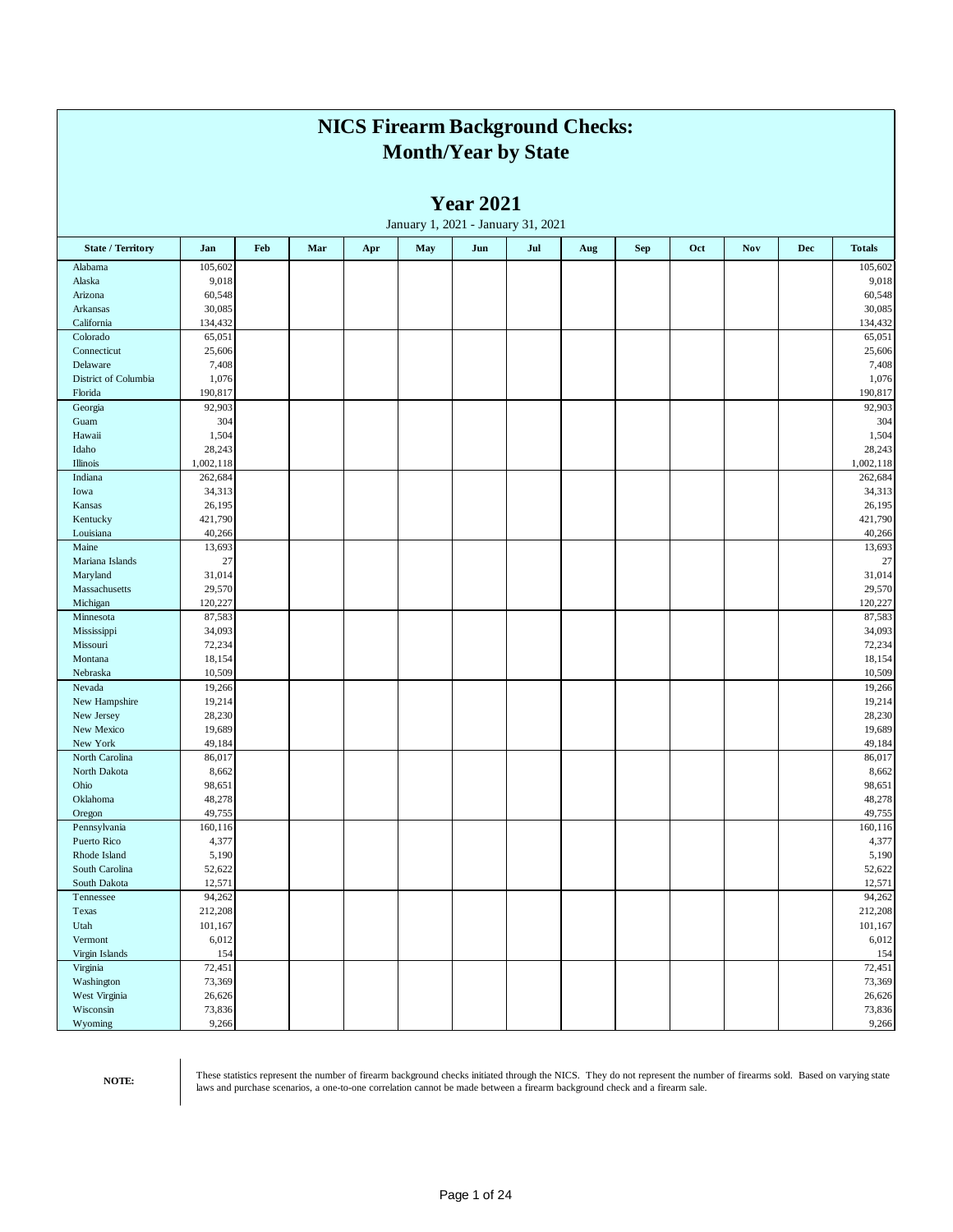|                                 |                     |     |     |     |     | <b>NICS Firearm Background Checks:</b><br><b>Month/Year by State</b> |     |     |            |     |            |     |                     |
|---------------------------------|---------------------|-----|-----|-----|-----|----------------------------------------------------------------------|-----|-----|------------|-----|------------|-----|---------------------|
|                                 |                     |     |     |     |     | <b>Year 2021</b><br>January 1, 2021 - January 31, 2021               |     |     |            |     |            |     |                     |
| <b>State / Territory</b>        | Jan                 | Feb | Mar | Apr | May | Jun                                                                  | Jul | Aug | <b>Sep</b> | Oct | <b>Nov</b> | Dec | <b>Totals</b>       |
| Alabama                         | 105,602             |     |     |     |     |                                                                      |     |     |            |     |            |     | 105,602             |
| Alaska                          | 9,018               |     |     |     |     |                                                                      |     |     |            |     |            |     | 9,018               |
| Arizona<br>Arkansas             | 60,548<br>30,085    |     |     |     |     |                                                                      |     |     |            |     |            |     | 60,548<br>30,085    |
| California                      | 134,432             |     |     |     |     |                                                                      |     |     |            |     |            |     | 134,432             |
| Colorado                        | 65,051              |     |     |     |     |                                                                      |     |     |            |     |            |     | 65,051              |
| Connecticut                     | 25,606              |     |     |     |     |                                                                      |     |     |            |     |            |     | 25,606              |
| Delaware                        | 7,408               |     |     |     |     |                                                                      |     |     |            |     |            |     | 7,408               |
| District of Columbia<br>Florida | 1,076<br>190,817    |     |     |     |     |                                                                      |     |     |            |     |            |     | 1,076<br>190,817    |
| Georgia                         | 92,903              |     |     |     |     |                                                                      |     |     |            |     |            |     | 92,903              |
| Guam                            | 304                 |     |     |     |     |                                                                      |     |     |            |     |            |     | 304                 |
| Hawaii                          | 1,504               |     |     |     |     |                                                                      |     |     |            |     |            |     | 1,504               |
| Idaho<br>Illinois               | 28,243<br>1,002,118 |     |     |     |     |                                                                      |     |     |            |     |            |     | 28,243<br>1,002,118 |
| Indiana                         | 262,684             |     |     |     |     |                                                                      |     |     |            |     |            |     | 262,684             |
| Iowa                            | 34,313              |     |     |     |     |                                                                      |     |     |            |     |            |     | 34,313              |
| Kansas                          | 26,195              |     |     |     |     |                                                                      |     |     |            |     |            |     | 26,195              |
| Kentucky                        | 421,790             |     |     |     |     |                                                                      |     |     |            |     |            |     | 421,790             |
| Louisiana<br>Maine              | 40,266<br>13,693    |     |     |     |     |                                                                      |     |     |            |     |            |     | 40,266<br>13,693    |
| Mariana Islands                 | $27\,$              |     |     |     |     |                                                                      |     |     |            |     |            |     | $27\,$              |
| Maryland                        | 31,014              |     |     |     |     |                                                                      |     |     |            |     |            |     | 31,014              |
| Massachusetts                   | 29,570              |     |     |     |     |                                                                      |     |     |            |     |            |     | 29,570              |
| Michigan                        | 120,227             |     |     |     |     |                                                                      |     |     |            |     |            |     | 120,227<br>87,583   |
| Minnesota<br>Mississippi        | 87,583<br>34,093    |     |     |     |     |                                                                      |     |     |            |     |            |     | 34,093              |
| Missouri                        | 72,234              |     |     |     |     |                                                                      |     |     |            |     |            |     | 72,234              |
| Montana                         | 18,154              |     |     |     |     |                                                                      |     |     |            |     |            |     | 18,154              |
| Nebraska                        | 10,509              |     |     |     |     |                                                                      |     |     |            |     |            |     | 10,509              |
| Nevada<br>New Hampshire         | 19,266<br>19,214    |     |     |     |     |                                                                      |     |     |            |     |            |     | 19,266<br>19,214    |
| New Jersey                      | 28,230              |     |     |     |     |                                                                      |     |     |            |     |            |     | 28,230              |
| New Mexico                      | 19,689              |     |     |     |     |                                                                      |     |     |            |     |            |     | 19,689              |
| New York                        | 49,184              |     |     |     |     |                                                                      |     |     |            |     |            |     | 49,184              |
| North Carolina                  | 86,017              |     |     |     |     |                                                                      |     |     |            |     |            |     | 86,017              |
| North Dakota<br>Ohio            | 8,662<br>98,651     |     |     |     |     |                                                                      |     |     |            |     |            |     | 8,662<br>98,651     |
| Oklahoma                        | 48,278              |     |     |     |     |                                                                      |     |     |            |     |            |     | 48,278              |
| Oregon                          | 49,755              |     |     |     |     |                                                                      |     |     |            |     |            |     | 49,755              |
| Pennsylvania                    | 160,116             |     |     |     |     |                                                                      |     |     |            |     |            |     | 160,116             |
| Puerto Rico<br>Rhode Island     | 4,377<br>5,190      |     |     |     |     |                                                                      |     |     |            |     |            |     | 4,377<br>5,190      |
| South Carolina                  | 52,622              |     |     |     |     |                                                                      |     |     |            |     |            |     | 52,622              |
| South Dakota                    | 12,571              |     |     |     |     |                                                                      |     |     |            |     |            |     | 12,571              |
| Tennessee                       | 94,262              |     |     |     |     |                                                                      |     |     |            |     |            |     | 94,262              |
| Texas                           | 212,208             |     |     |     |     |                                                                      |     |     |            |     |            |     | 212,208             |
| Utah<br>Vermont                 | 101,167<br>6,012    |     |     |     |     |                                                                      |     |     |            |     |            |     | 101,167<br>6,012    |
| Virgin Islands                  | 154                 |     |     |     |     |                                                                      |     |     |            |     |            |     | 154                 |
| Virginia                        | 72,451              |     |     |     |     |                                                                      |     |     |            |     |            |     | 72,451              |
| Washington                      | 73,369              |     |     |     |     |                                                                      |     |     |            |     |            |     | 73,369              |
| West Virginia                   | 26,626              |     |     |     |     |                                                                      |     |     |            |     |            |     | 26,626              |
| Wisconsin<br>Wyoming            | 73,836<br>9,266     |     |     |     |     |                                                                      |     |     |            |     |            |     | 73,836<br>9,266     |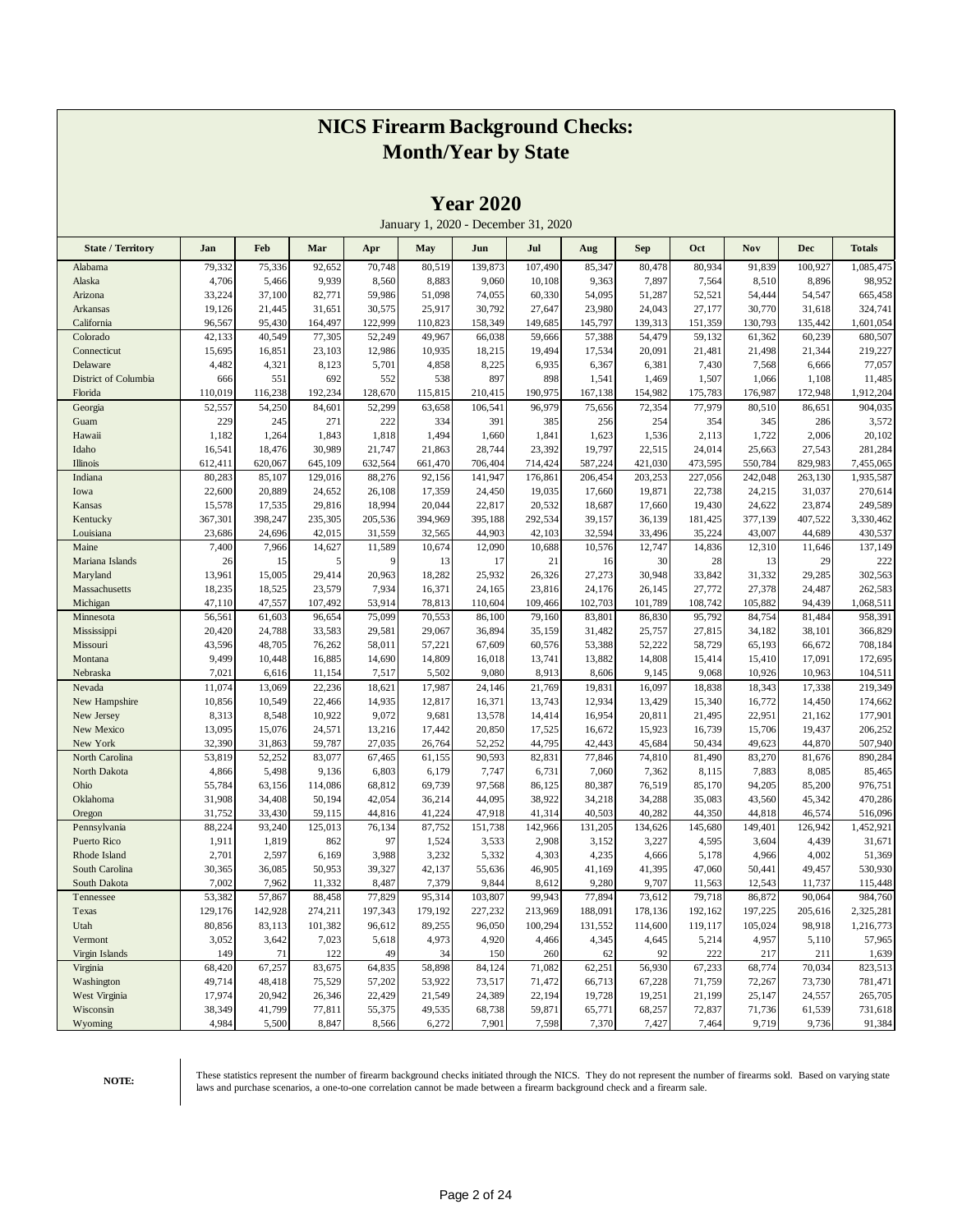|                           |                   |                   |                   |                   |                   | 1 <b>Cal</b> 4040 |                                     |                  |                  |                   |                   |                   |                      |
|---------------------------|-------------------|-------------------|-------------------|-------------------|-------------------|-------------------|-------------------------------------|------------------|------------------|-------------------|-------------------|-------------------|----------------------|
|                           |                   |                   |                   |                   |                   |                   | January 1, 2020 - December 31, 2020 |                  |                  |                   |                   |                   |                      |
| <b>State / Territory</b>  | Jan               | Feb               | Mar               | Apr               | May               | Jun               | Jul                                 | Aug              | <b>Sep</b>       | Oct               | Nov               | <b>Dec</b>        | <b>Totals</b>        |
| Alabama                   | 79,332            | 75,336            | 92,652            | 70,748            | 80,519            | 139,873           | 107,490                             | 85,347           | 80,478           | 80,934            | 91,839            | 100,927           | 1,085,475            |
| Alaska                    | 4,706             | 5,466             | 9,939             | 8,560             | 8,883             | 9,060             | 10,108                              | 9,363            | 7,897            | 7,564             | 8,510             | 8,896             | 98,952               |
| Arizona                   | 33,224            | 37,100            | 82,771            | 59,986            | 51,098            | 74,055            | 60,330                              | 54,095           | 51,287           | 52,521            | 54,444            | 54,547            | 665,458              |
| Arkansas                  | 19,126            | 21,445            | 31,651            | 30,575            | 25,917            | 30,792            | 27,647                              | 23,980           | 24,043           | 27,177            | 30,770            | 31,618            | 324,741              |
| California                | 96,567            | 95,430            | 164,497           | 122,999           | 110,823           | 158,349           | 149,685                             | 145,797          | 139,313          | 151,359           | 130,793           | 135,442           | 1,601,054            |
| Colorado                  | 42,133            | 40,549            | 77,305            | 52,249            | 49,967            | 66,038            | 59,666                              | 57,388           | 54,479           | 59,132            | 61,362            | 60,239            | 680,507              |
| Connecticut               | 15,695            | 16,851            | 23,103            | 12,986            | 10,935            | 18,215            | 19,494                              | 17,534           | 20,091           | 21,481            | 21,498            | 21,344            | 219,227              |
| Delaware                  | 4,482             | 4,321             | 8,123             | 5,701             | 4,858             | 8,225             | 6,935                               | 6,367            | 6,381            | 7,430             | 7,568             | 6,666             | 77,057               |
| District of Columbia      | 666               | 551               | 692               | 552               | 538               | 897               | 898                                 | 1,541            | 1,469            | 1,507             | 1,066             | 1,108             | 11,485               |
| Florida                   | 110,019           | 116,238           | 192,234           | 128,670           | 115,815           | 210,415           | 190,975                             | 167,138          | 154,982          | 175,783           | 176,987           | 172,948           | 1,912,204            |
| Georgia                   | 52,557            | 54,250            | 84,601            | 52,299            | 63,658            | 106,541           | 96,979                              | 75,656           | 72,354           | 77,979            | 80,510            | 86,651            | 904,035              |
| Guam                      | 229               | 245               | 271               | 222               | 334               | 391               | 385                                 | 256              | 254              | 354               | 345               | 286               | 3,572                |
| Hawaii                    | 1,182             | 1,264             | 1,843             | 1,818             | 1,494             | 1,660             | 1,841                               | 1,623            | 1,536            | 2,113             | 1,722             | 2,006             | 20,102               |
| Idaho                     | 16,541            | 18,476            | 30,989            | 21,747            | 21,863            | 28,744            | 23,392                              | 19,797           | 22,515           | 24,014            | 25,663            | 27,543            | 281,284              |
| Illinois                  | 612,411           | 620,067           | 645,109           | 632,564           | 661,470           | 706,404           | 714,424                             | 587,224          | 421,030          | 473,595           | 550,784           | 829,983           | 7,455,065            |
| Indiana                   | 80,283            | 85,107            | 129,016           | 88,276            | 92,156            | 141,947           | 176,861                             | 206,454          | 203,253          | 227,056           | 242,048           | 263,130           | 1,935,587            |
| Iowa                      | 22,600            | 20,889            | 24,652            | 26,108            | 17,359            | 24,450            | 19,035                              | 17,660           | 19,871           | 22,738            | 24,215            | 31,037            | 270,614              |
| Kansas                    | 15,578            | 17,535            | 29,816<br>235,305 | 18,994            | 20,044<br>394,969 | 22,817            | 20,532<br>292,534                   | 18,687           | 17,660<br>36,139 | 19,430            | 24,622<br>377,139 | 23,874            | 249,589<br>3,330,462 |
| Kentucky<br>Louisiana     | 367,301<br>23,686 | 398,247<br>24,696 | 42,015            | 205,536<br>31,559 | 32,565            | 395,188<br>44,903 | 42,103                              | 39,157<br>32,594 | 33,496           | 181,425<br>35,224 | 43,007            | 407,522<br>44,689 | 430,537              |
| Maine                     | 7,400             | 7,966             | 14,627            | 11,589            | 10,674            | 12,090            | 10,688                              | 10,576           | 12,747           | 14,836            | 12,310            | 11,646            | 137,149              |
| Mariana Islands           | 26                | 15                | 5                 | 9                 | 13                | 17                | 21                                  | 16               | 30               | 28                | 13                | 29                | 222                  |
| Maryland                  | 13,961            | 15,005            | 29,414            | 20,963            | 18,282            | 25,932            | 26,326                              | 27,273           | 30,948           | 33,842            | 31,332            | 29,285            | 302,563              |
| Massachusetts             | 18,235            | 18,525            | 23,579            | 7,934             | 16,371            | 24,165            | 23,816                              | 24,176           | 26,145           | 27,772            | 27,378            | 24,487            | 262,583              |
| Michigan                  | 47,110            | 47,557            | 107,492           | 53,914            | 78,813            | 110,604           | 109,466                             | 102,703          | 101,789          | 108,742           | 105,882           | 94,439            | 1,068,511            |
| Minnesota                 | 56,561            | 61,603            | 96,654            | 75,099            | 70,553            | 86,100            | 79,160                              | 83,801           | 86,830           | 95,792            | 84,754            | 81,484            | 958,391              |
| Mississippi               | 20,420            | 24,788            | 33,583            | 29,581            | 29,067            | 36,894            | 35,159                              | 31,482           | 25,757           | 27,815            | 34,182            | 38,101            | 366,829              |
| Missouri                  | 43,596            | 48,705            | 76,262            | 58,011            | 57,221            | 67,609            | 60,576                              | 53,388           | 52,222           | 58,729            | 65,193            | 66,672            | 708,184              |
| Montana                   | 9,499             | 10,448            | 16,885            | 14,690            | 14,809            | 16,018            | 13,741                              | 13,882           | 14,808           | 15,414            | 15,410            | 17,091            | 172,695              |
| Nebraska                  | 7,021             | 6,616             | 11,154            | 7,517             | 5,502             | 9,080             | 8,913                               | 8,606            | 9,145            | 9,068             | 10,926            | 10,963            | 104,511              |
| Nevada                    | 11,074            | 13,069            | 22,236            | 18,621            | 17,987            | 24,146            | 21,769                              | 19,831           | 16,097           | 18,838            | 18,343            | 17,338            | 219,349              |
| New Hampshire             | 10,856            | 10,549            | 22,466            | 14,935            | 12,817            | 16,371            | 13,743                              | 12,934           | 13,429           | 15,340            | 16,772            | 14,450            | 174,662              |
| New Jersey                | 8,313             | 8,548             | 10,922            | 9,072             | 9,681             | 13,578            | 14,414                              | 16,954           | 20,811           | 21,495            | 22,951            | 21,162            | 177,901              |
| New Mexico                | 13,095            | 15,076            | 24,571            | 13,216            | 17,442            | 20,850            | 17,525                              | 16,672           | 15,923           | 16,739            | 15,706            | 19,437            | 206,252              |
| New York                  | 32,390            | 31,863            | 59,787            | 27,035            | 26,764            | 52,252            | 44,795                              | 42,443           | 45,684           | 50,434            | 49,623            | 44,870            | 507,940              |
| North Carolina            | 53,819            | 52,252            | 83,077            | 67,465            | 61,155            | 90,593            | 82,831                              | 77,846           | 74,810           | 81,490            | 83,270            | 81,676            | 890,284              |
| North Dakota              | 4,866             | 5,498             | 9,136             | 6,803             | 6,179             | 7,747             | 6,731                               | 7,060            | 7,362            | 8,115             | 7,883             | 8,085             | 85,465               |
| Ohio                      | 55,784            | 63,156            | 114,086           | 68,812            | 69,739            | 97,568            | 86,125                              | 80,387           | 76,519           | 85,170            | 94,205            | 85,200            | 976,751              |
| Oklahoma                  | 31,908            | 34,408            | 50,194            | 42,054            | 36,214            | 44,095            | 38,922                              | 34,218           | 34,288           | 35,083            | 43,560            | 45,342            | 470,286              |
| Oregon                    | 31,752            | 33,430            | 59,115            | 44,816            | 41,224            | 47,918            | 41,314                              | 40,503           | 40,282           | 44,350            | 44,818            | 46,574            | 516,096              |
| Pennsylvania              | 88,224            | 93,240            | 125,013           | 76,134            | 87,752            | 151,738           | 142,966                             | 131,205          | 134,626          | 145,680           | 149,401           | 126,942           | 1,452,921            |
| Puerto Rico               | 1,911             | 1,819             | 862               | 97                | 1,524             | 3,533             | 2,908                               | 3,152            | 3,227            | 4,595             | 3,604             | 4,439             | 31,671               |
| Rhode Island              | 2,701             | 2,597             | 6,169             | 3,988             | 3,232             | 5,332             | 4,303                               | 4,235            | 4,666            | 5,178             | 4,966             | 4,002             | 51,369               |
| South Carolina            | 30,365            | 36,085            | 50,953            | 39,327            | 42,137            | 55,636            | 46,905                              | 41,169           | 41,395           | 47,060            | 50,441            | 49,457            | 530,930              |
| South Dakota              | 7,002             | 7,962             | 11,332            | 8,487             | 7,379             | 9,844             | 8,612                               | 9,280            | 9,707            | 11,563            | 12,543            | 11,737            | 115,448              |
| Tennessee                 | 53,382            | 57,867            | 88,458            | 77,829            | 95,314            | 103,807           | 99,943                              | 77,894           | 73,612           | 79,718            | 86,872            | 90,064            | 984,760              |
| Texas                     | 129,176           | 142,928           | 274,211           | 197,343           | 179,192           | 227,232           | 213,969                             | 188,091          | 178,136          | 192,162           | 197,225           | 205,616           | 2,325,281            |
| Utah                      | 80,856            | 83,113            | 101,382           | 96,612            | 89,255            | 96,050            | 100,294                             | 131,552          | 114,600          | 119,117           | 105,024           | 98,918            | 1,216,773            |
| Vermont<br>Virgin Islands | 3,052             | 3,642             | 7,023<br>122      | 5,618<br>49       | 4,973<br>34       | 4,920<br>150      | 4,466                               | 4,345<br>62      | 4,645<br>92      | 5,214<br>222      | 4,957<br>217      | 5,110<br>211      | 57,965               |
| Virginia                  | 149<br>68,420     | 71<br>67,257      | 83,675            | 64,835            | 58,898            | 84,124            | 260<br>71,082                       | 62,251           | 56,930           | 67,233            | 68,774            | 70,034            | 1,639<br>823,513     |
| Washington                | 49,714            | 48,418            | 75,529            | 57,202            | 53,922            | 73,517            | 71,472                              |                  | 67,228           | 71,759            | 72,267            | 73,730            | 781,471              |
| West Virginia             | 17,974            | 20,942            | 26,346            | 22,429            | 21,549            | 24,389            | 22,194                              | 66,713<br>19,728 | 19,251           | 21,199            | 25,147            | 24,557            | 265,705              |
| Wisconsin                 |                   | 41,799            | 77,811            | 55,375            | 49,535            |                   |                                     |                  |                  | 72,837            |                   |                   |                      |
| Wyoming                   | 38,349<br>4,984   | 5,500             | 8,847             | 8,566             | 6,272             | 68,738<br>7,901   | 59,871<br>7,598                     | 65,771<br>7,370  | 68,257<br>7,427  |                   | 71,736<br>9,719   | 61,539<br>9,736   | 731,618<br>91,384    |
|                           |                   |                   |                   |                   |                   |                   |                                     |                  |                  | 7,464             |                   |                   |                      |

**Year 2020**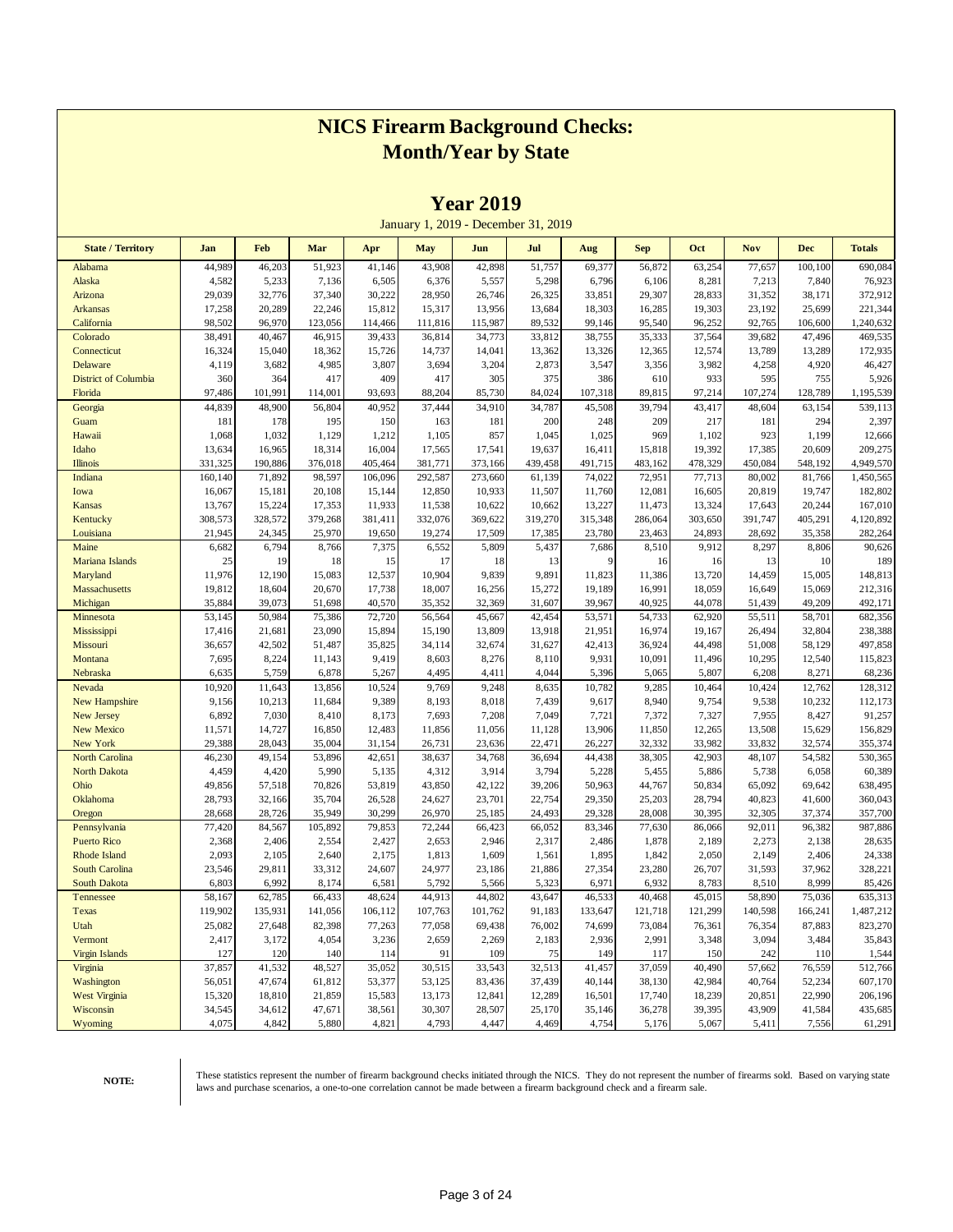|                          |                  |                  |                  |                  |                  | $1$ cal $2017$   |                                     |                  |                  |                  |                  |                  |                    |
|--------------------------|------------------|------------------|------------------|------------------|------------------|------------------|-------------------------------------|------------------|------------------|------------------|------------------|------------------|--------------------|
|                          |                  |                  |                  |                  |                  |                  | January 1, 2019 - December 31, 2019 |                  |                  |                  |                  |                  |                    |
| <b>State / Territory</b> | Jan              | Feb              | Mar              | Apr              | <b>May</b>       | Jun              | Jul                                 | Aug              | <b>Sep</b>       | Oct              | <b>Nov</b>       | <b>Dec</b>       | <b>Totals</b>      |
| Alabama                  | 44,989           | 46,203           | 51,923           | 41,146           | 43,908           | 42,898           | 51,757                              | 69,377           | 56,872           | 63,254           | 77,657           | 100,100          | 690,084            |
| Alaska                   | 4,582            | 5,233            | 7,136            | 6,505            | 6,376            | 5,557            | 5,298                               | 6,796            | 6,106            | 8,281            | 7,213            | 7,840            | 76,923             |
| Arizona                  | 29,039           | 32,776           | 37,340           | 30,222           | 28,950           | 26,746           | 26,325                              | 33,851           | 29,307           | 28,833           | 31,352           | 38,171           | 372,912            |
| <b>Arkansas</b>          | 17,258           | 20,289           | 22,246           | 15,812           | 15,317           | 13,956           | 13,684                              | 18,303           | 16,285           | 19,303           | 23,192           | 25,699           | 221,344            |
| California               | 98,502           | 96,970           | 123,056          | 114,466          | 111,816          | 115,987          | 89,532                              | 99,146           | 95,540           | 96,252           | 92,765           | 106,600          | 1,240,632          |
| Colorado                 | 38,491           | 40,467           | 46,915           | 39,433           | 36,814           | 34,773           | 33,812                              | 38,755           | 35,333           | 37,564           | 39,682           | 47,496           | 469,535            |
| Connecticut              | 16,324           | 15,040           | 18,362           | 15,726           | 14,737           | 14,041           | 13,362                              | 13,326           | 12,365           | 12,574           | 13,789           | 13,289           | 172,935            |
| Delaware                 | 4,119            | 3,682            | 4,985            | 3,807            | 3,694            | 3,204            | 2,873                               | 3,547            | 3,356            | 3,982            | 4,258            | 4,920            | 46,427             |
| District of Columbia     | 360              | 364              | 417              | 409              | 417              | 305              | 375                                 | 386              | 610              | 933              | 595              | 755              | 5,926              |
| Florida                  | 97,486           | 101,991          | 114,001          | 93,693           | 88,204           | 85,730           | 84,024                              | 107,318          | 89,815           | 97,214           | 107,274          | 128,789          | 1,195,539          |
| Georgia                  | 44,839           | 48,900           | 56,804           | 40,952           | 37,444           | 34,910           | 34,787                              | 45,508           | 39,794           | 43,417           | 48,604           | 63,154           | 539,113            |
| Guam                     | 181              | 178              | 195              | 150              | 163              | 181              | 200                                 | 248              | 209              | 217              | 181              | 294              | 2,397              |
| Hawaii                   | 1,068            | 1,032            | 1,129            | 1,212            | 1,105            | 857              | 1,045                               | 1,025            | 969              | 1,102            | 923              | 1,199            | 12,666             |
| Idaho                    | 13,634           | 16,965           | 18,314           | 16,004           | 17,565           | 17,541           | 19,637                              | 16,411           | 15,818           | 19,392           | 17,385           | 20,609           | 209,275            |
| <b>Illinois</b>          | 331,325          | 190,886          | 376,018          | 405,464          | 381,771          | 373,166          | 439,458                             | 491,715          | 483,162          | 478,329          | 450,084          | 548,192          | 4,949,570          |
| Indiana                  | 160,140          | 71,892           | 98,597           | 106,096          | 292,587          | 273,660          | 61,139                              | 74,022           | 72,951           | 77,713           | 80,002           | 81,766           | 1,450,565          |
| Iowa                     | 16,067           | 15,181           | 20,108           | 15,144           | 12,850           | 10,933           | 11,507                              | 11,760           | 12,081           | 16,605           | 20,819           | 19,747           | 182,802            |
| Kansas                   | 13,767           | 15,224           | 17,353           | 11,933           | 11,538           | 10,622           | 10,662                              | 13,227           | 11,473           | 13,324           | 17,643           | 20,244           | 167,010            |
| Kentucky                 | 308,573          | 328,572          | 379,268          | 381,411          | 332,076          | 369,622          | 319,270                             | 315,348          | 286,064          | 303,650          | 391,747          | 405,291          | 4,120,892          |
| Louisiana                | 21,945           | 24,345           | 25,970           | 19,650           | 19,274           | 17,509           | 17,385                              | 23,780           | 23,463           | 24,893           | 28,692           | 35,358           | 282,264            |
| Maine                    | 6,682            | 6,794            | 8,766            | 7,375            | 6,552            | 5,809            | 5,437                               | 7,686            | 8,510            | 9,912            | 8,297            | 8,806            | 90,626             |
| Mariana Islands          | 25               | 19               | 18               | 15               | 17               | 18               | 13                                  | 9                | 16               | 16               | 13               | 10               | 189                |
| Maryland                 | 11,976           | 12,190           | 15,083           | 12,537           | 10,904           | 9,839            | 9,891                               | 11,823           | 11,386           | 13,720           | 14,459           | 15,005           | 148,813            |
| Massachusetts            | 19,812           | 18,604           | 20,670           | 17,738           | 18,007           | 16,256           | 15,272                              | 19,189           | 16,991           | 18,059           | 16,649           | 15,069           | 212,316            |
| Michigan<br>Minnesota    | 35,884<br>53,145 | 39,073<br>50,984 | 51,698<br>75,386 | 40,570<br>72,720 | 35,352<br>56,564 | 32,369<br>45,667 | 31,607<br>42,454                    | 39,967<br>53,571 | 40,925<br>54,733 | 44,078<br>62,920 | 51,439<br>55,511 | 49,209<br>58,701 | 492,171<br>682,356 |
| Mississippi              | 17,416           | 21,681           | 23,090           | 15,894           | 15,190           | 13,809           | 13,918                              | 21,951           | 16,974           | 19,167           | 26,494           | 32,804           | 238,388            |
| Missouri                 | 36,657           | 42,502           | 51,487           | 35,825           | 34,114           | 32,674           | 31,627                              | 42,413           | 36,924           | 44,498           | 51,008           | 58,129           | 497,858            |
| Montana                  | 7,695            | 8,224            | 11,143           | 9,419            | 8,603            | 8,276            | 8,110                               | 9,931            | 10,091           | 11,496           | 10,295           | 12,540           | 115,823            |
| Nebraska                 | 6,635            | 5,759            | 6,878            | 5,267            | 4,495            | 4,411            | 4,044                               | 5,396            | 5,065            | 5,807            | 6,208            | 8,271            | 68,236             |
| Nevada                   | 10,920           | 11,643           | 13,856           | 10,524           | 9,769            | 9,248            | 8,635                               | 10,782           | 9,285            | 10,464           | 10,424           | 12,762           | 128,312            |
| <b>New Hampshire</b>     | 9,156            | 10,213           | 11,684           | 9,389            | 8,193            | 8,018            | 7,439                               | 9,617            | 8,940            | 9,754            | 9,538            | 10,232           | 112,173            |
| New Jersey               | 6,892            | 7,030            | 8,410            | 8,173            | 7,693            | 7,208            | 7,049                               | 7,721            | 7,372            | 7,327            | 7,955            | 8,427            | 91,257             |
| <b>New Mexico</b>        | 11,571           | 14,727           | 16,850           | 12,483           | 11,856           | 11,056           | 11,128                              | 13,906           | 11,850           | 12,265           | 13,508           | 15,629           | 156,829            |
| New York                 | 29,388           | 28,043           | 35,004           | 31,154           | 26,731           | 23,636           | 22,471                              | 26,227           | 32,332           | 33,982           | 33,832           | 32,574           | 355,374            |
| <b>North Carolina</b>    | 46,230           | 49,154           | 53,896           | 42,651           | 38,637           | 34,768           | 36,694                              | 44,438           | 38,305           | 42,903           | 48,107           | 54,582           | 530,365            |
| <b>North Dakota</b>      | 4,459            | 4,420            | 5,990            | 5,135            | 4,312            | 3,914            | 3,794                               | 5,228            | 5,455            | 5,886            | 5,738            | 6,058            | 60,389             |
| Ohio                     | 49,856           | 57,518           | 70,826           | 53,819           | 43,850           | 42,122           | 39,206                              | 50,963           | 44,767           | 50,834           | 65,092           | 69,642           | 638,495            |
| Oklahoma                 | 28,793           | 32,166           | 35,704           | 26,528           | 24,627           | 23,701           | 22,754                              | 29,350           | 25,203           | 28,794           | 40,823           | 41,600           | 360,043            |
| Oregon                   | 28,668           | 28,726           | 35,949           | 30,299           | 26,970           | 25,185           | 24,493                              | 29,328           | 28,008           | 30,395           | 32,305           | 37,374           | 357,700            |
| Pennsylvania             | 77,420           | 84,567           | 105,892          | 79,853           | 72,244           | 66,423           | 66,052                              | 83,346           | 77,630           | 86,066           | 92,011           | 96,382           | 987,886            |
| <b>Puerto Rico</b>       | 2,368            | 2,406            | 2,554            | 2,427            | 2,653            | 2,946            | 2,317                               | 2,486            | 1,878            | 2,189            | 2,273            | 2,138            | 28,635             |
| <b>Rhode Island</b>      | 2,093            | 2,105            | 2,640            | 2,175            | 1,813            | 1,609            | 1,561                               | 1,895            | 1,842            | 2,050            | 2,149            | 2,406            | 24,338             |
| South Carolina           | 23,546           | 29,811           | 33,312           | 24,607           | 24,977           | 23,186           | 21,886                              | 27,354           | 23,280           | 26,707           | 31,593           | 37,962           | 328,221            |
| <b>South Dakota</b>      | 6,803            | 6,992            | 8,174            | 6,581            | 5,792            | 5,566            | 5,323                               | 6,971            | 6,932            | 8,783            | 8,510            | 8,999            | 85,426             |
| Tennessee                | 58,167           | 62,785           | 66,433           | 48,624           | 44,913           | 44,802           | 43,647                              | 46,533           | 40,468           | 45,015           | 58,890           | 75,036           | 635,313            |
| Texas                    | 119,902          | 135,931          | 141,056          | 106,112          | 107,763          | 101,762          | 91,183                              | 133,647          | 121,718          | 121,299          | 140,598          | 166,241          | 1,487,212          |
| Utah                     | 25,082           | 27,648           | 82,398           | 77,263           | 77,058           | 69,438           | 76,002                              | 74,699           | 73,084           | 76,361           | 76,354           | 87,883           | 823,270            |
| Vermont                  | 2,417            | 3,172            | 4,054            | 3,236            | 2,659            | 2,269            | 2,183                               | 2,936            | 2,991            | 3,348            | 3,094            | 3,484            | 35,843             |
| <b>Virgin Islands</b>    | 127              | 120              | 140              | 114              | 91               | 109              | 75                                  | 149              | 117              | 150              | 242              | 110              | 1,544              |
| Virginia                 | 37,857           | 41,532           | 48,527           | 35,052           | 30,515           | 33,543           | 32,513                              | 41,457           | 37,059           | 40,490           | 57,662           | 76,559           | 512,766            |
| Washington               | 56,051           | 47,674           | 61,812           | 53,377           | 53,125           | 83,436           | 37,439                              | 40,144           | 38,130           | 42,984           | 40,764           | 52,234           | 607,170            |
| <b>West Virginia</b>     | 15,320           | 18,810           | 21,859           | 15,583           | 13,173           | 12,841           | 12,289                              | 16,501           | 17,740           | 18,239           | 20,851           | 22,990           | 206,196            |
| Wisconsin                | 34,545           | 34,612           | 47,671           | 38,561           | 30,307           | 28,507           | 25,170                              | 35,146           | 36,278           | 39,395           | 43,909           | 41,584           | 435,685            |
| Wyoming                  | 4,075            | 4,842            | 5,880            | 4,821            | 4,793            | 4,447            | 4,469                               | 4,754            | 5,176            | 5,067            | 5,411            | 7,556            | 61,291             |

**Year 2019**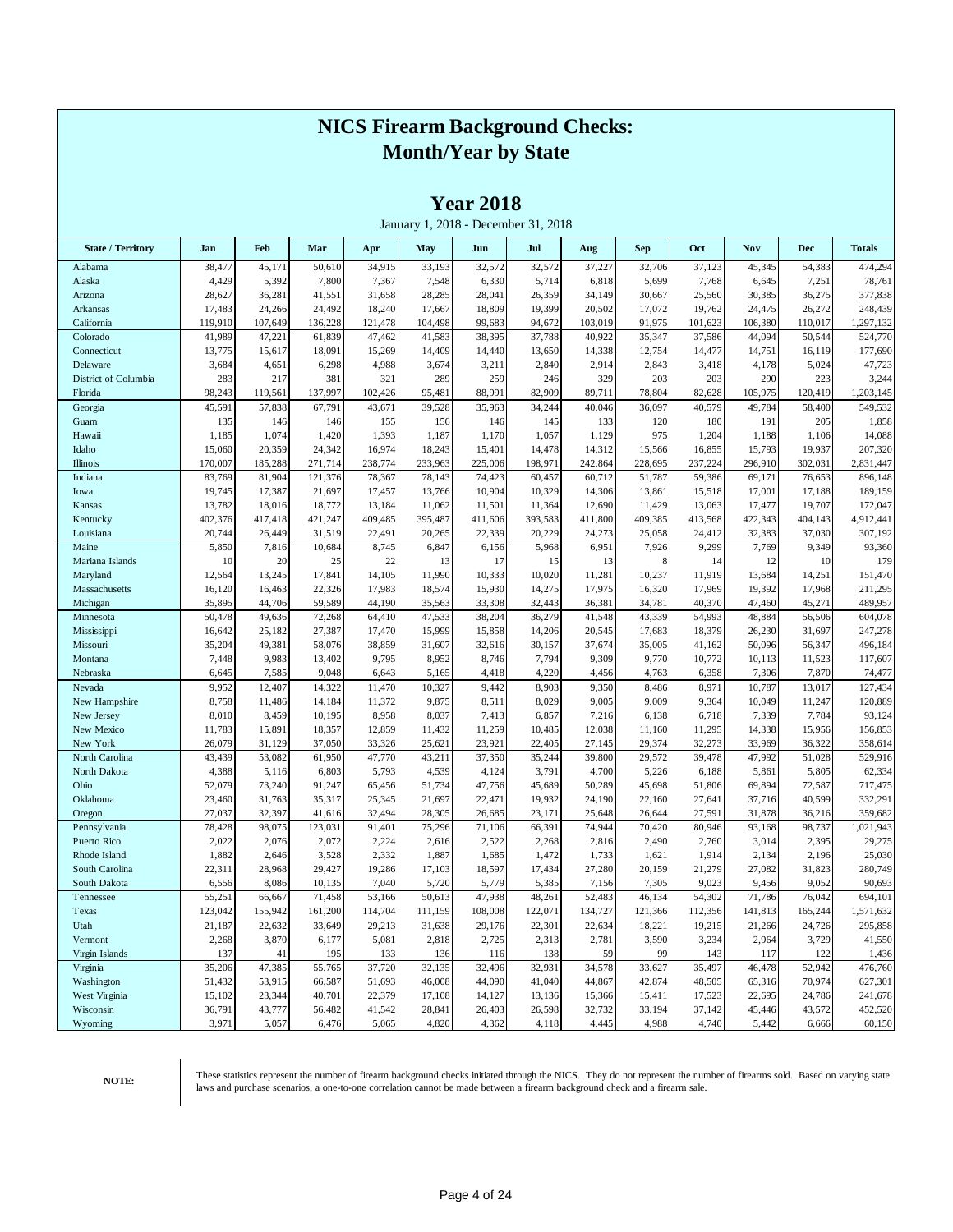|                            |                  |                  |                  |                  |                  | rear 2018        | January 1, 2018 - December 31, 2018 |                  |                  |                  |                  |                  |                    |
|----------------------------|------------------|------------------|------------------|------------------|------------------|------------------|-------------------------------------|------------------|------------------|------------------|------------------|------------------|--------------------|
| <b>State / Territory</b>   | Jan              | Feb              | Mar              | Apr              | May              | Jun              | Jul                                 | Aug              | <b>Sep</b>       | Oct              | Nov              | <b>Dec</b>       | <b>Totals</b>      |
| Alabama                    | 38,477           | 45,171           | 50,610           | 34,915           | 33,193           | 32,572           | 32,572                              | 37,227           | 32,706           | 37,123           | 45,345           | 54,383           | 474,294            |
| Alaska                     | 4,429            | 5,392            | 7,800            | 7,367            | 7,548            | 6,330            | 5,714                               | 6,818            | 5,699            | 7,768            | 6,645            | 7,251            | 78,761             |
| Arizona                    | 28,627           | 36,281           | 41,551           | 31,658           | 28,285           | 28,041           | 26,359                              | 34,149           | 30,667           | 25,560           | 30,385           | 36,275           | 377,838            |
| Arkansas                   | 17,483           | 24,266           | 24,492           | 18,240           | 17,667           | 18,809           | 19,399                              | 20,502           | 17,072           | 19,762           | 24,475           | 26,272           | 248,439            |
| California                 | 119,910          | 107,649          | 136,228          | 121,478          | 104,498          | 99,683           | 94,672                              | 103,019          | 91,975           | 101,623          | 106,380          | 110,017          | 1,297,132          |
| Colorado                   | 41,989           | 47,221           | 61,839           | 47,462           | 41,583           | 38,395           | 37,788                              | 40,922           | 35,347           | 37,586           | 44,094           | 50,544           | 524,770            |
| Connecticut                | 13,775           | 15,617           | 18,091           | 15,269           | 14,409           | 14,440           | 13,650                              | 14,338           | 12,754           | 14,477           | 14,751           | 16,119           | 177,690            |
| Delaware                   | 3,684            | 4,651            | 6,298            | 4,988            | 3,674            | 3,211            | 2,840                               | 2,914            | 2,843            | 3,418            | 4,178            | 5,024            | 47,723             |
| District of Columbia       | 283              | 217              | 381              | 321              | 289              | 259              | 246                                 | 329              | 203              | 203              | 290              | 223              | 3,244              |
| Florida                    | 98,243           | 119,561          | 137,997          | 102,426          | 95,481           | 88,991           | 82,909                              | 89,711           | 78,804           | 82,628           | 105,975          | 120,419          | 1,203,145          |
| Georgia                    | 45,591           | 57,838           | 67,791           | 43,671           | 39,528           | 35,963           | 34,244                              | 40,046           | 36,097           | 40,579           | 49,784           | 58,400           | 549,532            |
| Guam                       | 135<br>1,185     | 146<br>1,074     | 146              | 155              | 156<br>1,187     | 146<br>1,170     | 145                                 | 133              | 120<br>975       | 180              | 191              | 205              | 1,858<br>14,088    |
| Hawaii<br>Idaho            | 15,060           | 20,359           | 1,420<br>24,342  | 1,393<br>16,974  | 18,243           | 15,401           | 1,057<br>14,478                     | 1,129<br>14,312  | 15,566           | 1,204<br>16,855  | 1,188<br>15,793  | 1,106<br>19,937  | 207,320            |
| Illinois                   | 170,007          | 185,288          | 271,714          | 238,774          | 233,963          | 225,006          | 198,971                             | 242,864          | 228,695          | 237,224          | 296,910          | 302,031          | 2,831,447          |
| Indiana                    | 83,769           | 81,904           | 121,376          | 78,367           | 78,143           | 74,423           | 60,457                              | 60,712           | 51,787           | 59,386           | 69,171           | 76,653           | 896,148            |
| Iowa                       | 19,745           | 17,387           | 21,697           | 17,457           | 13,766           | 10,904           | 10,329                              | 14,306           | 13,861           | 15,518           | 17,001           | 17,188           | 189,159            |
| Kansas                     | 13,782           | 18,016           | 18,772           | 13,184           | 11,062           | 11,501           | 11,364                              | 12,690           | 11,429           | 13,063           | 17,477           | 19,707           | 172,047            |
| Kentucky                   | 402,376          | 417,418          | 421,247          | 409,485          | 395,487          | 411,606          | 393,583                             | 411,800          | 409,385          | 413,568          | 422,343          | 404,143          | 4,912,441          |
| Louisiana                  | 20,744           | 26,449           | 31,519           | 22,491           | 20,265           | 22,339           | 20,229                              | 24,273           | 25,058           | 24,412           | 32,383           | 37,030           | 307,192            |
| Maine                      | 5,850            | 7,816            | 10,684           | 8,745            | 6,847            | 6,156            | 5,968                               | 6,951            | 7,926            | 9,299            | 7,769            | 9,349            | 93,360             |
| Mariana Islands            | 10               | 20               | 25               | 22               | 13               | 17               | 15                                  | 13               | 8                | 14               | 12               | 10               | 179                |
| Maryland                   | 12,564           | 13,245           | 17,841           | 14,105           | 11,990           | 10,333           | 10,020                              | 11,281           | 10,237           | 11,919           | 13,684           | 14,251           | 151,470            |
| Massachusetts              | 16,120           | 16,463           | 22,326           | 17,983           | 18,574           | 15,930           | 14,275                              | 17,975           | 16,320           | 17,969           | 19,392           | 17,968           | 211,295            |
| Michigan                   | 35,895           | 44,706           | 59,589           | 44,190           | 35,563           | 33,308           | 32,443                              | 36,381           | 34,781           | 40,370           | 47,460           | 45,271           | 489,957            |
| Minnesota                  | 50,478           | 49,636           | 72,268           | 64,410           | 47,533           | 38,204           | 36,279                              | 41,548           | 43,339           | 54,993           | 48,884           | 56,506           | 604,078            |
| Mississippi                | 16,642           | 25,182           | 27,387           | 17,470           | 15,999           | 15,858           | 14,206                              | 20,545           | 17,683           | 18,379           | 26,230           | 31,697           | 247,278            |
| Missouri                   | 35,204           | 49,381           | 58,076           | 38,859           | 31,607           | 32,616           | 30,157                              | 37,674           | 35,005           | 41,162           | 50,096           | 56,347           | 496,184            |
| Montana                    | 7,448            | 9,983            | 13,402           | 9,795            | 8,952            | 8,746            | 7,794                               | 9,309            | 9,770            | 10,772           | 10,113           | 11,523           | 117,607            |
| Nebraska                   | 6,645            | 7,585            | 9,048            | 6,643            | 5,165            | 4,418            | 4,220                               | 4,456            | 4,763            | 6,358            | 7,306            | 7,870            | 74,477             |
| Nevada                     | 9,952            | 12,407           | 14,322           | 11,470           | 10,327           | 9,442            | 8,903                               | 9,350            | 8,486            | 8,971            | 10,787           | 13,017           | 127,434            |
| New Hampshire              | 8,758            | 11,486           | 14,184           | 11,372           | 9,875            | 8,511            | 8,029                               | 9,005            | 9,009            | 9,364            | 10,049           | 11,247           | 120,889            |
| New Jersey                 | 8,010            | 8,459            | 10,195           | 8,958            | 8,037            | 7,413            | 6,857                               | 7,216            | 6,138            | 6,718            | 7,339            | 7,784            | 93,124             |
| New Mexico                 | 11,783           | 15,891           | 18,357           | 12,859           | 11,432           | 11,259           | 10,485                              | 12,038           | 11,160           | 11,295           | 14,338           | 15,956           | 156,853            |
| New York<br>North Carolina | 26,079<br>43,439 | 31,129<br>53,082 | 37,050<br>61,950 | 33,326<br>47,770 | 25,621<br>43,211 | 23,921<br>37,350 | 22,405<br>35,244                    | 27,145<br>39,800 | 29,374<br>29,572 | 32,273<br>39,478 | 33,969<br>47,992 | 36,322<br>51,028 | 358,614<br>529,916 |
| North Dakota               | 4,388            | 5,116            | 6,803            | 5,793            | 4,539            | 4,124            | 3,791                               | 4,700            | 5,226            | 6,188            | 5,861            | 5,805            | 62,334             |
| Ohio                       | 52,079           | 73,240           | 91,247           | 65,456           | 51,734           | 47,756           | 45,689                              | 50,289           | 45,698           | 51,806           | 69,894           | 72,587           | 717,475            |
| Oklahoma                   | 23,460           | 31,763           | 35,317           | 25,345           | 21,697           | 22,471           | 19,932                              | 24,190           | 22,160           | 27,641           | 37,716           | 40,599           | 332,291            |
| Oregon                     | 27,037           | 32,397           | 41,616           | 32,494           | 28,305           | 26,685           | 23,171                              | 25,648           | 26,644           | 27,591           | 31,878           | 36,216           | 359,682            |
| Pennsylvania               | 78,428           | 98,075           | 123,031          | 91,401           | 75,296           | 71,106           | 66,391                              | 74,944           | 70,420           | 80,946           | 93,168           | 98,737           | 1,021,943          |
| Puerto Rico                | 2,022            | 2,076            | 2,072            | 2,224            | 2,616            | 2,522            | 2,268                               | 2,816            | 2,490            | 2,760            | 3,014            | 2,395            | 29,275             |
| Rhode Island               | 1,882            | 2,646            | 3,528            | 2,332            | 1,887            | 1,685            | 1,472                               | 1,733            | 1,621            | 1,914            | 2,134            | 2,196            | 25,030             |
| South Carolina             | 22,311           | 28,968           | 29,427           | 19,286           | 17,103           | 18,597           | 17,434                              | 27,280           | 20,159           | 21,279           | 27,082           | 31,823           | 280,749            |
| South Dakota               | 6,556            | 8,086            | 10,135           | 7,040            | 5,720            | 5,779            | 5,385                               | 7,156            | 7,305            | 9,023            | 9,456            | 9,052            | 90,693             |
| Tennessee                  | 55,251           | 66,667           | 71,458           | 53,166           | 50,613           | 47,938           | 48,261                              | 52,483           | 46,134           | 54,302           | 71,786           | 76,042           | 694,101            |
| Texas                      | 123,042          | 155,942          | 161,200          | 114,704          | 111,159          | 108,008          | 122,071                             | 134,727          | 121,366          | 112,356          | 141,813          | 165,244          | 1,571,632          |
| Utah                       | 21,187           | 22,632           | 33,649           | 29,213           | 31,638           | 29,176           | 22,301                              | 22,634           | 18,221           | 19,215           | 21,266           | 24,726           | 295,858            |
| Vermont                    | 2,268            | 3,870            | 6,177            | 5,081            | 2,818            | 2,725            | 2,313                               | 2,781            | 3,590            | 3,234            | 2,964            | 3,729            | 41,550             |
| Virgin Islands             | 137              | 41               | 195              | 133              | 136              | 116              | 138                                 | 59               | 99               | 143              | 117              | 122              | 1,436              |
| Virginia                   | 35,206           | 47,385           | 55,765           | 37,720           | 32,135           | 32,496           | 32,931                              | 34,578           | 33,627           | 35,497           | 46,478           | 52,942           | 476,760            |
| Washington                 | 51,432           | 53,915           | 66,587           | 51,693           | 46,008           | 44,090           | 41,040                              | 44,867           | 42,874           | 48,505           | 65,316           | 70,974           | 627,301            |
| West Virginia              | 15,102           | 23,344           | 40,701           | 22,379           | 17,108           | 14,127           | 13,136                              | 15,366           | 15,411           | 17,523           | 22,695           | 24,786           | 241,678            |
| Wisconsin                  | 36,791           | 43,777           | 56,482           | 41,542           | 28,841           | 26,403           | 26,598                              | 32,732           | 33,194           | 37,142           | 45,446           | 43,572           | 452,520            |
| Wyoming                    | 3,971            | 5,057            | 6,476            | 5,065            | 4,820            | 4,362            | 4,118                               | 4,445            | 4,988            | 4,740            | 5,442            | 6,666            | 60,150             |

**Year 2018**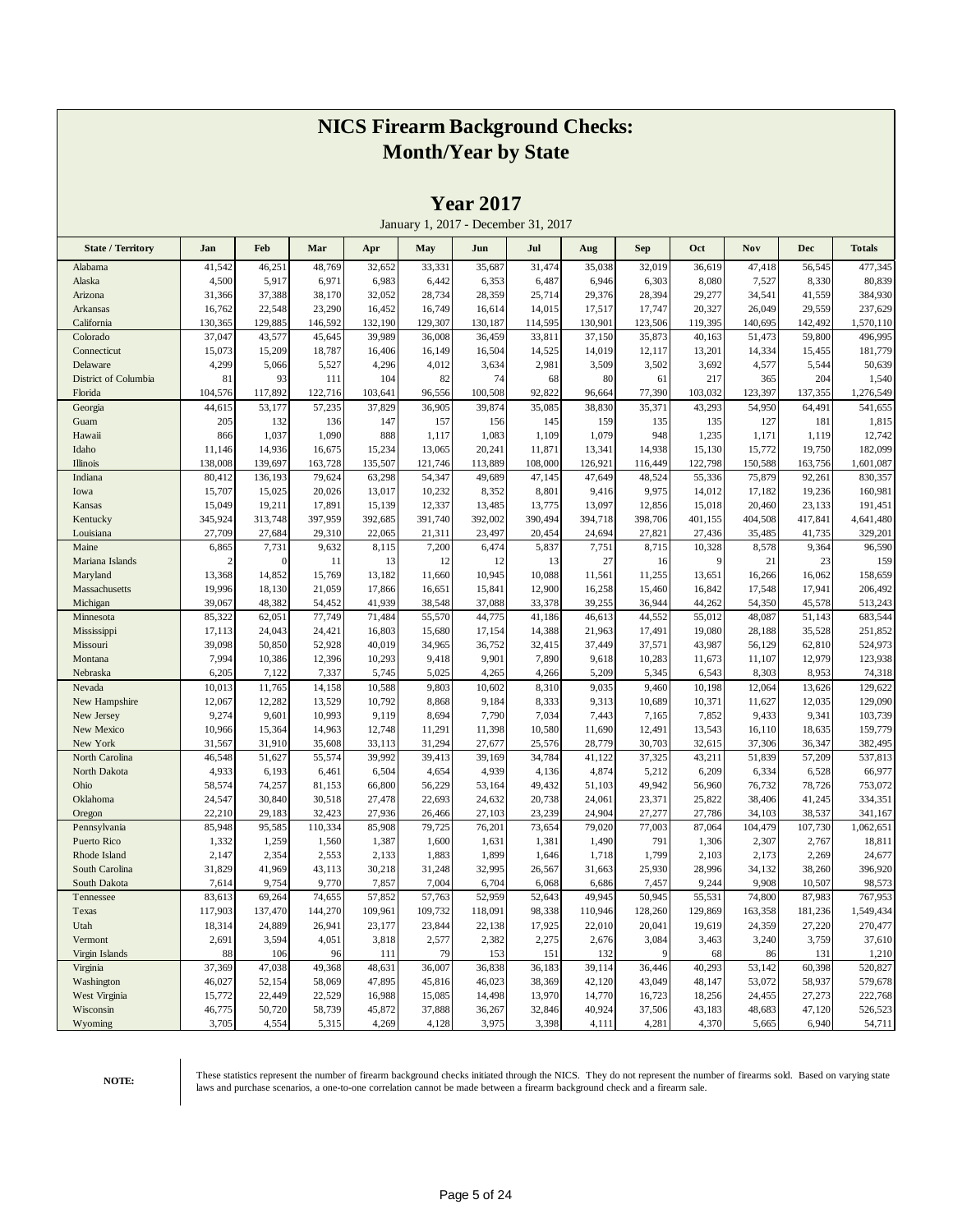|                          |                 |                 |                   |                 |                  |                 | January 1, 2017 - December 31, 2017 |                 |                  |                 |                  |                   |                    |
|--------------------------|-----------------|-----------------|-------------------|-----------------|------------------|-----------------|-------------------------------------|-----------------|------------------|-----------------|------------------|-------------------|--------------------|
| <b>State / Territory</b> | Jan             | Feb             | Mar               | Apr             | May              | Jun             | Jul                                 | Aug             | <b>Sep</b>       | Oct             | Nov              | Dec               | <b>Totals</b>      |
| Alabama                  | 41,542          | 46,251          | 48,769            | 32,652          | 33,331           | 35,687          | 31,474                              | 35,038          | 32,019           | 36,619          | 47,418           | 56,545            | 477,345            |
| Alaska                   | 4,500           | 5,917           | 6,971             | 6,983           | 6,442            | 6,353           | 6,487                               | 6,946           | 6,303            | 8,080           | 7,527            | 8,330             | 80,839             |
| Arizona                  | 31,366          | 37,388          | 38,170            | 32,052          | 28,734           | 28,359          | 25,714                              | 29,376          | 28,394           | 29,277          | 34,541           | 41,559            | 384,930            |
| Arkansas                 | 16,762          | 22,548          | 23,290            | 16,452          | 16,749           | 16,614          | 14,015                              | 17,517          | 17,747           | 20,327          | 26,049           | 29,559            | 237,629            |
| California               | 130,365         | 129,885         | 146,592           | 132,190         | 129,307          | 130,187         | 114,595                             | 130,901         | 123,506          | 119,395         | 140,695          | 142,492           | 1,570,110          |
| Colorado                 | 37,047          | 43,577          | 45,645            | 39,989          | 36,008           | 36,459          | 33,811                              | 37,150          | 35,873           | 40,163          | 51,473           | 59,800            | 496,995            |
| Connecticut              | 15,073          | 15,209          | 18,787            | 16,406          | 16,149           | 16,504          | 14,525                              | 14,019          | 12,117           | 13,201          | 14,334           | 15,455            | 181,779            |
| Delaware                 | 4,299           | 5,066           | 5,527             | 4,296           | 4,012            | 3,634           | 2,981                               | 3,509           | 3,502            | 3,692           | 4,577            | 5,544             | 50,639             |
| District of Columbia     | 81              | 93              | 111               | 104             | 82               | 74              | 68                                  | 80              | 61               | 217             | 365              | 204               | 1,540              |
| Florida                  | 104,576         | 117,892         | 122,716           | 103,641         | 96,556           | 100,508         | 92,822                              | 96,664          | 77,390           | 103,032         | 123,397          | 137,355           | 1,276,549          |
| Georgia                  | 44,615          | 53,177          | 57,235            | 37,829          | 36,905           | 39,874          | 35,085                              | 38,830          | 35,371           | 43,293          | 54,950           | 64,491            | 541,655            |
| Guam                     | 205             | 132             | 136               | 147             | 157              | 156             | 145                                 | 159             | 135              | 135             | 127              | 181               | 1,815              |
| Hawaii                   | 866             | 1,037           | 1,090             | 888             | 1,117            | 1,083           | 1,109                               | 1,079           | 948              | 1,235           | 1,171            | 1,119             | 12,742             |
| Idaho                    | 11,146          | 14,936          | 16,675            | 15,234          | 13,065           | 20,241          | 11,871                              | 13,341          | 14,938           | 15,130          | 15,772           | 19,750            | 182,099            |
| Illinois                 | 138,008         | 139,697         | 163,728           | 135,507         | 121,746          | 113,889         | 108,000                             | 126,921         | 116,449          | 122,798         | 150,588          | 163,756           | 1,601,087          |
| Indiana                  | 80,412          | 136,193         | 79,624            | 63,298          | 54,347           | 49,689          | 47,145                              | 47,649          | 48,524           | 55,336          | 75,879           | 92,261            | 830,357            |
| Iowa                     | 15,707          | 15,025          | 20,026            | 13,017          | 10,232           | 8,352           | 8,801                               | 9,416           | 9,975            | 14,012          | 17,182           | 19,236            | 160,981            |
| Kansas                   | 15,049          | 19,211          | 17,891            | 15,139          | 12,337           | 13,485          | 13,775                              | 13,097          | 12,856           | 15,018          | 20,460           | 23,133            | 191,451            |
| Kentucky                 | 345,924         | 313,748         | 397,959           | 392,685         | 391,740          | 392,002         | 390,494                             | 394,718         | 398,706          | 401,155         | 404,508          | 417,841           | 4,641,480          |
| Louisiana                | 27,709          | 27,684          | 29,310            | 22,065          | 21,311           | 23,497          | 20,454                              | 24,694          | 27,821           | 27,436          | 35,485           | 41,735            | 329,201            |
| Maine                    | 6,865           | 7,731           | 9,632             | 8,115           | 7,200            | 6,474           | 5,837                               | 7,751           | 8,715            | 10,328          | 8,578            | 9,364             | 96,590             |
| Mariana Islands          | $\overline{c}$  | $\mathbf{0}$    | 11                | 13              | 12               | 12              | 13                                  | 27              | 16               | 9               | 21               | 23                | 159                |
| Maryland                 | 13,368          | 14,852          | 15,769            | 13,182          | 11,660           | 10,945          | 10,088                              | 11,561          | 11,255           | 13,651          | 16,266           | 16,062            | 158,659            |
| Massachusetts            | 19,996          | 18,130          | 21,059            | 17,866          | 16,651           | 15,841          | 12,900                              | 16,258          | 15,460           | 16,842          | 17,548           | 17,941            | 206,492            |
| Michigan                 | 39,067          | 48,382          | 54,452            | 41,939          | 38,548           | 37,088          | 33,378                              | 39,255          | 36,944           | 44,262          | 54,350           | 45,578            | 513,243            |
| Minnesota                | 85,322          | 62,051          | 77,749            | 71,484          | 55,570           | 44,775          | 41,186                              | 46,613          | 44,552           | 55,012          | 48,087           | 51,143            | 683,544            |
| Mississippi              | 17,113          | 24,043          | 24,421            | 16,803          | 15,680           | 17,154          | 14,388                              | 21,963          | 17,491           | 19,080          | 28,188           | 35,528            | 251,852            |
| Missouri                 | 39,098          | 50,850          | 52,928            | 40,019          | 34,965           | 36,752          | 32,415                              | 37,449          | 37,571           | 43,987          | 56,129           | 62,810            | 524,973            |
| Montana                  | 7,994           | 10,386          | 12,396            | 10,293          | 9,418            | 9,901           | 7,890                               | 9,618           | 10,283           | 11,673          | 11,107           | 12,979            | 123,938            |
| Nebraska                 | 6,205           | 7,122           | 7,337             | 5,745           | 5,025            | 4,265           | 4,266                               | 5,209           | 5,345            | 6,543           | 8,303            | 8,953             | 74,318             |
| Nevada                   | 10,013          | 11,765          | 14,158            | 10,588          | 9,803            | 10,602          | 8,310                               | 9,035           | 9,460            | 10,198          | 12,064           | 13,626            | 129,622            |
| New Hampshire            | 12,067          | 12,282          | 13,529            | 10,792          | 8,868            | 9,184           | 8,333                               | 9,313           | 10,689           | 10,371          | 11,627           | 12,035            | 129,090            |
| New Jersey               | 9,274           | 9,601           | 10,993            | 9,119           | 8,694            | 7,790           | 7,034                               | 7,443           | 7,165            | 7,852           | 9,433            | 9,341             | 103,739            |
| New Mexico               | 10,966          | 15,364          | 14,963            | 12,748          | 11,291           | 11,398          | 10,580                              | 11,690          | 12,491           | 13,543          | 16,110           | 18,635            | 159,779            |
| New York                 | 31,567          | 31,910          | 35,608            | 33,113          | 31,294           | 27,677          | 25,576                              | 28,779          | 30,703           | 32,615          | 37,306           | 36,347            | 382,495            |
| North Carolina           | 46,548          | 51,627          | 55,574            | 39,992          | 39,413           | 39,169          | 34,784                              | 41,122          | 37,325           | 43,211          | 51,839           | 57,209            | 537,813            |
| North Dakota             | 4,933           | 6,193           | 6,461             | 6,504           | 4,654            | 4,939           | 4,136                               | 4,874           | 5,212            | 6,209           | 6,334            | 6,528             | 66,977             |
| Ohio                     | 58,574          | 74,257          | 81,153            | 66,800          | 56,229           | 53,164          | 49,432                              | 51,103          | 49,942           | 56,960          | 76,732           | 78,726            | 753,072            |
| Oklahoma                 | 24,547          | 30,840          | 30,518            | 27,478          | 22,693           | 24,632          | 20,738<br>23,239                    | 24,061          | 23,371           | 25,822          | 38,406           | 41,245            | 334,351<br>341,167 |
| Oregon<br>Pennsylvania   | 22,210          | 29,183          | 32,423<br>110,334 | 27,936          | 26,466<br>79,725 | 27,103          | 73,654                              | 24,904          | 27,277<br>77,003 | 27,786          | 34,103           | 38,537<br>107,730 | 1,062,651          |
| Puerto Rico              | 85,948<br>1,332 | 95,585<br>1,259 | 1,560             | 85,908<br>1,387 | 1,600            | 76,201<br>1,631 | 1,381                               | 79,020<br>1,490 | 791              | 87,064<br>1,306 | 104,479<br>2,307 | 2,767             | 18,811             |
| Rhode Island             | 2,147           | 2,354           | 2,553             | 2,133           | 1,883            | 1,899           | 1,646                               | 1,718           | 1,799            | 2,103           | 2,173            | 2,269             | 24,677             |
| South Carolina           | 31,829          | 41,969          | 43,113            | 30,218          | 31,248           | 32,995          | 26,567                              | 31,663          | 25,930           | 28,996          | 34,132           | 38,260            | 396,920            |
| South Dakota             | 7,614           | 9,754           | 9,770             | 7,857           | 7,004            | 6,704           | 6,068                               | 6,686           | 7,457            | 9,244           | 9,908            | 10,507            | 98,573             |
| Tennessee                | 83,613          | 69,264          | 74,655            | 57,852          | 57,763           | 52,959          | 52,643                              | 49,945          | 50,945           | 55,531          | 74,800           | 87,983            | 767,953            |
| Texas                    | 117,903         | 137,470         | 144,270           | 109,961         | 109,732          | 118,091         | 98,338                              | 110,946         | 128,260          | 129,869         | 163,358          | 181,236           | 1,549,434          |
| Utah                     | 18,314          | 24,889          | 26,941            | 23,177          | 23,844           | 22,138          | 17,925                              | 22,010          | 20,041           | 19,619          | 24,359           | 27,220            | 270,477            |
| Vermont                  | 2,691           | 3,594           | 4,051             | 3,818           | 2,577            | 2,382           | 2,275                               | 2,676           | 3,084            | 3,463           | 3,240            | 3,759             | 37,610             |
| Virgin Islands           | 88              | 106             | 96                | 111             | 79               | 153             | 151                                 | 132             | 9                | 68              | 86               | 131               | 1,210              |
| Virginia                 | 37,369          | 47,038          | 49,368            | 48,631          | 36,007           | 36,838          | 36,183                              | 39,114          | 36,446           | 40,293          | 53,142           | 60,398            | 520,827            |
| Washington               | 46,027          | 52,154          | 58,069            | 47,895          | 45,816           | 46,023          | 38,369                              | 42,120          | 43,049           | 48,147          | 53,072           | 58,937            | 579,678            |
| West Virginia            | 15,772          | 22,449          | 22,529            | 16,988          | 15,085           | 14,498          | 13,970                              | 14,770          | 16,723           | 18,256          | 24,455           | 27,273            | 222,768            |
| Wisconsin                | 46,775          | 50,720          | 58,739            | 45,872          | 37,888           | 36,267          | 32,846                              | 40,924          | 37,506           | 43,183          | 48,683           | 47,120            | 526,523            |
| Wyoming                  | 3,705           | 4,554           | 5,315             | 4,269           | 4,128            | 3,975           | 3,398                               | 4,111           | 4,281            | 4,370           | 5,665            | 6,940             | 54,711             |

**Year 2017**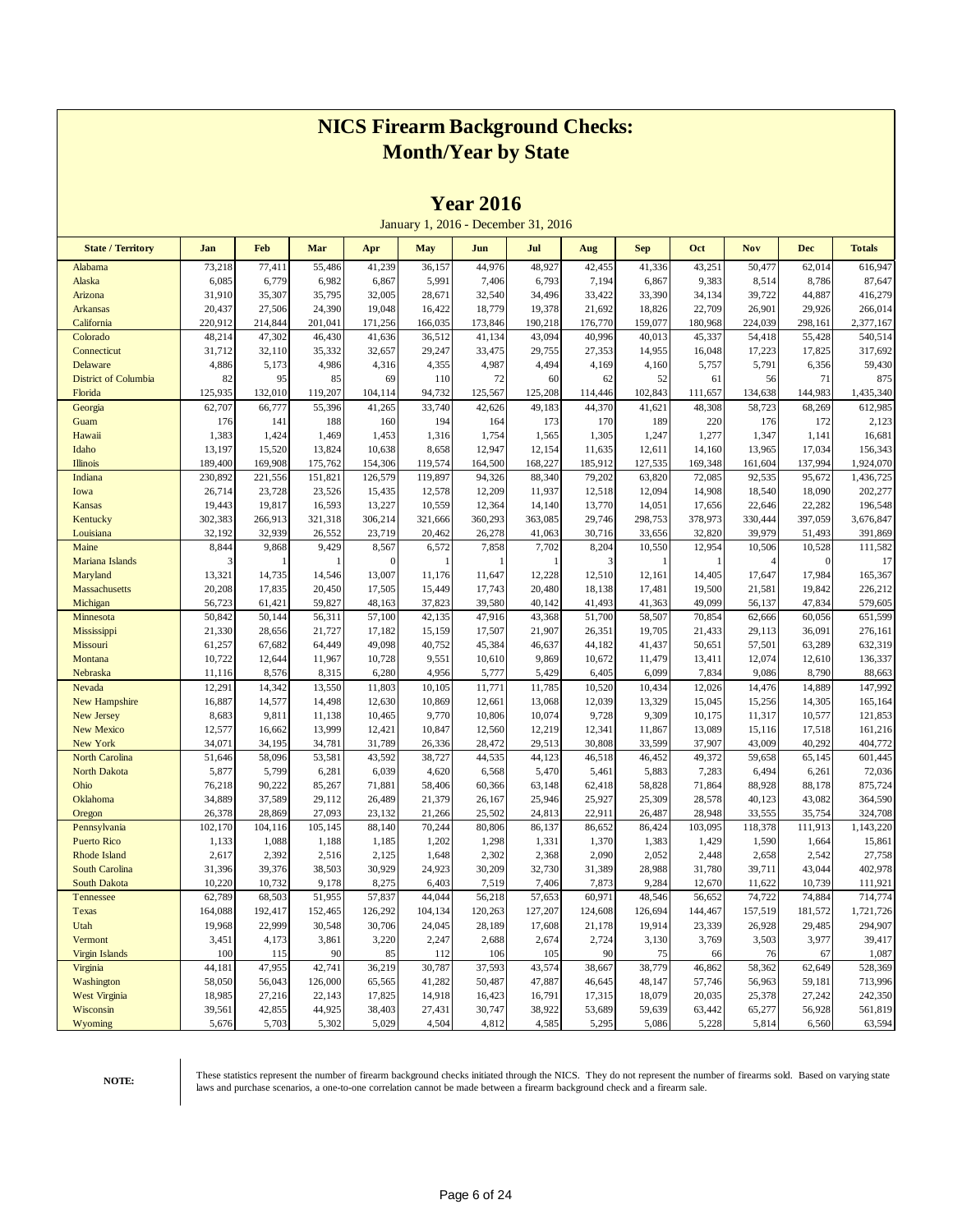|                             |                  |                  |                  |                  |                  | 1 cal 2010       |                                     |                  |                  |                  |                  |                   |                      |
|-----------------------------|------------------|------------------|------------------|------------------|------------------|------------------|-------------------------------------|------------------|------------------|------------------|------------------|-------------------|----------------------|
|                             |                  |                  |                  |                  |                  |                  | January 1, 2016 - December 31, 2016 |                  |                  |                  |                  |                   |                      |
| <b>State / Territory</b>    | Jan              | Feb              | Mar              | Apr              | <b>May</b>       | Jun              | Jul                                 | Aug              | <b>Sep</b>       | Oct              | <b>Nov</b>       | <b>Dec</b>        | <b>Totals</b>        |
| Alabama                     | 73,218           | 77,411           | 55,486           | 41,239           | 36,157           | 44,976           | 48,927                              | 42,455           | 41,336           | 43,251           | 50,477           | 62,014            | 616,947              |
| Alaska                      | 6,085            | 6,779            | 6,982            | 6,867            | 5,991            | 7,406            | 6,793                               | 7,194            | 6,867            | 9,383            | 8,514            | 8,786             | 87,647               |
| Arizona                     | 31,910           | 35,307           | 35,795           | 32,005           | 28,671           | 32,540           | 34,496                              | 33,422           | 33,390           | 34,134           | 39,722           | 44,887            | 416,279              |
| <b>Arkansas</b>             | 20,437           | 27,506           | 24,390           | 19,048           | 16,422           | 18,779           | 19,378                              | 21,692           | 18,826           | 22,709           | 26,901           | 29,926            | 266,014              |
| California                  | 220,912          | 214,844          | 201,041          | 171,256          | 166,035          | 173,846          | 190,218                             | 176,770          | 159,077          | 180,968          | 224,039          | 298,161           | 2,377,167            |
| Colorado                    | 48,214           | 47,302           | 46,430           | 41,636           | 36,512           | 41,134           | 43,094                              | 40,996           | 40,013           | 45,337           | 54,418           | 55,428            | 540,514              |
| Connecticut                 | 31,712           | 32,110           | 35,332           | 32,657           | 29,247           | 33,475           | 29,755                              | 27,353           | 14,955           | 16,048           | 17,223           | 17,825            | 317,692              |
| Delaware                    | 4,886            | 5,173            | 4,986            | 4,316            | 4,355            | 4,987            | 4,494                               | 4,169            | 4,160            | 5,757            | 5,791            | 6,356             | 59,430               |
| <b>District of Columbia</b> | 82               | 95               | 85               | 69               | 110              | 72               | 60                                  | 62               | 52               | 61               | 56               | 71                | 875                  |
| Florida                     | 125,935          | 132,010          | 119,207          | 104,114          | 94,732           | 125,567          | 125,208                             | 114,446          | 102,843          | 111,657          | 134,638          | 144,983           | 1,435,340            |
| Georgia                     | 62,707           | 66,777           | 55,396           | 41,265           | 33,740           | 42,626           | 49,183                              | 44,370           | 41,621           | 48,308           | 58,723           | 68,269            | 612,985              |
| Guam                        | 176              | 141              | 188              | 160              | 194              | 164<br>1,754     | 173                                 | 170              | 189              | 220<br>1,277     | 176              | 172               | 2,123                |
| Hawaii<br>Idaho             | 1,383<br>13,197  | 1,424<br>15,520  | 1,469<br>13,824  | 1,453<br>10,638  | 1,316<br>8,658   | 12,947           | 1,565<br>12,154                     | 1,305<br>11,635  | 1,247<br>12,611  | 14,160           | 1,347<br>13,965  | 1,141<br>17,034   | 16,681<br>156,343    |
| <b>Illinois</b>             | 189,400          | 169,908          | 175,762          | 154,306          | 119,574          | 164,500          | 168,227                             | 185,912          | 127,535          | 169,348          | 161,604          | 137,994           | 1,924,070            |
| Indiana                     | 230,892          | 221,556          | 151,821          | 126,579          | 119,897          | 94,326           | 88,340                              | 79,202           | 63,820           | 72,085           | 92,535           | 95,672            | 1,436,725            |
| Iowa                        | 26,714           | 23,728           | 23,526           | 15,435           | 12,578           | 12,209           | 11,937                              | 12,518           | 12,094           | 14,908           | 18,540           | 18,090            | 202,277              |
| Kansas                      | 19,443           | 19,817           | 16,593           | 13,227           | 10,559           | 12,364           | 14,140                              | 13,770           | 14,051           | 17,656           | 22,646           | 22,282            | 196,548              |
| Kentucky                    | 302,383          | 266,913          | 321,318          | 306,214          | 321,666          | 360,293          | 363,085                             | 29,746           | 298,753          | 378,973          | 330,444          | 397,059           | 3,676,847            |
| Louisiana                   | 32,192           | 32,939           | 26,552           | 23,719           | 20,462           | 26,278           | 41,063                              | 30,716           | 33,656           | 32,820           | 39,979           | 51,493            | 391,869              |
| Maine                       | 8,844            | 9,868            | 9,429            | 8,567            | 6,572            | 7,858            | 7,702                               | 8,204            | 10,550           | 12,954           | 10,506           | 10,528            | 111,582              |
| Mariana Islands             | 3                |                  |                  | $\mathbf{0}$     |                  |                  | 1                                   | 3                | 1                |                  | 4                | $\mathbf{0}$      | 17                   |
| Maryland                    | 13,321           | 14,735           | 14,546           | 13,007           | 11,176           | 11,647           | 12,228                              | 12,510           | 12,161           | 14,405           | 17,647           | 17,984            | 165,367              |
| Massachusetts               | 20,208           | 17,835           | 20,450           | 17,505           | 15,449           | 17,743           | 20,480                              | 18,138           | 17,481           | 19,500           | 21,581           | 19,842            | 226,212              |
| Michigan                    | 56,723           | 61,421           | 59,827           | 48,163           | 37,823           | 39,580           | 40,142                              | 41,493           | 41,363           | 49,099           | 56,137           | 47,834            | 579,605              |
| Minnesota                   | 50,842           | 50,144           | 56,311           | 57,100           | 42,135           | 47,916           | 43,368                              | 51,700           | 58,507           | 70,854           | 62,666           | 60,056            | 651,599              |
| Mississippi                 | 21,330           | 28,656           | 21,727           | 17,182           | 15,159           | 17,507           | 21,907                              | 26,351           | 19,705           | 21,433           | 29,113           | 36,091            | 276,161              |
| Missouri                    | 61,257           | 67,682           | 64,449           | 49,098           | 40,752           | 45,384           | 46,637                              | 44,182           | 41,437           | 50,651           | 57,501           | 63,289            | 632,319              |
| Montana                     | 10,722           | 12,644           | 11,967           | 10,728           | 9,551            | 10,610           | 9,869                               | 10,672           | 11,479           | 13,411           | 12,074           | 12,610            | 136,337              |
| Nebraska                    | 11,116           | 8,576            | 8,315            | 6,280            | 4,956            | 5,777            | 5,429                               | 6,405            | 6,099            | 7,834            | 9,086            | 8,790             | 88,663               |
| Nevada                      | 12,291           | 14,342           | 13,550           | 11,803           | 10,105           | 11,771           | 11,785                              | 10,520           | 10,434           | 12,026           | 14,476           | 14,889            | 147,992              |
| <b>New Hampshire</b>        | 16,887           | 14,577           | 14,498           | 12,630           | 10,869           | 12,661           | 13,068                              | 12,039           | 13,329           | 15,045           | 15,256           | 14,305            | 165,164              |
| <b>New Jersey</b>           | 8,683            | 9,811            | 11,138           | 10,465           | 9,770            | 10,806           | 10,074                              | 9,728            | 9,309            | 10,175           | 11,317           | 10,577            | 121,853              |
| <b>New Mexico</b>           | 12,577           | 16,662           | 13,999           | 12,421           | 10,847           | 12,560           | 12,219                              | 12,341           | 11,867           | 13,089           | 15,116           | 17,518            | 161,216              |
| New York                    | 34,071           | 34,195           | 34,781           | 31,789           | 26,336           | 28,472           | 29,513                              | 30,808           | 33,599           | 37,907           | 43,009           | 40,292            | 404,772              |
| <b>North Carolina</b>       | 51,646           | 58,096           | 53,581           | 43,592           | 38,727           | 44,535           | 44,123                              | 46,518           | 46,452           | 49,372           | 59,658           | 65,145            | 601,445              |
| <b>North Dakota</b>         | 5,877            | 5,799            | 6,281            | 6,039            | 4,620            | 6,568            | 5,470                               | 5,461            | 5,883            | 7,283            | 6,494            | 6,261             | 72,036               |
| Ohio                        | 76,218           | 90,222           | 85,267           | 71,881           | 58,406           | 60,366           | 63,148                              | 62,418           | 58,828           | 71,864           | 88,928           | 88,178            | 875,724              |
| Oklahoma                    | 34,889<br>26,378 | 37,589<br>28,869 | 29,112<br>27,093 | 26,489<br>23,132 | 21,379<br>21,266 | 26,167           | 25,946<br>24,813                    | 25,927<br>22,911 | 25,309<br>26,487 | 28,578<br>28,948 | 40,123<br>33,555 | 43,082            | 364,590              |
| Oregon<br>Pennsylvania      | 102,170          | 104,116          | 105,145          | 88,140           | 70,244           | 25,502<br>80,806 | 86,137                              | 86,652           | 86,424           | 103,095          | 118,378          | 35,754<br>111,913 | 324,708<br>1,143,220 |
| <b>Puerto Rico</b>          | 1,133            | 1,088            | 1,188            | 1,185            | 1,202            | 1,298            | 1,331                               | 1,370            | 1,383            | 1,429            | 1,590            | 1,664             | 15,861               |
| <b>Rhode Island</b>         | 2,617            | 2,392            | 2,516            | 2,125            | 1,648            | 2,302            | 2,368                               | 2,090            | 2,052            | 2,448            | 2,658            | 2,542             | 27,758               |
| <b>South Carolina</b>       | 31,396           | 39,376           | 38,503           | 30,929           | 24,923           | 30,209           | 32,730                              | 31,389           | 28,988           | 31,780           | 39,711           | 43,044            | 402,978              |
| South Dakota                | 10,220           | 10,732           | 9,178            | 8,275            | 6,403            | 7,519            | 7,406                               | 7,873            | 9,284            | 12,670           | 11,622           | 10,739            | 111,921              |
| Tennessee                   | 62,789           | 68,503           | 51,955           | 57,837           | 44,044           | 56,218           | 57,653                              | 60,971           | 48,546           | 56,652           | 74,722           | 74,884            | 714,774              |
| Texas                       | 164,088          | 192,417          | 152,465          | 126,292          | 104,134          | 120,263          | 127,207                             | 124,608          | 126,694          | 144,467          | 157,519          | 181,572           | 1,721,726            |
| Utah                        | 19,968           | 22,999           | 30,548           | 30,706           | 24,045           | 28,189           | 17,608                              | 21,178           | 19,914           | 23,339           | 26,928           | 29,485            | 294,907              |
| Vermont                     | 3,451            | 4,173            | 3,861            | 3,220            | 2,247            | 2,688            | 2,674                               | 2,724            | 3,130            | 3,769            | 3,503            | 3,977             | 39,417               |
| <b>Virgin Islands</b>       | 100              | 115              | 90               | 85               | 112              | 106              | 105                                 | 90               | 75               | 66               | 76               | 67                | 1,087                |
| Virginia                    | 44,181           | 47,955           | 42,741           | 36,219           | 30,787           | 37,593           | 43,574                              | 38,667           | 38,779           | 46,862           | 58,362           | 62,649            | 528,369              |
| Washington                  | 58,050           | 56,043           | 126,000          | 65,565           | 41,282           | 50,487           | 47,887                              | 46,645           | 48,147           | 57,746           | 56,963           | 59,181            | 713,996              |
| <b>West Virginia</b>        | 18,985           | 27,216           | 22,143           | 17,825           | 14,918           | 16,423           | 16,791                              | 17,315           | 18,079           | 20,035           | 25,378           | 27,242            | 242,350              |
| Wisconsin                   | 39,561           | 42,855           | 44,925           | 38,403           | 27,431           | 30,747           | 38,922                              | 53,689           | 59,639           | 63,442           | 65,277           | 56,928            | 561,819              |
| Wyoming                     | 5,676            | 5,703            | 5,302            | 5,029            | 4,504            | 4,812            | 4,585                               | 5,295            | 5,086            | 5,228            | 5,814            | 6,560             | 63,594               |

**Year 2016**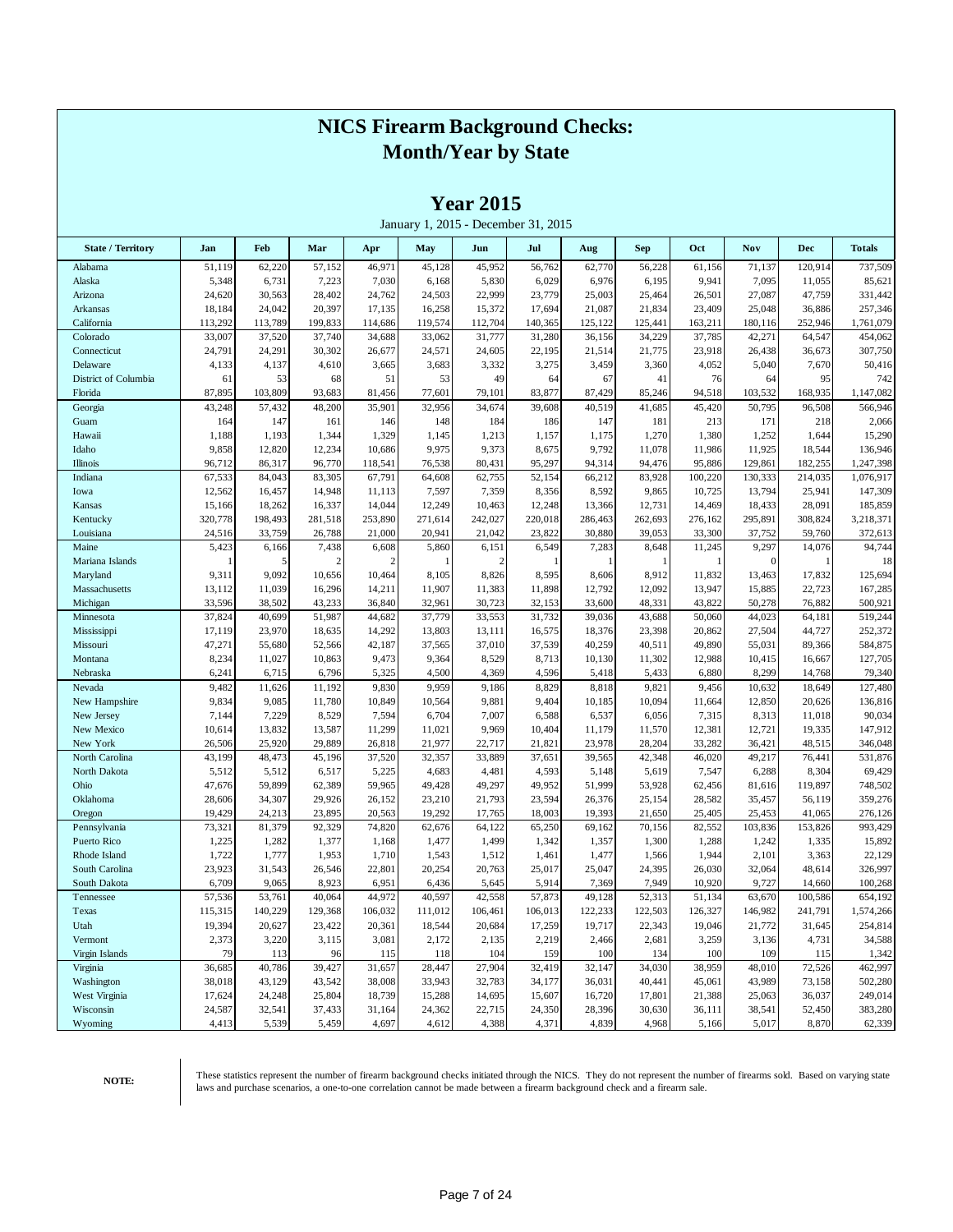|                          |                 |                  |                  |                 |                 | $1$ ear $2015$          | January 1, 2015 - December 31, 2015 |                  |                  |                  |                  |                  |                    |
|--------------------------|-----------------|------------------|------------------|-----------------|-----------------|-------------------------|-------------------------------------|------------------|------------------|------------------|------------------|------------------|--------------------|
| <b>State / Territory</b> | Jan             | Feb              | Mar              | Apr             | May             | Jun                     | Jul                                 | Aug              | <b>Sep</b>       | Oct              | Nov              | <b>Dec</b>       | <b>Totals</b>      |
| Alabama                  | 51,119          | 62,220           | 57,152           | 46,971          | 45,128          | 45,952                  | 56,762                              | 62,770           | 56,228           | 61,156           | 71,137           | 120,914          | 737,509            |
| Alaska                   | 5,348           | 6,731            | 7,223            | 7,030           | 6,168           | 5,830                   | 6,029                               | 6,976            | 6,195            | 9,941            | 7,095            | 11,055           | 85,621             |
| Arizona                  | 24,620          | 30,563           | 28,402           | 24,762          | 24,503          | 22,999                  | 23,779                              | 25,003           | 25,464           | 26,501           | 27,087           | 47,759           | 331,442            |
| Arkansas                 | 18,184          | 24,042           | 20,397           | 17,135          | 16,258          | 15,372                  | 17,694                              | 21,087           | 21,834           | 23,409           | 25,048           | 36,886           | 257,346            |
| California               | 113,292         | 113,789          | 199,833          | 114,686         | 119,574         | 112,704                 | 140,365                             | 125,122          | 125,441          | 163,211          | 180,116          | 252,946          | 1,761,079          |
| Colorado                 | 33,007          | 37,520           | 37,740           | 34,688          | 33,062          | 31,777                  | 31,280                              | 36,156           | 34,229           | 37,785           | 42,271           | 64,547           | 454,062            |
| Connecticut              | 24,791          | 24,291           | 30,302           | 26,677          | 24,571          | 24,605                  | 22,195                              | 21,514           | 21,775           | 23,918           | 26,438           | 36,673           | 307,750            |
| Delaware                 | 4,133           | 4,137            | 4,610            | 3,665           | 3,683           | 3,332                   | 3,275                               | 3,459            | 3,360            | 4,052            | 5,040            | 7,670            | 50,416             |
| District of Columbia     | 61              | 53               | 68               | 51              | 53              | 49                      | 64                                  | 67               | 41               | 76               | 64               | 95               | 742                |
| Florida                  | 87,895          | 103,809          | 93,683           | 81,456          | 77,601          | 79,101                  | 83,877                              | 87,429           | 85,246           | 94,518           | 103,532          | 168,935          | 1,147,082          |
| Georgia                  | 43,248          | 57,432           | 48,200           | 35,901          | 32,956          | 34,674                  | 39,608                              | 40,519           | 41,685           | 45,420           | 50,795           | 96,508           | 566,946            |
| Guam                     | 164             | 147              | 161              | 146             | 148             | 184                     | 186                                 | 147              | 181              | 213              | 171              | 218              | 2,066              |
| Hawaii                   | 1,188           | 1,193            | 1,344            | 1,329           | 1,145           | 1,213                   | 1,157                               | 1,175            | 1,270            | 1,380            | 1,252            | 1,644            | 15,290             |
| Idaho                    | 9,858           | 12,820           | 12,234           | 10,686          | 9,975           | 9,373                   | 8,675                               | 9,792            | 11,078           | 11,986           | 11,925           | 18,544           | 136,946            |
| Illinois                 | 96,712          | 86,317           | 96,770           | 118,541         | 76,538          | 80,431                  | 95,297                              | 94,314           | 94,476           | 95,886           | 129,861          | 182,255          | 1,247,398          |
| Indiana                  | 67,533          | 84,043           | 83,305           | 67,791          | 64,608          | 62,755                  | 52,154                              | 66,212           | 83,928           | 100,220          | 130,333          | 214,035          | 1,076,917          |
| Iowa                     | 12,562          | 16,457           | 14,948           | 11,113          | 7,597           | 7,359                   | 8,356                               | 8,592            | 9,865            | 10,725           | 13,794           | 25,941           | 147,309            |
| Kansas                   | 15,166          | 18,262           | 16,337           | 14,044          | 12,249          | 10,463                  | 12,248                              | 13,366           | 12,731           | 14,469           | 18,433           | 28,091           | 185,859            |
| Kentucky                 | 320,778         | 198,493          | 281,518          | 253,890         | 271,614         | 242,027                 | 220,018                             | 286,463          | 262,693          | 276,162          | 295,891          | 308,824          | 3,218,371          |
| Louisiana                | 24,516          | 33,759           | 26,788           | 21,000          | 20,941          | 21,042                  | 23,822                              | 30,880           | 39,053           | 33,300           | 37,752           | 59,760           | 372,613            |
| Maine                    | 5,423           | 6,166            | 7,438            | 6,608           | 5,860           | 6,151                   | 6,549                               | 7,283            | 8,648            | 11,245           | 9,297            | 14,076           | 94,744             |
| Mariana Islands          |                 | 5                |                  |                 |                 | $\overline{\mathbf{c}}$ |                                     |                  |                  |                  | $\mathbf{0}$     |                  | 18                 |
| Maryland                 | 9,311           | 9,092            | 10,656           | 10,464          | 8,105           | 8,826                   | 8,595                               | 8,606            | 8,912            | 11,832           | 13,463           | 17,832           | 125,694            |
| Massachusetts            | 13,112          | 11,039           | 16,296           | 14,211          | 11,907          | 11,383                  | 11,898                              | 12,792           | 12,092           | 13,947           | 15,885           | 22,723           | 167,285            |
| Michigan                 | 33,596          | 38,502           | 43,233           | 36,840          | 32,961          | 30,723                  | 32,153                              | 33,600           | 48,331           | 43,822           | 50,278           | 76,882           | 500,921            |
| Minnesota                | 37,824          | 40,699           | 51,987           | 44,682          | 37,779          | 33,553                  | 31,732                              | 39,036           | 43,688           | 50,060           | 44,023           | 64,181           | 519,244            |
| Mississippi              | 17,119          | 23,970           | 18,635           | 14,292          | 13,803          | 13,111                  | 16,575                              | 18,376           | 23,398           | 20,862           | 27,504           | 44,727           | 252,372            |
| Missouri<br>Montana      | 47,271<br>8,234 | 55,680<br>11,027 | 52,566<br>10,863 | 42,187<br>9,473 | 37,565<br>9,364 | 37,010<br>8,529         | 37,539<br>8,713                     | 40,259<br>10,130 | 40,511<br>11,302 | 49,890<br>12,988 | 55,031<br>10,415 | 89,366<br>16,667 | 584,875<br>127,705 |
| Nebraska                 | 6,241           | 6,715            | 6,796            | 5,325           | 4,500           | 4,369                   | 4,596                               | 5,418            | 5,433            | 6,880            | 8,299            | 14,768           | 79,340             |
| Nevada                   | 9,482           | 11,626           | 11,192           | 9,830           | 9,959           | 9,186                   | 8,829                               | 8,818            | 9,821            | 9,456            | 10,632           | 18,649           | 127,480            |
| New Hampshire            | 9,834           | 9,085            | 11,780           | 10,849          | 10,564          | 9,881                   | 9,404                               | 10,185           | 10,094           | 11,664           | 12,850           | 20,626           | 136,816            |
| New Jersey               | 7,144           | 7,229            | 8,529            | 7,594           | 6,704           | 7,007                   | 6,588                               | 6,537            | 6,056            | 7,315            | 8,313            | 11,018           | 90,034             |
| New Mexico               | 10,614          | 13,832           | 13,587           | 11,299          | 11,021          | 9,969                   | 10,404                              | 11,179           | 11,570           | 12,381           | 12,721           | 19,335           | 147,912            |
| New York                 | 26,506          | 25,920           | 29,889           | 26,818          | 21,977          | 22,717                  | 21,821                              | 23,978           | 28,204           | 33,282           | 36,421           | 48,515           | 346,048            |
| North Carolina           | 43,199          | 48,473           | 45,196           | 37,520          | 32,357          | 33,889                  | 37,651                              | 39,565           | 42,348           | 46,020           | 49,217           | 76,441           | 531,876            |
| North Dakota             | 5,512           | 5,512            | 6,517            | 5,225           | 4,683           | 4,481                   | 4,593                               | 5,148            | 5,619            | 7,547            | 6,288            | 8,304            | 69,429             |
| Ohio                     | 47,676          | 59,899           | 62,389           | 59,965          | 49,428          | 49,297                  | 49,952                              | 51,999           | 53,928           | 62,456           | 81,616           | 119,897          | 748,502            |
| Oklahoma                 | 28,606          | 34,307           | 29,926           | 26,152          | 23,210          | 21,793                  | 23,594                              | 26,376           | 25,154           | 28,582           | 35,457           | 56,119           | 359,276            |
| Oregon                   | 19,429          | 24,213           | 23,895           | 20,563          | 19,292          | 17,765                  | 18,003                              | 19,393           | 21,650           | 25,405           | 25,453           | 41,065           | 276,126            |
| Pennsylvania             | 73,321          | 81,379           | 92,329           | 74,820          | 62,676          | 64,122                  | 65,250                              | 69,162           | 70,156           | 82,552           | 103,836          | 153,826          | 993,429            |
| Puerto Rico              | 1,225           | 1,282            | 1,377            | 1,168           | 1,477           | 1,499                   | 1,342                               | 1,357            | 1,300            | 1,288            | 1,242            | 1,335            | 15,892             |
| Rhode Island             | 1,722           | 1,777            | 1,953            | 1,710           | 1,543           | 1,512                   | 1,461                               | 1,477            | 1,566            | 1,944            | 2,101            | 3,363            | 22,129             |
| South Carolina           | 23,923          | 31,543           | 26,546           | 22,801          | 20,254          | 20,763                  | 25,017                              | 25,047           | 24,395           | 26,030           | 32,064           | 48,614           | 326,997            |
| South Dakota             | 6,709           | 9,065            | 8,923            | 6,951           | 6,436           | 5,645                   | 5,914                               | 7,369            | 7,949            | 10,920           | 9,727            | 14,660           | 100,268            |
| Tennessee                | 57,536          | 53,761           | 40,064           | 44,972          | 40,597          | 42,558                  | 57,873                              | 49,128           | 52,313           | 51,134           | 63,670           | 100,586          | 654,192            |
| Texas                    | 115,315         | 140,229          | 129,368          | 106,032         | 111,012         | 106,461                 | 106,013                             | 122,233          | 122,503          | 126,327          | 146,982          | 241,791          | 1,574,266          |
| Utah                     | 19,394          | 20,627           | 23,422           | 20,361          | 18,544          | 20,684                  | 17,259                              | 19,717           | 22,343           | 19,046           | 21,772           | 31,645           | 254,814            |
| Vermont                  | 2,373           | 3,220            | 3,115            | 3,081           | 2,172           | 2,135                   | 2,219                               | 2,466            | 2,681            | 3,259            | 3,136            | 4,731            | 34,588             |
| Virgin Islands           | 79              | 113              | 96               | 115             | 118             | 104                     | 159                                 | 100              | 134              | 100              | 109              | 115              | 1,342              |
| Virginia                 | 36,685          | 40,786           | 39,427           | 31,657          | 28,447          | 27,904                  | 32,419                              | 32,147           | 34,030           | 38,959           | 48,010           | 72,526           | 462,997            |
| Washington               | 38,018          | 43,129           | 43,542           | 38,008          | 33,943          | 32,783                  | 34,177                              | 36,031           | 40,441           | 45,061           | 43,989           | 73,158           | 502,280            |
| West Virginia            | 17,624          | 24,248           | 25,804           | 18,739          | 15,288          | 14,695                  | 15,607                              | 16,720           | 17,801           | 21,388           | 25,063           | 36,037           | 249,014            |
| Wisconsin                | 24,587          | 32,541           | 37,433           | 31,164          | 24,362          | 22,715                  | 24,350                              | 28,396           | 30,630           | 36,111           | 38,541           | 52,450           | 383,280            |
| Wyoming                  | 4,413           | 5,539            | 5,459            | 4,697           | 4,612           | 4,388                   | 4,371                               | 4,839            | 4,968            | 5,166            | 5,017            | 8,870            | 62,339             |

**Year 2015**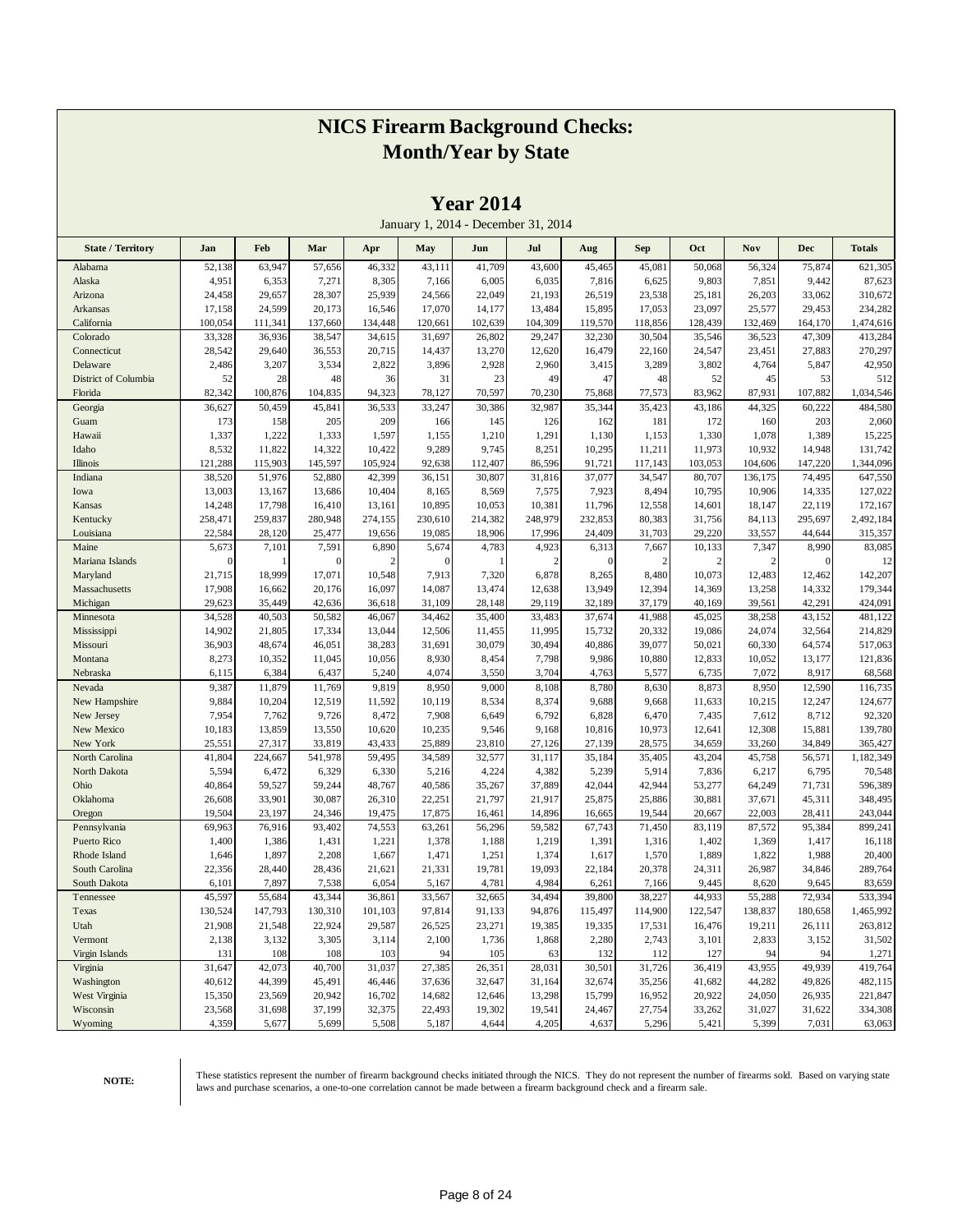|                           |                   |                   |                 |                   |                   |                  | January 1, 2014 - December 31, 2014 |                 |                  |                  |                  |                   |                      |
|---------------------------|-------------------|-------------------|-----------------|-------------------|-------------------|------------------|-------------------------------------|-----------------|------------------|------------------|------------------|-------------------|----------------------|
| <b>State / Territory</b>  | Jan               | Feb               | Mar             | Apr               | May               | Jun              | Jul                                 | Aug             | Sep              | Oct              | Nov              | <b>Dec</b>        | <b>Totals</b>        |
| Alabama                   | 52,138            | 63,947            | 57,656          | 46,332            | 43,111            | 41,709           | 43,600                              | 45,465          | 45,081           | 50,068           | 56,324           | 75,874            | 621,305              |
| Alaska                    | 4,951             | 6,353             | 7,271           | 8,305             | 7,166             | 6,005            | 6,035                               | 7,816           | 6,625            | 9,803            | 7,851            | 9,442             | 87,623               |
| Arizona                   | 24,458            | 29,657            | 28,307          | 25,939            | 24,566            | 22,049           | 21,193                              | 26,519          | 23,538           | 25,181           | 26,203           | 33,062            | 310,672              |
| Arkansas                  | 17,158            | 24,599            | 20,173          | 16,546            | 17,070            | 14,177           | 13,484                              | 15,895          | 17,053           | 23,097           | 25,577           | 29,453            | 234,282              |
| California                | 100,054           | 111,341           | 137,660         | 134,448           | 120,661           | 102,639          | 104,309                             | 119,570         | 118,856          | 128,439          | 132,469          | 164,170           | 1,474,616            |
| Colorado                  | 33,328            | 36,936            | 38,547          | 34,615            | 31,697            | 26,802           | 29,247                              | 32,230          | 30,504           | 35,546           | 36,523           | 47,309            | 413,284              |
| Connecticut               | 28,542            | 29,640            | 36,553          | 20,715            | 14,437            | 13,270           | 12,620                              | 16,479          | 22,160           | 24,547           | 23,451           | 27,883            | 270,297              |
| Delaware                  | 2,486             | 3,207             | 3,534           | 2,822             | 3,896             | 2,928            | 2,960                               | 3,415           | 3,289            | 3,802            | 4,764            | 5,847             | 42,950               |
| District of Columbia      | 52                | 28                | 48              | 36                | 31                | 23               | 49                                  | 47              | 48               | 52               | 45               | 53                | 512                  |
| Florida                   | 82,342            | 100,876           | 104,835         | 94,323            | 78,127            | 70,597           | 70,230                              | 75,868          | 77,573           | 83,962           | 87,931           | 107,882           | 1,034,546            |
| Georgia                   | 36,627            | 50,459            | 45,841          | 36,533            | 33,247            | 30,386           | 32,987                              | 35,344          | 35,423           | 43,186           | 44,325           | 60,222            | 484,580              |
| Guam                      | 173               | 158               | 205             | 209               | 166               | 145              | 126                                 | 162             | 181              | 172              | 160              | 203               | 2,060                |
| Hawaii                    | 1,337             | 1,222             | 1,333           | 1,597             | 1,155             | 1,210            | 1,291                               | 1,130           | 1,153            | 1,330            | 1,078            | 1,389             | 15,225               |
| Idaho                     | 8,532             | 11,822            | 14,322          | 10,422            | 9,289             | 9,745            | 8,251                               | 10,295          | 11,211           | 11,973           | 10,932           | 14,948            | 131,742              |
| Illinois                  | 121,288           | 115,903           | 145,597         | 105,924           | 92,638            | 112,407          | 86,596                              | 91,721          | 117,143          | 103,053          | 104,606          | 147,220           | 1,344,096            |
| Indiana                   | 38,520            | 51,976            | 52,880          | 42,399            | 36,151            | 30,807           | 31,816                              | 37,077          | 34,547           | 80,707           | 136,175          | 74,495            | 647,550              |
| Iowa                      | 13,003            | 13,167            | 13,686          | 10,404            | 8,165             | 8,569            | 7,575                               | 7,923           | 8,494            | 10,795           | 10,906           | 14,335            | 127,022              |
| Kansas                    | 14,248            | 17,798            | 16,410          | 13,161            | 10,895            | 10,053           | 10,381                              | 11,796          | 12,558           | 14,601           | 18,147           | 22,119            | 172,167<br>2,492,184 |
| Kentucky<br>Louisiana     | 258,471<br>22,584 | 259,837<br>28,120 | 280,948         | 274,155<br>19,656 | 230,610<br>19,085 | 214,382          | 248,979<br>17,996                   | 232,853         | 80,383<br>31,703 | 31,756<br>29,220 | 84,113<br>33,557 | 295,697<br>44,644 |                      |
| Maine                     | 5,673             | 7,101             | 25,477<br>7,591 | 6,890             | 5,674             | 18,906<br>4,783  | 4,923                               | 24,409<br>6,313 | 7,667            | 10,133           | 7,347            | 8,990             | 315,357<br>83,085    |
| Mariana Islands           | $\theta$          | 1                 | $\Omega$        | $\overline{2}$    | $\theta$          | ı                | 2                                   | $\mathbf{0}$    | $\overline{c}$   | $\overline{2}$   | $\overline{c}$   | $\mathbf{0}$      | 12                   |
| Maryland                  | 21,715            | 18,999            | 17,071          | 10,548            | 7,913             | 7,320            | 6,878                               | 8,265           | 8,480            | 10,073           | 12,483           | 12,462            | 142,207              |
| Massachusetts             | 17,908            | 16,662            | 20,176          | 16,097            | 14,087            | 13,474           | 12,638                              | 13,949          | 12,394           | 14,369           | 13,258           | 14,332            | 179,344              |
| Michigan                  | 29,623            | 35,449            | 42,636          | 36,618            | 31,109            | 28,148           | 29,119                              | 32,189          | 37,179           | 40,169           | 39,561           | 42,291            | 424,091              |
| Minnesota                 | 34,528            | 40,503            | 50,582          | 46,067            | 34,462            | 35,400           | 33,483                              | 37,674          | 41,988           | 45,025           | 38,258           | 43,152            | 481,122              |
| Mississippi               | 14,902            | 21,805            | 17,334          | 13,044            | 12,506            | 11,455           | 11,995                              | 15,732          | 20,332           | 19,086           | 24,074           | 32,564            | 214,829              |
| Missouri                  | 36,903            | 48,674            | 46,051          | 38,283            | 31,691            | 30,079           | 30,494                              | 40,886          | 39,077           | 50,021           | 60,330           | 64,574            | 517,063              |
| Montana                   | 8,273             | 10,352            | 11,045          | 10,056            | 8,930             | 8,454            | 7,798                               | 9,986           | 10,880           | 12,833           | 10,052           | 13,177            | 121,836              |
| Nebraska                  | 6,115             | 6,384             | 6,437           | 5,240             | 4,074             | 3,550            | 3,704                               | 4,763           | 5,577            | 6,735            | 7,072            | 8,917             | 68,568               |
| Nevada                    | 9,387             | 11,879            | 11,769          | 9,819             | 8,950             | 9,000            | 8,108                               | 8,780           | 8,630            | 8,873            | 8,950            | 12,590            | 116,735              |
| New Hampshire             | 9,884             | 10,204            | 12,519          | 11,592            | 10,119            | 8,534            | 8,374                               | 9,688           | 9,668            | 11,633           | 10,215           | 12,247            | 124,677              |
| New Jersey                | 7,954             | 7,762             | 9,726           | 8,472             | 7,908             | 6,649            | 6,792                               | 6,828           | 6,470            | 7,435            | 7,612            | 8,712             | 92,320               |
| New Mexico                | 10,183            | 13,859            | 13,550          | 10,620            | 10,235            | 9,546            | 9,168                               | 10,816          | 10,973           | 12,641           | 12,308           | 15,881            | 139,780              |
| New York                  | 25,551            | 27,317            | 33,819          | 43,433            | 25,889            | 23,810           | 27,126                              | 27,139          | 28,575           | 34,659           | 33,260           | 34,849            | 365,427              |
| North Carolina            | 41,804            | 224,667           | 541,978         | 59,495            | 34,589            | 32,577           | 31,117                              | 35,184          | 35,405           | 43,204           | 45,758           | 56,571            | 1,182,349            |
| North Dakota              | 5,594             | 6,472             | 6,329           | 6,330             | 5,216             | 4,224            | 4,382                               | 5,239           | 5,914            | 7,836            | 6,217            | 6,795             | 70,548               |
| Ohio                      | 40,864            | 59,527            | 59,244          | 48,767            | 40,586            | 35,267           | 37,889                              | 42,044          | 42,944           | 53,277           | 64,249           | 71,731            | 596,389              |
| Oklahoma                  | 26,608            | 33,901            | 30,087          | 26,310            | 22,251            | 21,797           | 21,917                              | 25,875          | 25,886           | 30,881           | 37,671           | 45,311            | 348,495              |
| Oregon                    | 19,504            | 23,197            | 24,346          | 19,475            | 17,875            | 16,461           | 14,896                              | 16,665          | 19,544           | 20,667           | 22,003           | 28,411            | 243,044              |
| Pennsylvania              | 69,963            | 76,916            | 93,402          | 74,553            | 63,261            | 56,296           | 59,582                              | 67,743          | 71,450           | 83,119           | 87,572           | 95,384            | 899,241              |
| Puerto Rico               | 1,400             | 1,386             | 1,431           | 1,221             | 1,378             | 1,188            | 1,219                               | 1,391           | 1,316            | 1,402            | 1,369            | 1,417             | 16,118               |
| Rhode Island              | 1,646             | 1,897             | 2,208           | 1,667             | 1,471             | 1,251            | 1,374                               | 1,617           | 1,570            | 1,889            | 1,822            | 1,988             | 20,400               |
| South Carolina            | 22,356            | 28,440            | 28,436          | 21,621            | 21,331            | 19,781           | 19,093                              | 22,184          | 20,378           | 24,311           | 26,987           | 34,846            | 289,764              |
| South Dakota              | 6,101             | 7,897             | 7,538           | 6,054             | 5,167             | 4,781            | 4,984                               | 6,261           | 7,166            | 9,445            | 8,620            | 9,645             | 83,659               |
| Tennessee                 | 45,597            | 55,684            | 43,344          | 36,861            | 33,567            | 32,665           | 34,494                              | 39,800          | 38,227           | 44,933           | 55,288           | 72,934            | 533,394              |
| Texas                     | 130,524           | 147,793           | 130,310         | 101,103           | 97,814            | 91,133           | 94,876                              | 115,497         | 114,900          | 122,547          | 138,837          | 180,658           | 1,465,992            |
| Utah                      | 21,908            | 21,548            | 22,924          | 29,587            | 26,525            | 23,271           | 19,385                              | 19,335          | 17,531           | 16,476           | 19,211           | 26,111            | 263,812              |
| Vermont<br>Virgin Islands | 2,138             | 3,132             | 3,305           | 3,114             | 2,100             | 1,736            | 1,868                               | 2,280           | 2,743            | 3,101            | 2,833            | 3,152<br>94       | 31,502               |
| Virginia                  | 131<br>31,647     | 108<br>42,073     | 108<br>40,700   | 103<br>31,037     | 94<br>27,385      | 105              | 63<br>28,031                        | 132<br>30,501   | 112<br>31,726    | 127              | 94<br>43,955     | 49,939            | 1,271<br>419,764     |
| Washington                | 40,612            | 44,399            | 45,491          | 46,446            | 37,636            | 26,351<br>32,647 | 31,164                              | 32,674          | 35,256           | 36,419<br>41,682 | 44,282           | 49,826            | 482,115              |
| West Virginia             | 15,350            | 23,569            | 20,942          | 16,702            | 14,682            | 12,646           | 13,298                              | 15,799          | 16,952           | 20,922           | 24,050           | 26,935            | 221,847              |
| Wisconsin                 | 23,568            | 31,698            | 37,199          | 32,375            | 22,493            | 19,302           | 19,541                              | 24,467          | 27,754           | 33,262           | 31,027           | 31,622            | 334,308              |
| Wyoming                   | 4,359             | 5,677             | 5,699           | 5,508             | 5,187             | 4,644            | 4,205                               | 4,637           | 5,296            | 5,421            | 5,399            | 7,031             | 63,063               |
|                           |                   |                   |                 |                   |                   |                  |                                     |                 |                  |                  |                  |                   |                      |

**Year 2014**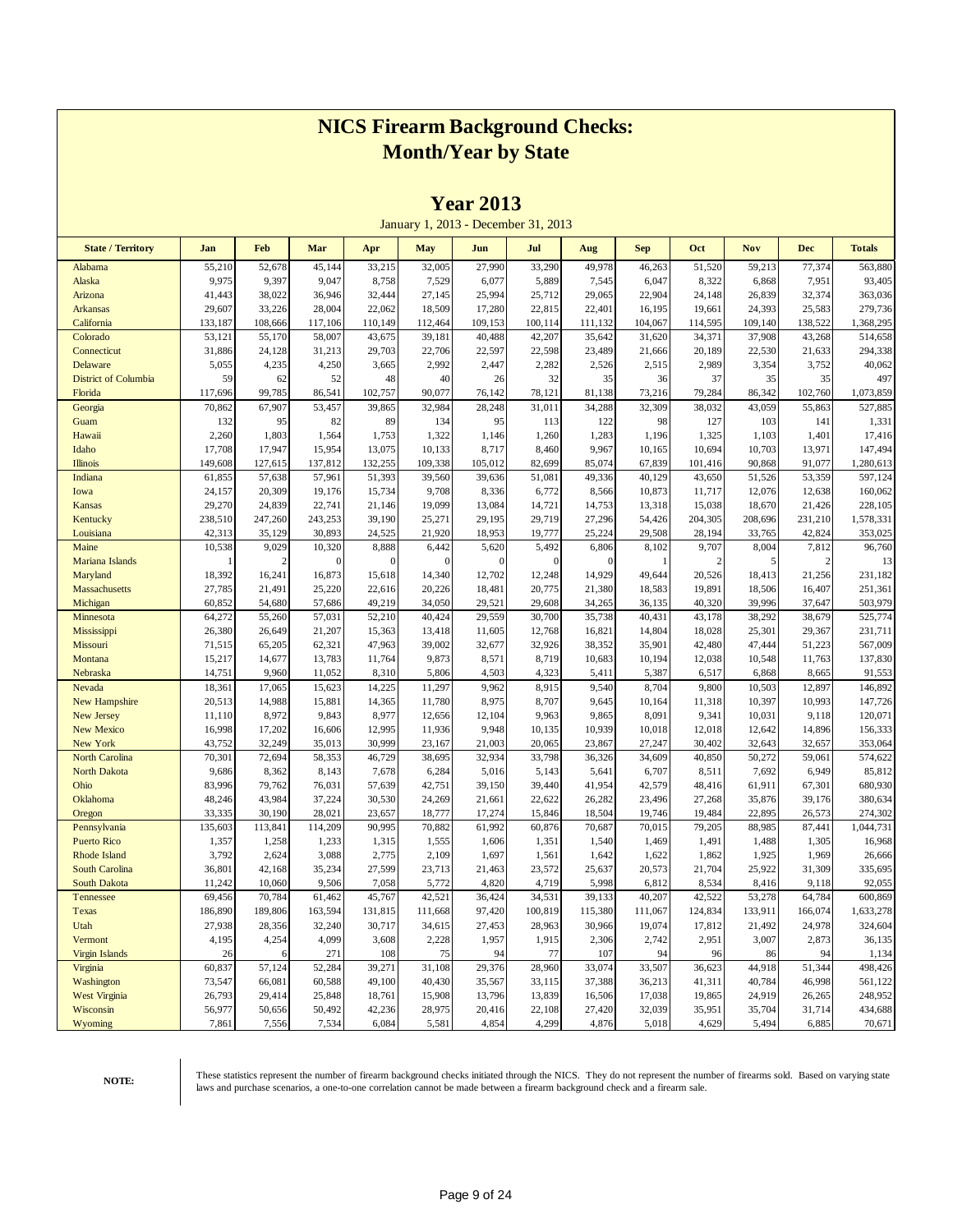|                             |                   |                   |                   |                   | January 1, 2013 - December 31, 2013 |                   |                  |                  |                  |                   |                  |                  |                      |
|-----------------------------|-------------------|-------------------|-------------------|-------------------|-------------------------------------|-------------------|------------------|------------------|------------------|-------------------|------------------|------------------|----------------------|
| <b>State / Territory</b>    | Jan               | <b>Feb</b>        | Mar               | Apr               | <b>May</b>                          | Jun               | Jul              | Aug              | <b>Sep</b>       | Oct               | <b>Nov</b>       | <b>Dec</b>       | <b>Totals</b>        |
| Alabama                     | 55,210            | 52,678            | 45,144            | 33,215            | 32,005                              | 27,990            | 33,290           | 49,978           | 46,263           | 51,520            | 59,213           | 77,374           | 563,880              |
| Alaska                      | 9,975             | 9,397             | 9,047             | 8,758             | 7,529                               | 6,077             | 5,889            | 7,545            | 6,047            | 8,322             | 6,868            | 7,951            | 93,405               |
| Arizona                     | 41,443            | 38,022            | 36,946            | 32,444            | 27,145                              | 25,994            | 25,712           | 29,065           | 22,904           | 24,148            | 26,839           | 32,374           | 363,036              |
| <b>Arkansas</b>             | 29,607            | 33,226            | 28,004            | 22,062            | 18,509                              | 17,280            | 22,815           | 22,401           | 16,195           | 19,661            | 24,393           | 25,583           | 279,736              |
| California                  | 133,187           | 108,666           | 117,106           | 110,149           | 112,464                             | 109,153           | 100,114          | 111,132          | 104,067          | 114,595           | 109,140          | 138,522          | 1,368,295            |
| Colorado                    | 53,121            | 55,170            | 58,007            | 43,675            | 39,181                              | 40,488            | 42,207           | 35,642           | 31,620           | 34,371            | 37,908           | 43,268           | 514,658              |
| Connecticut                 | 31,886            | 24,128            | 31,213            | 29,703            | 22,706                              | 22,597            | 22,598           | 23,489           | 21,666           | 20,189            | 22,530           | 21,633           | 294,338              |
| Delaware                    | 5,055             | 4,235             | 4,250             | 3,665             | 2,992                               | 2,447             | 2,282            | 2,526            | 2,515            | 2,989             | 3,354            | 3,752            | 40,062               |
| <b>District of Columbia</b> | 59                | 62                | 52                | 48                | 40                                  | 26                | 32               | 35               | 36               | 37                | 35               | 35               | 497                  |
| Florida                     | 117,696           | 99,785            | 86,541            | 102,757           | 90,077                              | 76,142            | 78,121           | 81,138           | 73,216           | 79,284            | 86,342           | 102,760          | 1,073,859            |
| Georgia                     | 70,862            | 67,907            | 53,457            | 39,865            | 32,984                              | 28,248            | 31,011           | 34,288           | 32,309           | 38,032            | 43,059           | 55,863           | 527,885              |
| Guam                        | 132               | 95                | 82                | 89                | 134                                 | 95                | 113              | 122              | 98               | 127               | 103              | 141              | 1,331                |
| Hawaii                      | 2,260             | 1,803             | 1,564             | 1,753             | 1,322                               | 1,146             | 1,260            | 1,283            | 1,196            | 1,325             | 1,103            | 1,401            | 17,416               |
| Idaho                       | 17,708            | 17,947            | 15,954            | 13,075            | 10,133                              | 8,717             | 8,460            | 9,967            | 10,165           | 10,694            | 10,703           | 13,971           | 147,494              |
| <b>Illinois</b><br>Indiana  | 149,608<br>61,855 | 127,615<br>57,638 | 137,812<br>57,961 | 132,255<br>51,393 | 109,338<br>39,560                   | 105,012<br>39,636 | 82,699<br>51,081 | 85,074<br>49,336 | 67,839<br>40,129 | 101,416<br>43,650 | 90,868<br>51,526 | 91,077<br>53,359 | 1,280,613<br>597,124 |
| Iowa                        | 24,157            | 20,309            | 19,176            | 15,734            | 9,708                               | 8,336             | 6,772            | 8,566            | 10,873           | 11,717            | 12,076           | 12,638           | 160,062              |
| Kansas                      | 29,270            | 24,839            | 22,741            | 21,146            | 19,099                              | 13,084            | 14,721           | 14,753           | 13,318           | 15,038            | 18,670           | 21,426           | 228,105              |
| Kentucky                    | 238,510           | 247,260           | 243,253           | 39,190            | 25,271                              | 29,195            | 29,719           | 27,296           | 54,426           | 204,305           | 208,696          | 231,210          | 1,578,331            |
| Louisiana                   | 42,313            | 35,129            | 30,893            | 24,525            | 21,920                              | 18,953            | 19,777           | 25,224           | 29,508           | 28,194            | 33,765           | 42,824           | 353,025              |
| Maine                       | 10,538            | 9,029             | 10,320            | 8,888             | 6,442                               | 5,620             | 5,492            | 6,806            | 8,102            | 9,707             | 8,004            | 7,812            | 96,760               |
| Mariana Islands             | 1                 | $\overline{c}$    | $\mathbf{0}$      | $\theta$          | $\theta$                            | $\mathbf{0}$      | $\mathbf{0}$     | $\mathbf{0}$     | $\mathbf{1}$     | $\overline{2}$    | 5                | $\overline{c}$   | 13                   |
| Maryland                    | 18,392            | 16,241            | 16,873            | 15,618            | 14,340                              | 12,702            | 12,248           | 14,929           | 49,644           | 20,526            | 18,413           | 21,256           | 231,182              |
| Massachusetts               | 27,785            | 21,491            | 25,220            | 22,616            | 20,226                              | 18,481            | 20,775           | 21,380           | 18,583           | 19,891            | 18,506           | 16,407           | 251,361              |
| Michigan                    | 60,852            | 54,680            | 57,686            | 49,219            | 34,050                              | 29,521            | 29,608           | 34,265           | 36,135           | 40,320            | 39,996           | 37,647           | 503,979              |
| Minnesota                   | 64,272            | 55,260            | 57,031            | 52,210            | 40,424                              | 29,559            | 30,700           | 35,738           | 40,431           | 43,178            | 38,292           | 38,679           | 525,774              |
| Mississippi                 | 26,380            | 26,649            | 21,207            | 15,363            | 13,418                              | 11,605            | 12,768           | 16,821           | 14,804           | 18,028            | 25,301           | 29,367           | 231,711              |
| Missouri                    | 71,515            | 65,205            | 62,321            | 47,963            | 39,002                              | 32,677            | 32,926           | 38,352           | 35,901           | 42,480            | 47,444           | 51,223           | 567,009              |
| Montana                     | 15,217            | 14,677            | 13,783            | 11,764            | 9,873                               | 8,571             | 8,719            | 10,683           | 10,194           | 12,038            | 10,548           | 11,763           | 137,830              |
| Nebraska                    | 14,751            | 9,960             | 11,052            | 8,310             | 5,806                               | 4,503             | 4,323            | 5,411            | 5,387            | 6,517             | 6,868            | 8,665            | 91,553               |
| Nevada                      | 18,361            | 17,065            | 15,623            | 14,225            | 11,297                              | 9,962             | 8,915            | 9,540            | 8,704            | 9,800             | 10,503           | 12,897           | 146,892              |
| <b>New Hampshire</b>        | 20,513            | 14,988            | 15,881            | 14,365            | 11,780                              | 8,975             | 8,707            | 9,645            | 10,164           | 11,318            | 10,397           | 10,993           | 147,726              |
| New Jersey                  | 11,110            | 8,972             | 9,843             | 8,977             | 12,656                              | 12,104            | 9,963            | 9,865            | 8,091            | 9,341             | 10,031           | 9,118            | 120,071              |
| <b>New Mexico</b>           | 16,998            | 17,202            | 16,606            | 12,995            | 11,936                              | 9,948             | 10,135           | 10,939           | 10,018           | 12,018            | 12,642           | 14,896           | 156,333              |
| New York                    | 43,752            | 32,249            | 35,013            | 30,999            | 23,167                              | 21,003            | 20,065           | 23,867           | 27,247           | 30,402            | 32,643           | 32,657           | 353,064              |
| North Carolina              | 70,301            | 72,694            | 58,353            | 46,729            | 38,695                              | 32,934            | 33,798           | 36,326           | 34,609           | 40,850            | 50,272           | 59,061           | 574,622              |
| <b>North Dakota</b>         | 9,686             | 8,362             | 8,143             | 7,678             | 6,284                               | 5,016             | 5,143            | 5,641            | 6,707            | 8,511             | 7,692            | 6,949            | 85,812               |
| Ohio                        | 83,996            | 79,762            | 76,031            | 57,639            | 42,751                              | 39,150            | 39,440           | 41,954           | 42,579           | 48,416            | 61,911           | 67,301           | 680,930              |
| Oklahoma                    | 48,246            | 43,984            | 37,224            | 30,530            | 24,269                              | 21,661            | 22,622           | 26,282           | 23,496           | 27,268            | 35,876           | 39,176           | 380,634              |
| Oregon<br>Pennsylvania      | 33,335<br>135,603 | 30,190<br>113,841 | 28,021<br>114,209 | 23,657<br>90,995  | 18,777<br>70,882                    | 17,274<br>61,992  | 15,846<br>60,876 | 18,504<br>70,687 | 19,746<br>70,015 | 19,484<br>79,205  | 22,895<br>88,985 | 26,573<br>87,441 | 274,302<br>1,044,731 |
| <b>Puerto Rico</b>          | 1,357             | 1,258             | 1,233             | 1,315             | 1,555                               | 1,606             | 1,351            | 1,540            | 1,469            | 1,491             | 1,488            | 1,305            | 16,968               |
| <b>Rhode Island</b>         | 3,792             | 2,624             | 3,088             | 2,775             | 2,109                               | 1,697             | 1,561            | 1,642            | 1,622            | 1,862             | 1,925            | 1,969            | 26,666               |
| South Carolina              | 36,801            | 42,168            | 35,234            | 27,599            | 23,713                              | 21,463            | 23,572           | 25,637           | 20,573           | 21,704            | 25,922           | 31,309           | 335,695              |
| <b>South Dakota</b>         | 11,242            | 10,060            | 9,506             | 7,058             | 5,772                               | 4,820             | 4,719            | 5,998            | 6,812            | 8,534             | 8,416            | 9,118            | 92,055               |
| Tennessee                   | 69,456            | 70,784            | 61,462            | 45,767            | 42,521                              | 36,424            | 34,531           | 39,133           | 40,207           | 42,522            | 53,278           | 64,784           | 600,869              |
| Texas                       | 186,890           | 189,806           | 163,594           | 131,815           | 111,668                             | 97,420            | 100,819          | 115,380          | 111,067          | 124,834           | 133,911          | 166,074          | 1,633,278            |
| Utah                        | 27,938            | 28,356            | 32,240            | 30,717            | 34,615                              | 27,453            | 28,963           | 30,966           | 19,074           | 17,812            | 21,492           | 24,978           | 324,604              |
| Vermont                     | 4,195             | 4,254             | 4,099             | 3,608             | 2,228                               | 1,957             | 1,915            | 2,306            | 2,742            | 2,951             | 3,007            | 2,873            | 36,135               |
| <b>Virgin Islands</b>       | 26                | 6                 | 271               | 108               | 75                                  | 94                | 77               | 107              | 94               | 96                | 86               | 94               | 1,134                |
| Virginia                    | 60,837            | 57,124            | 52,284            | 39,271            | 31,108                              | 29,376            | 28,960           | 33,074           | 33,507           | 36,623            | 44,918           | 51,344           | 498,426              |
| Washington                  | 73,547            | 66,081            | 60,588            | 49,100            | 40,430                              | 35,567            | 33,115           | 37,388           | 36,213           | 41,311            | 40,784           | 46,998           | 561,122              |
| <b>West Virginia</b>        | 26,793            | 29,414            | 25,848            | 18,761            | 15,908                              | 13,796            | 13,839           | 16,506           | 17,038           | 19,865            | 24,919           | 26,265           | 248,952              |
| Wisconsin                   | 56,977            | 50,656            | 50,492            | 42,236            | 28,975                              | 20,416            | 22,108           | 27,420           | 32,039           | 35,951            | 35,704           | 31,714           | 434,688              |
| Wyoming                     | 7,861             | 7,556             | 7,534             | 6,084             | 5,581                               | 4,854             | 4,299            | 4,876            | 5,018            | 4,629             | 5,494            | 6,885            | 70,671               |

**Year 2013**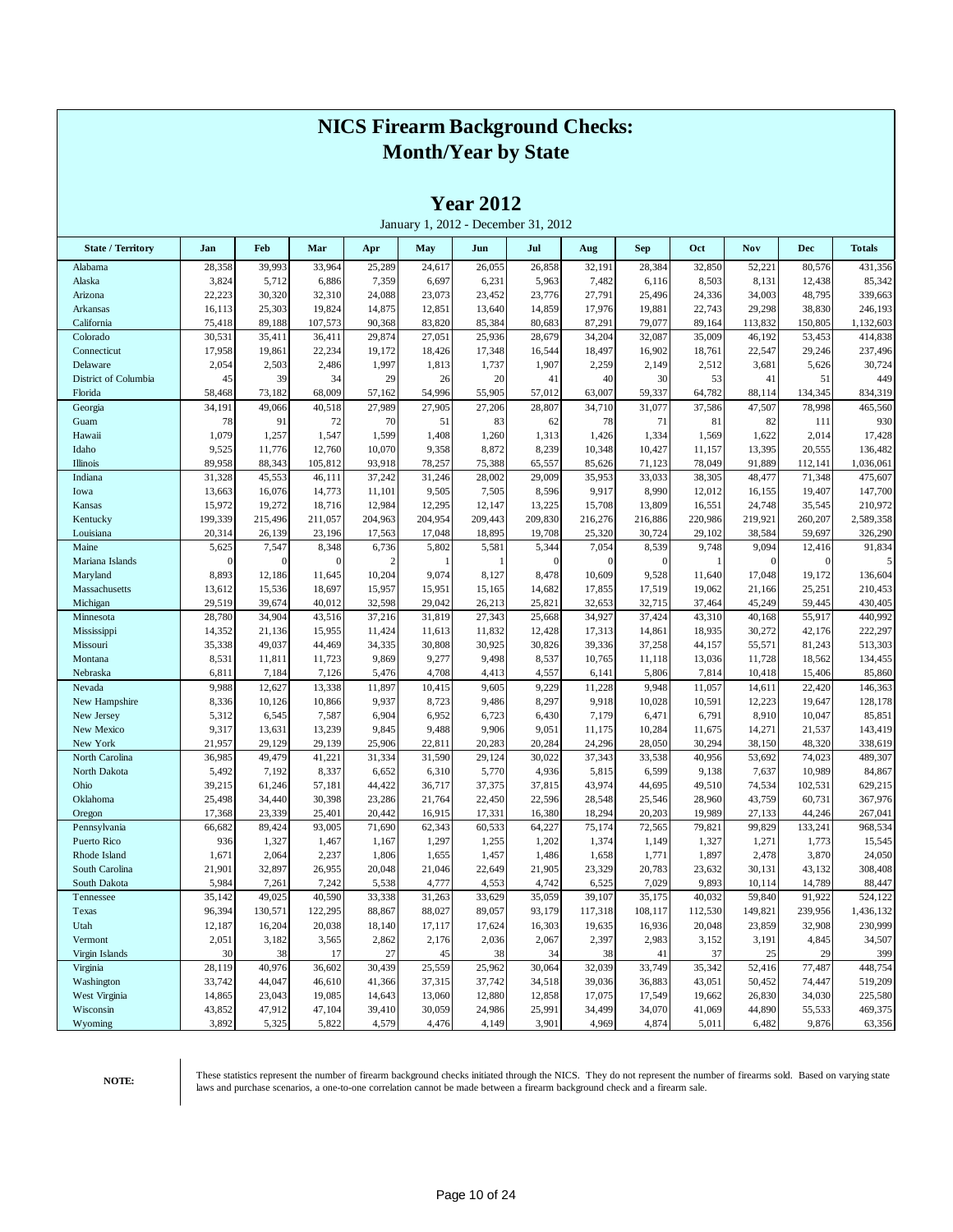|                          |                  |                  |                  |                  |                                     | 1 <b>Cal</b> 4014 |                  |                  |                  |                  |                  |                   |                    |
|--------------------------|------------------|------------------|------------------|------------------|-------------------------------------|-------------------|------------------|------------------|------------------|------------------|------------------|-------------------|--------------------|
|                          |                  |                  |                  |                  | January 1, 2012 - December 31, 2012 |                   |                  |                  |                  |                  |                  |                   |                    |
| <b>State / Territory</b> | Jan              | Feb              | Mar              | Apr              | May                                 | Jun               | Jul              | Aug              | <b>Sep</b>       | Oct              | <b>Nov</b>       | <b>Dec</b>        | <b>Totals</b>      |
| Alabama                  | 28,358           | 39,993           | 33,964           | 25,289           | 24,617                              | 26,055            | 26,858           | 32,191           | 28,384           | 32,850           | 52,221           | 80,576            | 431,356            |
| Alaska                   | 3,824            | 5,712            | 6,886            | 7,359            | 6,697                               | 6,231             | 5,963            | 7,482            | 6,116            | 8,503            | 8,131            | 12,438            | 85,342             |
| Arizona                  | 22,223           | 30,320           | 32,310           | 24,088           | 23,073                              | 23,452            | 23,776           | 27,791           | 25,496           | 24,336           | 34,003           | 48,795            | 339,663            |
| Arkansas                 | 16,113           | 25,303           | 19,824           | 14,875           | 12,851                              | 13,640            | 14,859           | 17,976           | 19,881           | 22,743           | 29,298           | 38,830            | 246,193            |
| California               | 75,418           | 89,188           | 107,573          | 90,368           | 83,820                              | 85,384            | 80,683           | 87,291           | 79,077           | 89,164           | 113,832          | 150,805           | 1,132,603          |
| Colorado                 | 30,531           | 35,411           | 36,411           | 29,874           | 27,051                              | 25,936            | 28,679           | 34,204           | 32,087           | 35,009           | 46,192           | 53,453            | 414,838            |
| Connecticut              | 17,958           | 19,861           | 22,234           | 19,172           | 18,426                              | 17,348            | 16,544           | 18,497           | 16,902           | 18,761           | 22,547           | 29,246            | 237,496            |
| Delaware                 | 2,054            | 2,503            | 2,486            | 1,997            | 1,813                               | 1,737             | 1,907            | 2,259            | 2,149            | 2,512            | 3,681            | 5,626             | 30,724             |
| District of Columbia     | 45               | 39               | 34               | 29               | 26                                  | 20                | 41               | 40               | 30               | 53               | 41               | 51                | 449                |
| Florida                  | 58,468<br>34,191 | 73,182<br>49,066 | 68,009<br>40,518 | 57,162<br>27,989 | 54,996<br>27,905                    | 55,905<br>27,206  | 57,012<br>28,807 | 63,007<br>34,710 | 59,337<br>31,077 | 64,782<br>37,586 | 88,114<br>47,507 | 134,345<br>78,998 | 834,319<br>465.560 |
| Georgia<br>Guam          | 78               | 91               | 72               | 70               | 51                                  | 83                | 62               | 78               | 71               | 81               | 82               | 111               | 930                |
| Hawaii                   | 1,079            | 1,257            | 1,547            | 1,599            | 1,408                               | 1,260             | 1,313            | 1,426            | 1,334            | 1,569            | 1,622            | 2,014             | 17,428             |
| Idaho                    | 9,525            | 11,776           | 12,760           | 10,070           | 9,358                               | 8,872             | 8,239            | 10,348           | 10,427           | 11,157           | 13,395           | 20,555            | 136,482            |
| Illinois                 | 89,958           | 88,343           | 105,812          | 93,918           | 78,257                              | 75,388            | 65,557           | 85,626           | 71,123           | 78,049           | 91,889           | 112,141           | 1,036,061          |
| Indiana                  | 31,328           | 45,553           | 46,111           | 37,242           | 31,246                              | 28,002            | 29,009           | 35,953           | 33,033           | 38,305           | 48,477           | 71,348            | 475,607            |
| Iowa                     | 13,663           | 16,076           | 14,773           | 11,101           | 9,505                               | 7,505             | 8,596            | 9,917            | 8,990            | 12,012           | 16,155           | 19,407            | 147,700            |
| Kansas                   | 15,972           | 19,272           | 18,716           | 12,984           | 12,295                              | 12,147            | 13,225           | 15,708           | 13,809           | 16,551           | 24,748           | 35,545            | 210,972            |
| Kentucky                 | 199,339          | 215,496          | 211,057          | 204,963          | 204,954                             | 209,443           | 209,830          | 216,276          | 216,886          | 220,986          | 219,921          | 260,207           | 2,589,358          |
| Louisiana                | 20,314           | 26,139           | 23,196           | 17,563           | 17,048                              | 18,895            | 19,708           | 25,320           | 30,724           | 29,102           | 38,584           | 59,697            | 326,290            |
| Maine                    | 5,625            | 7,547            | 8,348            | 6,736            | 5,802                               | 5,581             | 5,344            | 7,054            | 8,539            | 9,748            | 9,094            | 12,416            | 91,834             |
| Mariana Islands          | $\overline{0}$   | $\mathbf{0}$     | $\mathbf{0}$     | 2                |                                     |                   | $\mathbf{0}$     | $\mathbf{0}$     | $\mathbf{0}$     | -1               | $\mathbf{0}$     | $\mathbf{0}$      | 5                  |
| Maryland                 | 8,893            | 12,186           | 11,645           | 10,204           | 9,074                               | 8,127             | 8,478            | 10,609           | 9,528            | 11,640           | 17,048           | 19,172            | 136,604            |
| Massachusetts            | 13,612           | 15,536           | 18,697           | 15,957           | 15,951                              | 15,165            | 14,682           | 17,855           | 17,519           | 19,062           | 21,166           | 25,251            | 210,453            |
| Michigan                 | 29,519           | 39,674           | 40,012           | 32,598           | 29,042                              | 26,213            | 25,821           | 32,653           | 32,715           | 37,464           | 45,249           | 59,445            | 430,405            |
| Minnesota                | 28,780           | 34,904           | 43,516           | 37,216           | 31,819                              | 27,343            | 25,668           | 34,927           | 37,424           | 43,310           | 40,168           | 55,917            | 440,992            |
| Mississippi              | 14,352           | 21,136           | 15,955           | 11,424           | 11,613                              | 11,832            | 12,428           | 17,313           | 14,861           | 18,935           | 30,272           | 42,176            | 222,297            |
| Missouri                 | 35,338           | 49,037           | 44,469           | 34,335           | 30,808                              | 30,925            | 30,826           | 39,336           | 37,258           | 44,157           | 55,571           | 81,243            | 513,303            |
| Montana                  | 8,531            | 11,811           | 11,723           | 9,869            | 9,277                               | 9,498             | 8,537            | 10,765           | 11,118           | 13,036           | 11,728           | 18,562            | 134,455            |
| Nebraska                 | 6,811            | 7,184            | 7,126            | 5,476            | 4,708                               | 4,413             | 4,557            | 6,141            | 5,806            | 7,814            | 10,418           | 15,406            | 85,860             |
| Nevada                   | 9,988            | 12,627           | 13,338           | 11,897           | 10,415                              | 9,605             | 9,229            | 11,228           | 9,948            | 11,057           | 14,611           | 22,420            | 146,363            |
| New Hampshire            | 8,336<br>5,312   | 10,126<br>6,545  | 10,866<br>7,587  | 9,937<br>6,904   | 8,723<br>6,952                      | 9,486<br>6,723    | 8,297<br>6,430   | 9,918<br>7,179   | 10,028<br>6,471  | 10,591<br>6,791  | 12,223<br>8,910  | 19,647<br>10,047  | 128,178<br>85,851  |
| New Jersey<br>New Mexico | 9,317            | 13,631           | 13,239           | 9,845            | 9,488                               | 9,906             | 9,051            | 11,175           | 10,284           | 11,675           | 14,271           | 21,537            | 143,419            |
| New York                 | 21,957           | 29,129           | 29,139           | 25,906           | 22,811                              | 20,283            | 20,284           | 24,296           | 28,050           | 30,294           | 38,150           | 48,320            | 338,619            |
| North Carolina           | 36,985           | 49,479           | 41,221           | 31,334           | 31,590                              | 29,124            | 30,022           | 37,343           | 33,538           | 40,956           | 53,692           | 74,023            | 489,307            |
| North Dakota             | 5,492            | 7,192            | 8,337            | 6,652            | 6,310                               | 5,770             | 4,936            | 5,815            | 6,599            | 9,138            | 7,637            | 10,989            | 84,867             |
| Ohio                     | 39,215           | 61,246           | 57,181           | 44,422           | 36,717                              | 37,375            | 37,815           | 43,974           | 44,695           | 49,510           | 74,534           | 102,531           | 629,215            |
| Oklahoma                 | 25,498           | 34,440           | 30,398           | 23,286           | 21,764                              | 22,450            | 22,596           | 28,548           | 25,546           | 28,960           | 43,759           | 60,731            | 367,976            |
| Oregon                   | 17,368           | 23,339           | 25,401           | 20,442           | 16,915                              | 17,331            | 16,380           | 18,294           | 20,203           | 19,989           | 27,133           | 44,246            | 267,041            |
| Pennsylvania             | 66,682           | 89,424           | 93,005           | 71,690           | 62,343                              | 60,533            | 64,227           | 75,174           | 72,565           | 79,821           | 99,829           | 133,241           | 968,534            |
| Puerto Rico              | 936              | 1,327            | 1,467            | 1,167            | 1,297                               | 1,255             | 1,202            | 1,374            | 1,149            | 1,327            | 1,271            | 1,773             | 15,545             |
| Rhode Island             | 1,671            | 2,064            | 2,237            | 1,806            | 1,655                               | 1,457             | 1,486            | 1,658            | 1,771            | 1,897            | 2,478            | 3,870             | 24,050             |
| South Carolina           | 21,901           | 32,897           | 26,955           | 20,048           | 21,046                              | 22,649            | 21,905           | 23,329           | 20,783           | 23,632           | 30,131           | 43,132            | 308,408            |
| South Dakota             | 5,984            | 7,261            | 7,242            | 5,538            | 4,777                               | 4,553             | 4,742            | 6,525            | 7,029            | 9,893            | 10,114           | 14,789            | 88,447             |
| Tennessee                | 35,142           | 49,025           | 40,590           | 33,338           | 31,263                              | 33,629            | 35,059           | 39,107           | 35,175           | 40,032           | 59,840           | 91,922            | 524,122            |
| Texas                    | 96,394           | 130,571          | 122,295          | 88,867           | 88,027                              | 89,057            | 93,179           | 117,318          | 108,117          | 112,530          | 149,821          | 239,956           | 1,436,132          |
| Utah                     | 12,187           | 16,204           | 20,038           | 18,140           | 17,117                              | 17,624            | 16,303           | 19,635           | 16,936           | 20,048           | 23,859           | 32,908            | 230,999            |
| Vermont                  | 2,051            | 3,182            | 3,565            | 2,862            | 2,176                               | 2,036             | 2,067            | 2,397            | 2,983            | 3,152            | 3,191            | 4,845             | 34,507             |
| Virgin Islands           | 30               | 38               | 17               | 27               | 45                                  | 38                | 34               | 38               | 41               | 37               | 25               | 29                | 399                |
| Virginia                 | 28,119           | 40,976           | 36,602           | 30,439           | 25,559                              | 25,962            | 30,064           | 32,039           | 33,749           | 35,342           | 52,416           | 77,487            | 448,754            |
| Washington               | 33,742           | 44,047           | 46,610           | 41,366           | 37,315                              | 37,742            | 34,518           | 39,036           | 36,883           | 43,051           | 50,452           | 74,447            | 519,209            |
| West Virginia            | 14,865           | 23,043           | 19,085           | 14,643           | 13,060                              | 12,880            | 12,858           | 17,075           | 17,549           | 19,662           | 26,830           | 34,030            | 225,580            |
| Wisconsin                | 43,852           | 47,912           | 47,104           | 39,410           | 30,059                              | 24,986            | 25,991           | 34,499           | 34,070           | 41,069           | 44,890           | 55,533            | 469,375            |
| Wyoming                  | 3,892            | 5,325            | 5,822            | 4,579            | 4,476                               | 4,149             | 3,901            | 4,969            | 4,874            | 5,011            | 6,482            | 9,876             | 63,356             |

**Year 2012**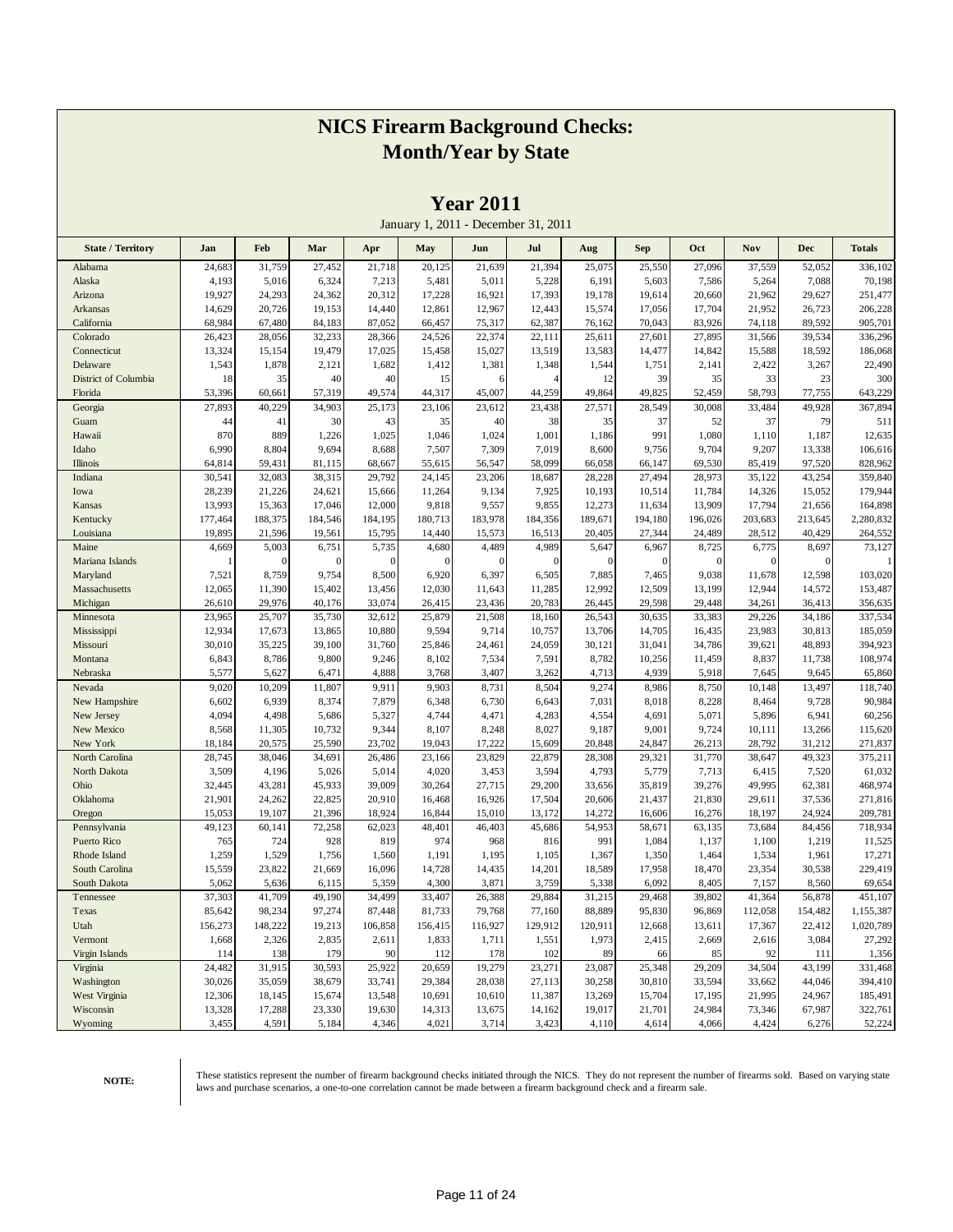|                          |         |          |          |                |          |              | January 1, 2011 - December 31, 2011 |              |              |          |          |              |               |
|--------------------------|---------|----------|----------|----------------|----------|--------------|-------------------------------------|--------------|--------------|----------|----------|--------------|---------------|
| <b>State / Territory</b> | Jan     | Feb      | Mar      | Apr            | May      | Jun          | Jul                                 | Aug          | Sep          | Oct      | Nov      | <b>Dec</b>   | <b>Totals</b> |
| Alabama                  | 24,683  | 31,759   | 27,452   | 21,718         | 20,125   | 21,639       | 21,394                              | 25,075       | 25,550       | 27,096   | 37,559   | 52,052       | 336,102       |
| Alaska                   | 4,193   | 5,016    | 6,324    | 7,213          | 5,481    | 5,011        | 5,228                               | 6,191        | 5,603        | 7,586    | 5,264    | 7,088        | 70,198        |
| Arizona                  | 19,927  | 24,293   | 24,362   | 20,312         | 17,228   | 16,921       | 17,393                              | 19,178       | 19,614       | 20,660   | 21,962   | 29,627       | 251,477       |
| Arkansas                 | 14,629  | 20,726   | 19,153   | 14,440         | 12,861   | 12,967       | 12,443                              | 15,574       | 17,056       | 17,704   | 21,952   | 26,723       | 206,228       |
| California               | 68,984  | 67,480   | 84,183   | 87,052         | 66,457   | 75,317       | 62,387                              | 76,162       | 70,043       | 83,926   | 74,118   | 89,592       | 905,701       |
| Colorado                 | 26,423  | 28,056   | 32,233   | 28,366         | 24,526   | 22,374       | 22,111                              | 25,611       | 27,601       | 27,895   | 31,566   | 39,534       | 336,296       |
| Connecticut              | 13,324  | 15,154   | 19,479   | 17,025         | 15,458   | 15,027       | 13,519                              | 13,583       | 14,477       | 14,842   | 15,588   | 18,592       | 186,068       |
| Delaware                 | 1,543   | 1,878    | 2,121    | 1,682          | 1,412    | 1,381        | 1,348                               | 1,544        | 1,751        | 2,141    | 2,422    | 3,267        | 22,490        |
| District of Columbia     | 18      | 35       | 40       | 40             | 15       | 6            | $\overline{4}$                      | 12           | 39           | 35       | 33       | 23           | 300           |
| Florida                  | 53,396  | 60,661   | 57,319   | 49,574         | 44,317   | 45,007       | 44,259                              | 49,864       | 49,825       | 52,459   | 58,793   | 77,755       | 643,229       |
| Georgia                  | 27,893  | 40,229   | 34,903   | 25,173         | 23,106   | 23,612       | 23,438                              | 27,571       | 28,549       | 30,008   | 33,484   | 49,928       | 367,894       |
| Guam                     | 44      | 41       | 30       | 43             | 35       | 40           | 38                                  | 35           | 37           | 52       | 37       | 79           | 511           |
| Hawaii                   | 870     | 889      | 1,226    | 1,025          | 1,046    | 1,024        | 1,001                               | 1,186        | 991          | 1,080    | 1,110    | 1,187        | 12,635        |
| Idaho                    | 6,990   | 8,804    | 9,694    | 8,688          | 7,507    | 7,309        | 7,019                               | 8,600        | 9,756        | 9,704    | 9,207    | 13,338       | 106,616       |
| Illinois                 | 64,814  | 59,431   | 81,115   | 68,667         | 55,615   | 56,547       | 58,099                              | 66,058       | 66,147       | 69,530   | 85,419   | 97,520       | 828,962       |
| Indiana                  | 30,541  | 32,083   | 38,315   | 29,792         | 24,145   | 23,206       | 18,687                              | 28,228       | 27,494       | 28,973   | 35,122   | 43,254       | 359,840       |
| Iowa                     | 28,239  | 21,226   | 24,621   | 15,666         | 11,264   | 9,134        | 7,925                               | 10,193       | 10,514       | 11,784   | 14,326   | 15,052       | 179,944       |
| Kansas                   | 13,993  | 15,363   | 17,046   | 12,000         | 9,818    | 9,557        | 9,855                               | 12,273       | 11,634       | 13,909   | 17,794   | 21,656       | 164,898       |
| Kentucky                 | 177,464 | 188,375  | 184,546  | 184,195        | 180,713  | 183,978      | 184,356                             | 189,671      | 194,180      | 196,026  | 203,683  | 213,645      | 2,280,832     |
| Louisiana                | 19,895  | 21,596   | 19,561   | 15,795         | 14,440   | 15,573       | 16,513                              | 20,405       | 27,344       | 24,489   | 28,512   | 40,429       | 264,552       |
| Maine                    | 4,669   | 5,003    | 6,751    | 5,735          | 4,680    | 4,489        | 4,989                               | 5,647        | 6,967        | 8,725    | 6,775    | 8,697        | 73,127        |
| Mariana Islands          |         | $\Omega$ | $\Omega$ | $\overline{0}$ | $\Omega$ | $\mathbf{0}$ | $\mathbf{0}$                        | $\mathbf{0}$ | $\mathbf{0}$ | $\theta$ | $\theta$ | $\mathbf{0}$ |               |
| Maryland                 | 7,521   | 8,759    | 9,754    | 8,500          | 6,920    | 6,397        | 6,505                               | 7,885        | 7,465        | 9,038    | 11,678   | 12,598       | 103,020       |
| Massachusetts            | 12,065  | 11,390   | 15,402   | 13,456         | 12,030   | 11,643       | 11,285                              | 12,992       | 12,509       | 13,199   | 12,944   | 14,572       | 153,487       |
| Michigan                 | 26,610  | 29,976   | 40,176   | 33,074         | 26,415   | 23,436       | 20,783                              | 26,445       | 29,598       | 29,448   | 34,261   | 36,413       | 356,635       |
| Minnesota                | 23,965  | 25,707   | 35,730   | 32,612         | 25,879   | 21,508       | 18,160                              | 26,543       | 30,635       | 33,383   | 29,226   | 34,186       | 337,534       |
| Mississippi              | 12,934  | 17,673   | 13,865   | 10,880         | 9,594    | 9,714        | 10,757                              | 13,706       | 14,705       | 16,435   | 23,983   | 30,813       | 185,059       |
| Missouri                 | 30,010  | 35,225   | 39,100   | 31,760         | 25,846   | 24,461       | 24,059                              | 30,121       | 31,041       | 34,786   | 39,621   | 48,893       | 394,923       |
| Montana                  | 6,843   | 8,786    | 9,800    | 9,246          | 8,102    | 7,534        | 7,591                               | 8,782        | 10,256       | 11,459   | 8,837    | 11,738       | 108,974       |
| Nebraska                 | 5,577   | 5,627    | 6,471    | 4,888          | 3,768    | 3,407        | 3,262                               | 4,713        | 4,939        | 5,918    | 7,645    | 9,645        | 65,860        |
| Nevada                   | 9,020   | 10,209   | 11,807   | 9,911          | 9,903    | 8,731        | 8,504                               | 9,274        | 8,986        | 8,750    | 10,148   | 13,497       | 118,740       |
| New Hampshire            | 6,602   | 6,939    | 8,374    | 7,879          | 6,348    | 6,730        | 6,643                               | 7,031        | 8,018        | 8,228    | 8,464    | 9,728        | 90,984        |
| New Jersey               | 4,094   | 4,498    | 5,686    | 5,327          | 4,744    | 4,471        | 4,283                               | 4,554        | 4,691        | 5,071    | 5,896    | 6,941        | 60,256        |
| New Mexico               | 8,568   | 11,305   | 10,732   | 9,344          | 8,107    | 8,248        | 8,027                               | 9,187        | 9,001        | 9,724    | 10,111   | 13,266       | 115,620       |
| New York                 | 18,184  | 20,575   | 25,590   | 23,702         | 19,043   | 17,222       | 15,609                              | 20,848       | 24,847       | 26,213   | 28,792   | 31,212       | 271,837       |
| North Carolina           | 28,745  | 38,046   | 34,691   | 26,486         | 23,166   | 23,829       | 22,879                              | 28,308       | 29,321       | 31,770   | 38,647   | 49,323       | 375,211       |
| North Dakota             | 3,509   | 4,196    | 5,026    | 5,014          | 4,020    | 3,453        | 3,594                               | 4,793        | 5,779        | 7,713    | 6,415    | 7,520        | 61,032        |
| Ohio                     | 32,445  | 43,281   | 45,933   | 39,009         | 30,264   | 27,715       | 29,200                              | 33,656       | 35,819       | 39,276   | 49,995   | 62,381       | 468,974       |
| Oklahoma                 | 21,901  | 24,262   | 22,825   | 20,910         | 16,468   | 16,926       | 17,504                              | 20,606       | 21,437       | 21,830   | 29,611   | 37,536       | 271,816       |
| Oregon                   | 15,053  | 19,107   | 21,396   | 18,924         | 16,844   | 15,010       | 13,172                              | 14,272       | 16,606       | 16,276   | 18,197   | 24,924       | 209,781       |
| Pennsylvania             | 49,123  | 60,141   | 72,258   | 62,023         | 48,401   | 46,403       | 45,686                              | 54,953       | 58,671       | 63,135   | 73,684   | 84,456       | 718,934       |
| Puerto Rico              | 765     | 724      | 928      | 819            | 974      | 968          | 816                                 | 991          | 1,084        | 1,137    | 1,100    | 1,219        | 11,525        |
| Rhode Island             | 1,259   | 1,529    | 1,756    | 1,560          | 1,191    | 1,195        | 1,105                               | 1,367        | 1,350        | 1,464    | 1,534    | 1,961        | 17,271        |
| South Carolina           | 15,559  | 23,822   | 21,669   | 16,096         | 14,728   | 14,435       | 14,201                              | 18,589       | 17,958       | 18,470   | 23,354   | 30,538       | 229,419       |
| South Dakota             | 5,062   | 5,636    | 6,115    | 5,359          | 4,300    | 3,871        | 3,759                               | 5,338        | 6,092        | 8,405    | 7,157    | 8,560        | 69,654        |
| Tennessee                | 37,303  | 41,709   | 49,190   | 34,499         | 33,407   | 26,388       | 29,884                              | 31,215       | 29,468       | 39,802   | 41,364   | 56,878       | 451,107       |
| Texas                    | 85,642  | 98,234   | 97,274   | 87,448         | 81,733   | 79,768       | 77,160                              | 88,889       | 95,830       | 96,869   | 112,058  | 154,482      | 1,155,387     |
| Utah                     | 156,273 | 148,222  | 19,213   | 106,858        | 156,415  | 116,927      | 129,912                             | 120,911      | 12,668       | 13,611   | 17,367   | 22,412       | 1,020,789     |
| Vermont                  | 1,668   | 2,326    | 2,835    | 2,611          | 1,833    | 1,711        | 1,551                               | 1,973        | 2,415        | 2,669    | 2,616    | 3,084        | 27,292        |
| Virgin Islands           | 114     | 138      | 179      | 90             | 112      | 178          | 102                                 | 89           | 66           | 85       | 92       | 111          | 1,356         |
| Virginia                 | 24,482  | 31,915   | 30,593   | 25,922         | 20,659   | 19,279       | 23,271                              | 23,087       | 25,348       | 29,209   | 34,504   | 43,199       | 331,468       |
| Washington               | 30,026  | 35,059   | 38,679   | 33,741         | 29,384   | 28,038       | 27,113                              | 30,258       | 30,810       | 33,594   | 33,662   | 44,046       | 394,410       |
| West Virginia            | 12,306  | 18,145   | 15,674   | 13,548         | 10,691   | 10,610       | 11,387                              | 13,269       | 15,704       | 17,195   | 21,995   | 24,967       | 185,491       |
| Wisconsin                | 13,328  | 17,288   | 23,330   | 19,630         | 14,313   | 13,675       | 14,162                              | 19,017       | 21,701       | 24,984   | 73,346   | 67,987       | 322,761       |
| Wyoming                  | 3,455   | 4,591    | 5,184    | 4,346          | 4,021    | 3,714        | 3,423                               | 4,110        | 4,614        | 4,066    | 4,424    | 6,276        | 52,224        |

**Year 2011**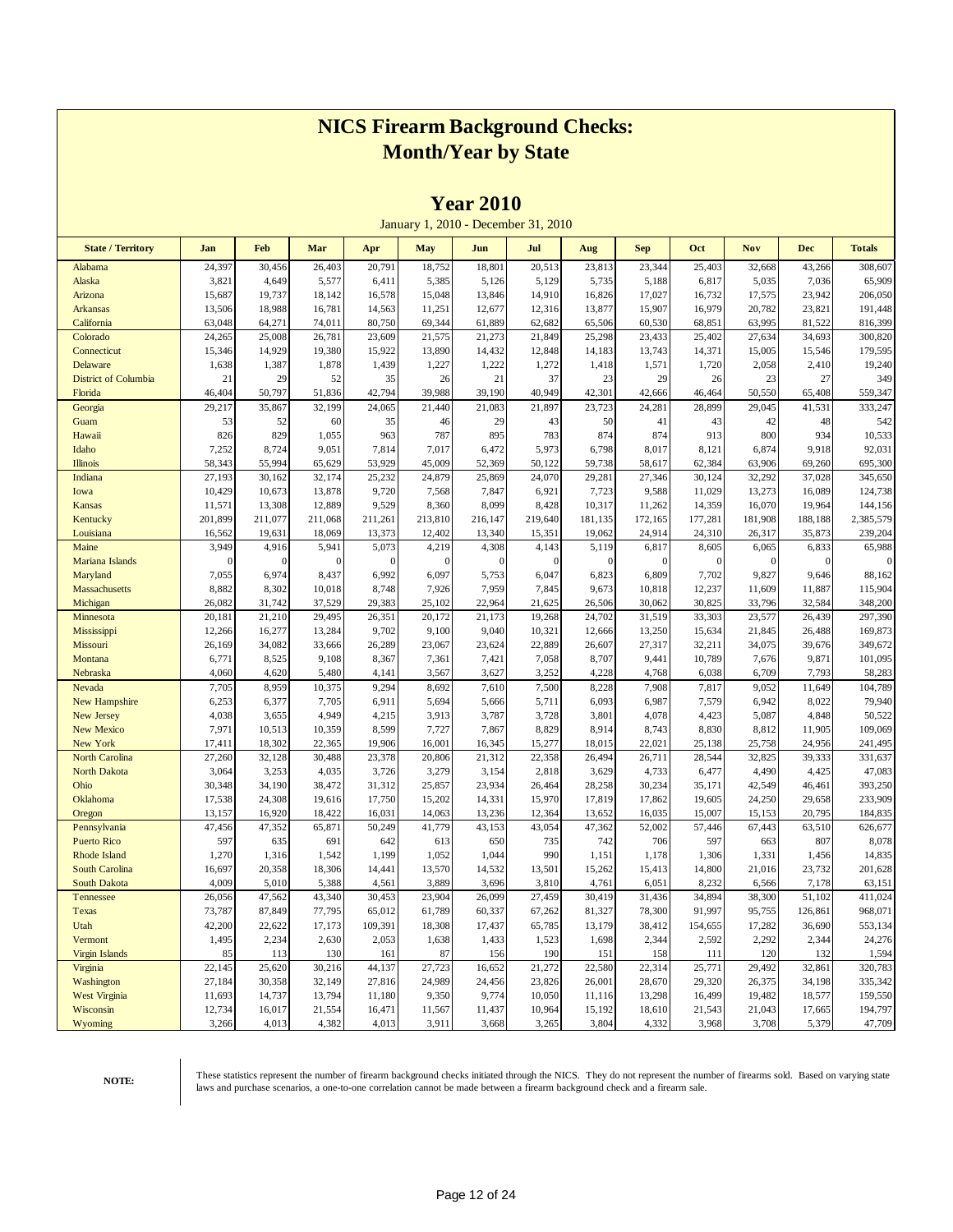|                          |                  |                  |                  |                 |                   | <b>Tear Zulu</b> |                                     |                  |                  |                  |                   |                  |                    |
|--------------------------|------------------|------------------|------------------|-----------------|-------------------|------------------|-------------------------------------|------------------|------------------|------------------|-------------------|------------------|--------------------|
|                          |                  |                  |                  |                 |                   |                  | January 1, 2010 - December 31, 2010 |                  |                  |                  |                   |                  |                    |
| <b>State / Territory</b> | Jan              | Feb              | Mar              | Apr             | <b>May</b>        | Jun              | Jul                                 | Aug              | <b>Sep</b>       | Oct              | <b>Nov</b>        | <b>Dec</b>       | <b>Totals</b>      |
| Alabama                  | 24,397           | 30,456           | 26,403           | 20,791          | 18,752            | 18,801           | 20,513                              | 23,813           | 23,344           | 25,403           | 32,668            | 43,266           | 308,607            |
| Alaska                   | 3,821            | 4,649            | 5,577            | 6,411           | 5,385             | 5,126            | 5,129                               | 5,735            | 5,188            | 6,817            | 5,035             | 7,036            | 65,909             |
| Arizona                  | 15,687           | 19,737           | 18,142           | 16,578          | 15,048            | 13,846           | 14,910                              | 16,826           | 17,027           | 16,732           | 17,575            | 23,942           | 206,050            |
| <b>Arkansas</b>          | 13,506           | 18,988           | 16,781           | 14,563          | 11,251            | 12,677           | 12,316                              | 13,877           | 15,907           | 16,979           | 20,782            | 23,821           | 191,448            |
| California               | 63,048           | 64,271           | 74,011           | 80,750          | 69,344            | 61,889           | 62,682                              | 65,506           | 60,530           | 68,851           | 63,995            | 81,522           | 816,399            |
| Colorado                 | 24,265           | 25,008           | 26,781           | 23,609          | 21,575            | 21,273           | 21,849                              | 25,298           | 23,433           | 25,402           | 27,634            | 34,693           | 300,820            |
| Connecticut              | 15,346           | 14,929           | 19,380           | 15,922          | 13,890            | 14,432           | 12,848                              | 14,183           | 13,743           | 14,371           | 15,005            | 15,546           | 179,595            |
| Delaware                 | 1,638            | 1,387            | 1,878            | 1,439           | 1,227             | 1,222            | 1,272                               | 1,418            | 1,571            | 1,720            | 2,058             | 2,410            | 19,240             |
| District of Columbia     | 21               | 29               | 52               | 35              | 26                | 21               | 37                                  | 23               | 29               | 26               | 23                | 27               | 349                |
| Florida                  | 46,404           | 50,797           | 51,836           | 42,794          | 39,988            | 39,190           | 40,949                              | 42,301           | 42,666           | 46,464           | 50,550            | 65,408           | 559,347            |
| Georgia                  | 29,217           | 35,867           | 32,199           | 24,065          | 21,440            | 21,083           | 21,897                              | 23,723           | 24,281           | 28,899           | 29,045            | 41,531           | 333,247            |
| Guam                     | 53               | 52               | 60               | 35              | 46                | 29               | 43                                  | 50               | 41               | 43               | 42                | 48               | 542                |
| Hawaii                   | 826              | 829              | 1,055            | 963             | 787               | 895              | 783                                 | 874              | 874              | 913              | 800               | 934              | 10,533             |
| Idaho                    | 7,252            | 8,724            | 9,051            | 7,814           | 7,017             | 6,472            | 5,973                               | 6,798            | 8,017            | 8,121            | 6,874             | 9,918            | 92,031             |
| <b>Illinois</b>          | 58,343           | 55,994           | 65,629           | 53,929          | 45,009            | 52,369           | 50,122                              | 59,738           | 58,617           | 62,384           | 63,906            | 69,260           | 695,300            |
| Indiana                  | 27,193           | 30,162           | 32,174           | 25,232          | 24,879            | 25,869           | 24,070                              | 29,281           | 27,346           | 30,124           | 32,292            | 37,028           | 345,650            |
| Iowa                     | 10,429           | 10,673           | 13,878           | 9,720           | 7,568             | 7,847            | 6,921                               | 7,723            | 9,588            | 11,029           | 13,273            | 16,089           | 124,738            |
| Kansas                   | 11,571           | 13,308           | 12,889           | 9,529           | 8,360             | 8,099            | 8,428                               | 10,317           | 11,262           | 14,359           | 16,070            | 19,964           | 144,156            |
| Kentucky                 | 201,899          | 211,077          | 211,068          | 211,261         | 213,810           | 216,147          | 219,640                             | 181,135          | 172,165          | 177,281          | 181,908           | 188,188          | 2,385,579          |
| Louisiana                | 16,562           | 19,631           | 18,069           | 13,373          | 12,402            | 13,340           | 15,351                              | 19,062           | 24,914           | 24,310           | 26,317            | 35,873           | 239,204            |
| Maine                    | 3,949            | 4,916            | 5,941            | 5,073           | 4,219<br>$\Omega$ | 4,308            | 4,143                               | 5,119            | 6,817            | 8,605            | 6,065<br>$\theta$ | 6,833            | 65,988             |
| Mariana Islands          | $\Omega$         | $\mathbf{0}$     | $\Omega$         | $\overline{0}$  |                   | $\overline{0}$   | $\boldsymbol{0}$                    | $\mathbf{0}$     | $\mathbf{0}$     | $\theta$         | 9,827             | $\theta$         |                    |
| Maryland                 | 7,055            | 6,974            | 8,437            | 6,992           | 6,097             | 5,753<br>7,959   | 6,047                               | 6,823            | 6,809            | 7,702            |                   | 9,646            | 88,162             |
| Massachusetts            | 8,882            | 8,302            | 10,018           | 8,748           | 7,926             |                  | 7,845                               | 9,673            | 10,818           | 12,237           | 11,609            | 11,887           | 115,904            |
| Michigan                 | 26,082<br>20,181 | 31,742<br>21,210 | 37,529<br>29,495 | 29,383          | 25,102<br>20,172  | 22,964           | 21,625<br>19,268                    | 26,506           | 30,062<br>31,519 | 30,825           | 33,796<br>23,577  | 32,584           | 348,200<br>297,390 |
| Minnesota                | 12,266           | 16,277           | 13,284           | 26,351<br>9,702 | 9,100             | 21,173<br>9,040  | 10,321                              | 24,702           | 13,250           | 33,303<br>15,634 | 21,845            | 26,439<br>26,488 | 169,873            |
| Mississippi<br>Missouri  | 26,169           | 34,082           | 33,666           | 26,289          | 23,067            | 23,624           | 22,889                              | 12,666<br>26,607 | 27,317           | 32,211           | 34,075            | 39,676           | 349,672            |
| Montana                  | 6,771            | 8,525            | 9,108            | 8,367           | 7,361             | 7,421            | 7,058                               | 8,707            | 9,441            | 10,789           | 7,676             | 9,871            | 101,095            |
| Nebraska                 | 4,060            | 4,620            | 5,480            | 4,141           | 3,567             | 3,627            | 3,252                               | 4,228            | 4,768            | 6,038            | 6,709             | 7,793            | 58,283             |
| Nevada                   | 7,705            | 8,959            | 10,375           | 9,294           | 8,692             | 7,610            | 7,500                               | 8,228            | 7,908            | 7,817            | 9,052             | 11,649           | 104,789            |
| <b>New Hampshire</b>     | 6,253            | 6,377            | 7,705            | 6,911           | 5,694             | 5,666            | 5,711                               | 6,093            | 6,987            | 7,579            | 6,942             | 8,022            | 79,940             |
| <b>New Jersey</b>        | 4,038            | 3,655            | 4,949            | 4,215           | 3,913             | 3,787            | 3,728                               | 3,801            | 4,078            | 4,423            | 5,087             | 4,848            | 50,522             |
| <b>New Mexico</b>        | 7,971            | 10,513           | 10,359           | 8,599           | 7,727             | 7,867            | 8,829                               | 8,914            | 8,743            | 8,830            | 8,812             | 11,905           | 109,069            |
| New York                 | 17,411           | 18,302           | 22,365           | 19,906          | 16,001            | 16,345           | 15,277                              | 18,015           | 22,021           | 25,138           | 25,758            | 24,956           | 241,495            |
| <b>North Carolina</b>    | 27,260           | 32,128           | 30,488           | 23,378          | 20,806            | 21,312           | 22,358                              | 26,494           | 26,711           | 28,544           | 32,825            | 39,333           | 331,637            |
| <b>North Dakota</b>      | 3,064            | 3,253            | 4,035            | 3,726           | 3,279             | 3,154            | 2,818                               | 3,629            | 4,733            | 6,477            | 4,490             | 4,425            | 47,083             |
| Ohio                     | 30,348           | 34,190           | 38,472           | 31,312          | 25,857            | 23,934           | 26,464                              | 28,258           | 30,234           | 35,171           | 42,549            | 46,461           | 393,250            |
| Oklahoma                 | 17,538           | 24,308           | 19,616           | 17,750          | 15,202            | 14,331           | 15,970                              | 17,819           | 17,862           | 19,605           | 24,250            | 29,658           | 233,909            |
| Oregon                   | 13,157           | 16,920           | 18,422           | 16,031          | 14,063            | 13,236           | 12,364                              | 13,652           | 16,035           | 15,007           | 15,153            | 20,795           | 184,835            |
| Pennsylvania             | 47,456           | 47,352           | 65,871           | 50,249          | 41,779            | 43,153           | 43,054                              | 47,362           | 52,002           | 57,446           | 67,443            | 63,510           | 626,677            |
| <b>Puerto Rico</b>       | 597              | 635              | 691              | 642             | 613               | 650              | 735                                 | 742              | 706              | 597              | 663               | 807              | 8,078              |
| <b>Rhode Island</b>      | 1,270            | 1,316            | 1,542            | 1,199           | 1,052             | 1,044            | 990                                 | 1,151            | 1,178            | 1,306            | 1,331             | 1,456            | 14,835             |
| South Carolina           | 16,697           | 20,358           | 18,306           | 14,441          | 13,570            | 14,532           | 13,501                              | 15,262           | 15,413           | 14,800           | 21,016            | 23,732           | 201,628            |
| South Dakota             | 4,009            | 5,010            | 5,388            | 4,561           | 3,889             | 3,696            | 3,810                               | 4,761            | 6,051            | 8,232            | 6,566             | 7,178            | 63,151             |
| Tennessee                | 26,056           | 47,562           | 43,340           | 30,453          | 23,904            | 26,099           | 27,459                              | 30,419           | 31,436           | 34,894           | 38,300            | 51,102           | 411,024            |
| Texas                    | 73,787           | 87,849           | 77,795           | 65,012          | 61,789            | 60,337           | 67,262                              | 81,327           | 78,300           | 91,997           | 95,755            | 126,861          | 968,071            |
| Utah                     | 42,200           | 22,622           | 17,173           | 109,391         | 18,308            | 17,437           | 65,785                              | 13,179           | 38,412           | 154,655          | 17,282            | 36,690           | 553,134            |
| Vermont                  | 1,495            | 2,234            | 2,630            | 2,053           | 1,638             | 1,433            | 1,523                               | 1,698            | 2,344            | 2,592            | 2,292             | 2,344            | 24,276             |
| <b>Virgin Islands</b>    | 85               | 113              | 130              | 161             | 87                | 156              | 190                                 | 151              | 158              | 111              | 120               | 132              | 1,594              |
| Virginia                 | 22,145           | 25,620           | 30,216           | 44,137          | 27,723            | 16,652           | 21,272                              | 22,580           | 22,314           | 25,771           | 29,492            | 32,861           | 320,783            |
| Washington               | 27,184           | 30,358           | 32,149           | 27,816          | 24,989            | 24,456           | 23,826                              | 26,001           | 28,670           | 29,320           | 26,375            | 34,198           | 335,342            |
| <b>West Virginia</b>     | 11,693           | 14,737           | 13,794           | 11,180          | 9,350             | 9,774            | 10,050                              | 11,116           | 13,298           | 16,499           | 19,482            | 18,577           | 159,550            |
| Wisconsin                | 12,734           | 16,017           | 21,554           | 16,471          | 11,567            | 11,437           | 10,964                              | 15,192           | 18,610           | 21,543           | 21,043            | 17,665           | 194,797            |
| Wyoming                  | 3,266            | 4,013            | 4,382            | 4,013           | 3,911             | 3,668            | 3,265                               | 3,804            | 4,332            | 3,968            | 3,708             | 5,379            | 47,709             |

**Year 2010**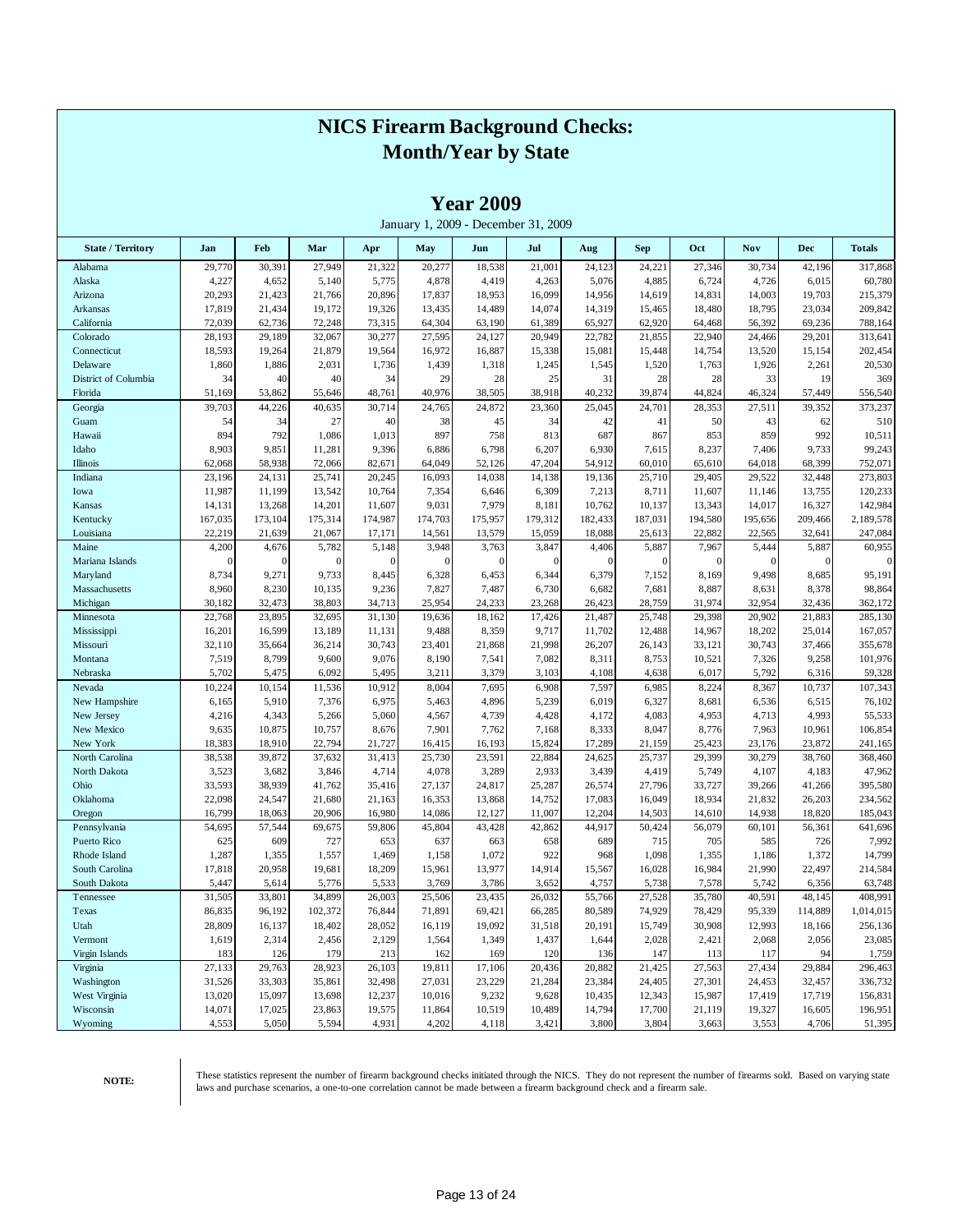|                          |                 |                 |                 |                 |                | <b>Year 2009</b> | January 1, 2009 - December 31, 2009 |                |                |                |                |                 |                   |
|--------------------------|-----------------|-----------------|-----------------|-----------------|----------------|------------------|-------------------------------------|----------------|----------------|----------------|----------------|-----------------|-------------------|
| <b>State / Territory</b> | Jan             | Feb             | Mar             | Apr             | May            | Jun              | Jul                                 | Aug            | Sep            | Oct            | Nov            | Dec             | <b>Totals</b>     |
| Alabama                  | 29,770          | 30,391          | 27,949          | 21,322          | 20,277         | 18,538           | 21,001                              | 24,123         | 24,221         | 27,346         | 30,734         | 42,196          | 317,868           |
| Alaska                   | 4,227           | 4,652           | 5,140           | 5,775           | 4,878          | 4,419            | 4,263                               | 5,076          | 4,885          | 6,724          | 4,726          | 6,015           | 60,780            |
| Arizona                  | 20,293          | 21,423          | 21,766          | 20,896          | 17,837         | 18,953           | 16,099                              | 14,956         | 14,619         | 14,831         | 14,003         | 19,703          | 215,379           |
| Arkansas                 | 17,819          | 21,434          | 19,172          | 19,326          | 13,435         | 14,489           | 14,074                              | 14,319         | 15,465         | 18,480         | 18,795         | 23,034          | 209,842           |
| California               | 72,039          | 62,736          | 72,248          | 73,315          | 64,304         | 63,190           | 61,389                              | 65,927         | 62,920         | 64,468         | 56,392         | 69,236          | 788,164           |
| Colorado                 | 28,193          | 29,189          | 32,067          | 30,277          | 27,595         | 24,127           | 20,949                              | 22,782         | 21,855         | 22,940         | 24,466         | 29,201          | 313,641           |
| Connecticut              | 18,593          | 19,264          | 21,879          | 19,564          | 16,972         | 16,887           | 15,338                              | 15,081         | 15,448         | 14,754         | 13,520         | 15,154          | 202,454           |
| Delaware                 | 1,860           | 1,886           | 2,031           | 1,736           | 1,439          | 1,318            | 1,245                               | 1,545          | 1,520          | 1,763          | 1,926          | 2,261           | 20,530            |
| District of Columbia     | 34              | 40              | 40              | 34              | 29             | 28               | 25                                  | 31             | 28             | 28             | 33             | 19              | 369               |
| Florida                  | 51,169          | 53,862          | 55,646          | 48,761          | 40,976         | 38,505           | 38,918                              | 40,232         | 39,874         | 44,824         | 46,324         | 57,449          | 556,540           |
| Georgia                  | 39,703          | 44,226          | 40,635          | 30,714          | 24,765         | 24,872           | 23,360                              | 25,045         | 24,701         | 28,353         | 27,511         | 39,352          | 373,237           |
| Guam                     | 54              | 34              | 27              | 40              | 38             | 45               | 34                                  | 42             | 41             | 50             | 43             | 62              | 510               |
| Hawaii                   | 894             | 792             | 1,086           | 1,013           | 897            | 758              | 813                                 | 687            | 867            | 853            | 859            | 992             | 10,511            |
| Idaho                    | 8,903           | 9,851           | 11,281          | 9,396           | 6,886          | 6,798            | 6,207                               | 6,930          | 7,615          | 8,237          | 7,406          | 9,733           | 99,243            |
| Illinois                 | 62,068          | 58,938          | 72,066          | 82,671          | 64,049         | 52,126           | 47,204                              | 54,912         | 60,010         | 65,610         | 64,018         | 68,399          | 752,071           |
| Indiana                  | 23,196          | 24,131          | 25,741          | 20,245          | 16,093         | 14,038           | 14,138                              | 19,136         | 25,710         | 29,405         | 29,522         | 32,448          | 273,803           |
| Iowa                     | 11,987          | 11,199          | 13,542          | 10,764          | 7,354          | 6,646            | 6,309                               | 7,213          | 8,711          | 11,607         | 11,146         | 13,755          | 120,233           |
| Kansas                   | 14,131          | 13,268          | 14,201          | 11,607          | 9,031          | 7,979            | 8,181                               | 10,762         | 10,137         | 13,343         | 14,017         | 16,327          | 142,984           |
| Kentucky                 | 167,035         | 173,104         | 175,314         | 174,987         | 174,703        | 175,957          | 179,312                             | 182,433        | 187,031        | 194,580        | 195,656        | 209,466         | 2,189,578         |
| Louisiana                | 22,219          | 21,639          | 21,067          | 17,171          | 14,561         | 13,579           | 15,059                              | 18,088         | 25,613         | 22,882         | 22,565         | 32,641          | 247,084           |
| Maine                    | 4,200           | 4,676           | 5,782           | 5,148           | 3,948          | 3,763            | 3,847                               | 4,406          | 5,887          | 7,967          | 5,444          | 5,887           | 60,955            |
| Mariana Islands          | $\theta$        | $\mathbf{0}$    | $\Omega$        | $\overline{0}$  | $\mathbf{0}$   | $\mathbf{0}$     | $\mathbf{0}$                        | $\mathbf{0}$   | $\mathbf{0}$   | $\theta$       | $\theta$       | $\mathbf{0}$    | $\mathbf{0}$      |
| Maryland                 | 8,734           | 9,271           | 9,733           | 8,445           | 6,328          | 6,453            | 6,344                               | 6,379          | 7,152          | 8,169          | 9,498          | 8,685           | 95,191            |
| Massachusetts            | 8,960           | 8,230           | 10,135          | 9,236           | 7,827          | 7,487            | 6,730                               | 6,682          | 7,681          | 8,887          | 8,631          | 8,378           | 98,864            |
| Michigan                 | 30,182          | 32,473          | 38,803          | 34,713          | 25,954         | 24,233           | 23,268                              | 26,423         | 28,759         | 31,974         | 32,954         | 32,436          | 362,172           |
| Minnesota                | 22,768          | 23,895          | 32,695          | 31,130          | 19,636         | 18,162           | 17,426                              | 21,487         | 25,748         | 29,398         | 20,902         | 21,883          | 285,130           |
| Mississippi              | 16,201          | 16,599          | 13,189          | 11,131          | 9,488          | 8,359            | 9,717                               | 11,702         | 12,488         | 14,967         | 18,202         | 25,014          | 167,057           |
| Missouri                 | 32,110          | 35,664          | 36,214          | 30,743          | 23,401         | 21,868           | 21,998                              | 26,207         | 26,143         | 33,121         | 30,743         | 37,466          | 355,678           |
| Montana                  | 7,519           | 8,799           | 9,600           | 9,076           | 8,190          | 7,541            | 7,082                               | 8,311          | 8,753          | 10,521         | 7,326          | 9,258           | 101,976           |
| Nebraska<br>Nevada       | 5,702           | 5,475           | 6,092           | 5,495           | 3,211          | 3,379            | 3,103                               | 4,108          | 4,638          | 6,017          | 5,792          | 6,316           | 59,328<br>107,343 |
| New Hampshire            | 10,224<br>6,165 | 10,154<br>5,910 | 11,536<br>7,376 | 10,912<br>6,975 | 8,004<br>5,463 | 7,695<br>4,896   | 6,908<br>5,239                      | 7,597<br>6,019 | 6,985<br>6,327 | 8,224<br>8,681 | 8,367<br>6,536 | 10,737<br>6,515 | 76,102            |
| New Jersey               | 4,216           | 4,343           | 5,266           | 5,060           | 4,567          | 4,739            | 4,428                               | 4,172          | 4,083          | 4,953          | 4,713          | 4,993           | 55,533            |
| New Mexico               | 9,635           | 10,875          | 10,757          | 8,676           | 7,901          | 7,762            | 7,168                               | 8,333          | 8,047          | 8,776          | 7,963          | 10,961          | 106,854           |
| New York                 | 18,383          | 18,910          | 22,794          | 21,727          | 16,415         | 16,193           | 15,824                              | 17,289         | 21,159         | 25,423         | 23,176         | 23,872          | 241,165           |
| North Carolina           | 38,538          | 39,872          | 37,632          | 31,413          | 25,730         | 23,591           | 22,884                              | 24,625         | 25,737         | 29,399         | 30,279         | 38,760          | 368,460           |
| North Dakota             | 3,523           | 3,682           | 3,846           | 4,714           | 4,078          | 3,289            | 2,933                               | 3,439          | 4,419          | 5,749          | 4,107          | 4,183           | 47,962            |
| Ohio                     | 33,593          | 38,939          | 41,762          | 35,416          | 27,137         | 24,817           | 25,287                              | 26,574         | 27,796         | 33,727         | 39,266         | 41,266          | 395,580           |
| Oklahoma                 | 22,098          | 24,547          | 21,680          | 21,163          | 16,353         | 13,868           | 14,752                              | 17,083         | 16,049         | 18,934         | 21,832         | 26,203          | 234,562           |
| Oregon                   | 16,799          | 18,063          | 20,906          | 16,980          | 14,086         | 12,127           | 11,007                              | 12,204         | 14,503         | 14,610         | 14,938         | 18,820          | 185,043           |
| Pennsylvania             | 54,695          | 57,544          | 69,675          | 59,806          | 45,804         | 43,428           | 42,862                              | 44,917         | 50,424         | 56,079         | 60,101         | 56,361          | 641,696           |
| Puerto Rico              | 625             | 609             | 727             | 653             | 637            | 663              | 658                                 | 689            | 715            | 705            | 585            | 726             | 7,992             |
| Rhode Island             | 1,287           | 1,355           | 1,557           | 1,469           | 1,158          | 1,072            | 922                                 | 968            | 1,098          | 1,355          | 1,186          | 1,372           | 14,799            |
| South Carolina           | 17,818          | 20,958          | 19,681          | 18,209          | 15,961         | 13,977           | 14,914                              | 15,567         | 16,028         | 16,984         | 21,990         | 22,497          | 214,584           |
| South Dakota             | 5,447           | 5,614           | 5,776           | 5,533           | 3,769          | 3,786            | 3,652                               | 4,757          | 5,738          | 7,578          | 5,742          | 6,356           | 63,748            |
| Tennessee                | 31,505          | 33,801          | 34,899          | 26,003          | 25,506         | 23,435           | 26,032                              | 55,766         | 27,528         | 35,780         | 40,591         | 48,145          | 408,991           |
| Texas                    | 86,835          | 96,192          | 102,372         | 76,844          | 71,891         | 69,421           | 66,285                              | 80,589         | 74,929         | 78,429         | 95,339         | 114,889         | 1,014,015         |
| Utah                     | 28,809          | 16,137          | 18,402          | 28,052          | 16,119         | 19,092           | 31,518                              | 20,191         | 15,749         | 30,908         | 12,993         | 18,166          | 256,136           |
| Vermont                  | 1,619           | 2,314           | 2,456           | 2,129           | 1,564          | 1,349            | 1,437                               | 1,644          | 2,028          | 2,421          | 2,068          | 2,056           | 23,085            |
| Virgin Islands           | 183             | 126             | 179             | 213             | 162            | 169              | 120                                 | 136            | 147            | 113            | 117            | 94              | 1,759             |
| Virginia                 | 27,133          | 29,763          | 28,923          | 26,103          | 19,811         | 17,106           | 20,436                              | 20,882         | 21,425         | 27,563         | 27,434         | 29,884          | 296,463           |
| Washington               | 31,526          | 33,303          | 35,861          | 32,498          | 27,031         | 23,229           | 21,284                              | 23,384         | 24,405         | 27,301         | 24,453         | 32,457          | 336,732           |
| West Virginia            | 13,020          | 15,097          | 13,698          | 12,237          | 10,016         | 9,232            | 9,628                               | 10,435         | 12,343         | 15,987         | 17,419         | 17,719          | 156,831           |
| Wisconsin                | 14,071          | 17,025          | 23,863          | 19,575          | 11,864         | 10,519           | 10,489                              | 14,794         | 17,700         | 21,119         | 19,327         | 16,605          | 196,951           |
| Wyoming                  | 4,553           | 5,050           | 5,594           | 4,931           | 4,202          | 4,118            | 3,421                               | 3,800          | 3,804          | 3,663          | 3,553          | 4,706           | 51,395            |

**Year 2009**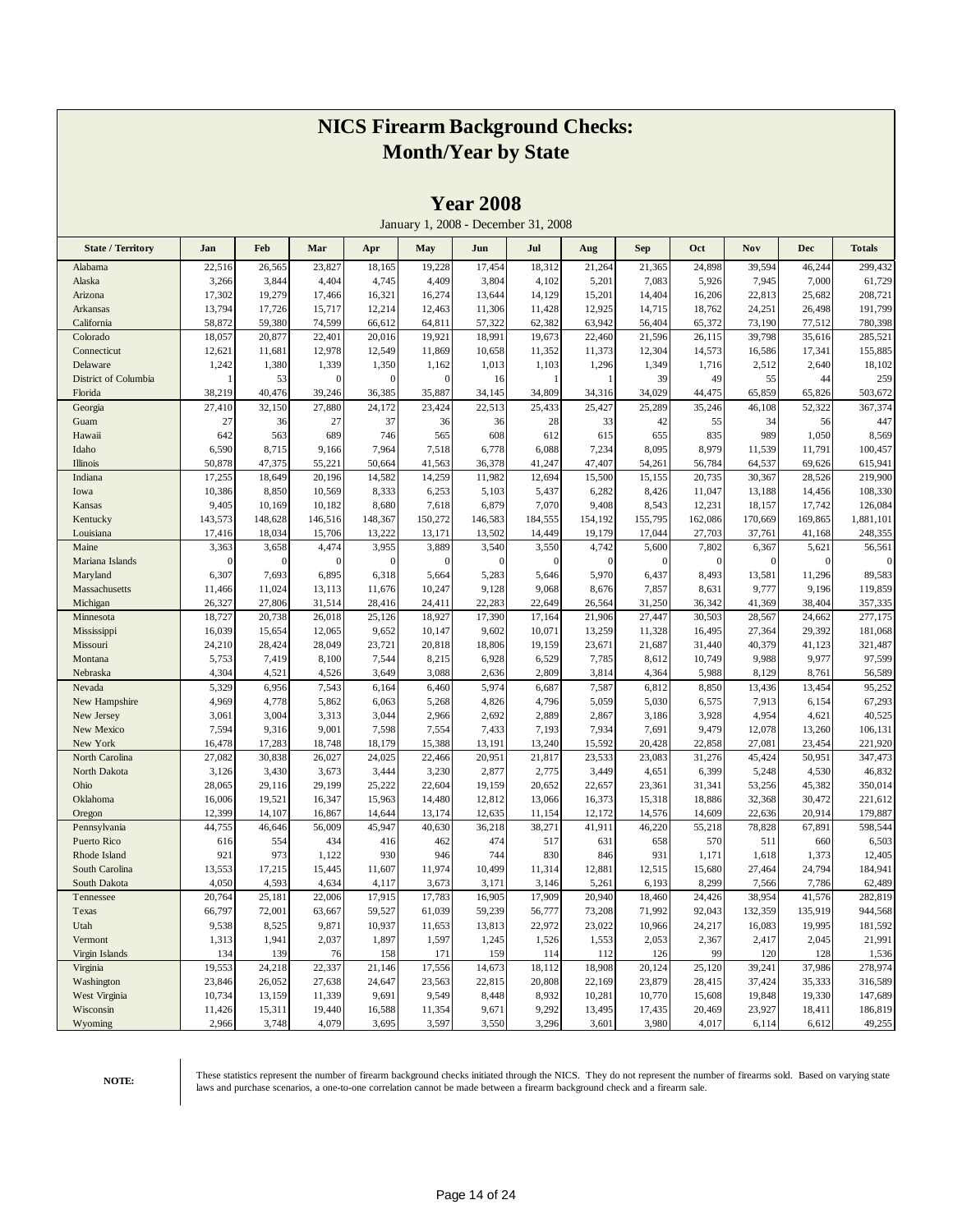|                            |                 |                 |                 |                 | January 1, 2008 - December 31, 2008 | <b>Teal zuvo</b> |                 |                 |                 |                  |                 |                 |                   |
|----------------------------|-----------------|-----------------|-----------------|-----------------|-------------------------------------|------------------|-----------------|-----------------|-----------------|------------------|-----------------|-----------------|-------------------|
| <b>State / Territory</b>   | Jan             | Feb             | Mar             | Apr             | May                                 | Jun              | Jul             | Aug             | <b>Sep</b>      | Oct              | Nov             | <b>Dec</b>      | <b>Totals</b>     |
| Alabama                    | 22,516          | 26,565          | 23,827          | 18,165          | 19,228                              | 17,454           | 18,312          | 21,264          | 21,365          | 24,898           | 39,594          | 46,244          | 299,432           |
| Alaska                     | 3,266           | 3,844           | 4,404           | 4,745           | 4,409                               | 3,804            | 4,102           | 5,201           | 7,083           | 5,926            | 7,945           | 7,000           | 61,729            |
| Arizona                    | 17,302          | 19,279          | 17,466          | 16,321          | 16,274                              | 13,644           | 14,129          | 15,201          | 14,404          | 16,206           | 22,813          | 25,682          | 208,721           |
| Arkansas                   | 13,794          | 17,726          | 15,717          | 12,214          | 12,463                              | 11,306           | 11,428          | 12,925          | 14,715          | 18,762           | 24,251          | 26,498          | 191,799           |
| California                 | 58,872          | 59,380          | 74,599          | 66,612          | 64,811                              | 57,322           | 62,382          | 63,942          | 56,404          | 65,372           | 73,190          | 77,512          | 780,398           |
| Colorado                   | 18,057          | 20,877          | 22,401          | 20,016          | 19,921                              | 18,991           | 19,673          | 22,460          | 21,596          | 26,115           | 39,798          | 35,616          | 285,521           |
| Connecticut                | 12,621          | 11,681          | 12,978          | 12,549          | 11,869                              | 10,658           | 11,352          | 11,373          | 12,304          | 14,573           | 16,586          | 17,341          | 155,885           |
| Delaware                   | 1,242           | 1,380           | 1,339           | 1,350           | 1,162                               | 1,013            | 1,103           | 1,296           | 1,349           | 1,716            | 2,512           | 2,640           | 18,102            |
| District of Columbia       | 1               | 53              | $\theta$        | $\epsilon$      | $\theta$                            | 16               | 1               | 1               | 39              | 49               | 55              | 44              | 259               |
| Florida                    | 38,219          | 40,476          | 39,246          | 36,385          | 35,887                              | 34,145           | 34,809          | 34,316          | 34,029          | 44,475           | 65,859          | 65,826          | 503,672           |
| Georgia                    | 27,410          | 32,150          | 27,880          | 24,172          | 23,424                              | 22,513           | 25,433          | 25,427          | 25,289          | 35,246           | 46,108          | 52,322          | 367,374           |
| Guam                       | 27              | 36              | 27              | 37              | 36                                  | 36               | 28              | 33              | 42              | 55               | 34              | 56              | 447               |
| Hawaii                     | 642             | 563             | 689             | 746             | 565                                 | 608              | 612             | 615             | 655             | 835              | 989             | 1,050           | 8,569             |
| Idaho                      | 6,590           | 8,715           | 9,166           | 7,964           | 7,518                               | 6,778            | 6,088           | 7,234           | 8,095           | 8,979            | 11,539          | 11,791          | 100,457           |
| Illinois                   | 50,878          | 47,375          | 55,221          | 50,664          | 41,563                              | 36,378           | 41,247          | 47,407          | 54,261          | 56,784           | 64,537          | 69,626          | 615,941           |
| Indiana                    | 17,255          | 18,649          | 20,196          | 14,582          | 14,259                              | 11,982           | 12,694          | 15,500          | 15,155          | 20,735           | 30,367          | 28,526          | 219,900           |
| Iowa                       | 10,386          | 8,850           | 10,569          | 8,333           | 6,253                               | 5,103            | 5,437           | 6,282           | 8,426           | 11,047           | 13,188          | 14,456          | 108,330           |
| Kansas                     | 9,405           | 10,169          | 10,182          | 8,680           | 7,618                               | 6,879            | 7,070           | 9,408           | 8,543           | 12,231           | 18,157          | 17,742          | 126,084           |
| Kentucky                   | 143,573         | 148,628         | 146,516         | 148,367         | 150,272                             | 146,583          | 184,555         | 154,192         | 155,795         | 162,086          | 170,669         | 169,865         | 1,881,101         |
| Louisiana                  | 17,416          | 18,034          | 15,706          | 13,222          | 13,171                              | 13,502           | 14,449          | 19,179          | 17,044          | 27,703           | 37,761          | 41,168          | 248,355           |
| Maine                      | 3,363           | 3,658           | 4,474           | 3,955           | 3,889                               | 3,540            | 3,550           | 4,742           | 5,600           | 7,802            | 6,367           | 5,621           | 56,561            |
| Mariana Islands            | 0               | $\mathbf{0}$    | $\Omega$        | $\sqrt{ }$      | $\theta$                            | $\boldsymbol{0}$ | 0               | $\mathbf{0}$    | $\Omega$        | $\theta$         | $\overline{0}$  | $\mathbf{0}$    |                   |
| Maryland                   | 6,307           | 7,693           | 6,895           | 6,318           | 5,664                               | 5,283            | 5,646           | 5,970           | 6,437           | 8,493            | 13,581          | 11,296          | 89,583            |
| Massachusetts              | 11,466          | 11,024          | 13,113          | 11,676          | 10,247                              | 9,128            | 9,068           | 8,676           | 7,857           | 8,631            | 9,777           | 9,196           | 119,859           |
| Michigan                   | 26,327          | 27,806          | 31,514          | 28,416          | 24,411                              | 22,283           | 22,649          | 26,564          | 31,250          | 36,342           | 41,369          | 38,404          | 357,335           |
| Minnesota                  | 18,727          | 20,738          | 26,018          | 25,126          | 18,927                              | 17,390           | 17,164          | 21,906          | 27,447          | 30,503           | 28,567          | 24,662          | 277,175           |
| Mississippi                | 16,039          | 15,654          | 12,065          | 9,652           | 10,147                              | 9,602            | 10,071          | 13,259          | 11,328          | 16,495           | 27,364          | 29,392          | 181,068           |
| Missouri<br>Montana        | 24,210<br>5,753 | 28,424<br>7,419 | 28,049<br>8,100 | 23,721<br>7,544 | 20,818<br>8,215                     | 18,806<br>6,928  | 19,159<br>6,529 | 23,671<br>7,785 | 21,687<br>8,612 | 31,440<br>10,749 | 40,379<br>9,988 | 41,123<br>9,977 | 321,487<br>97,599 |
| Nebraska                   | 4,304           | 4,521           | 4,526           | 3,649           | 3,088                               | 2,636            | 2,809           | 3,814           | 4,364           | 5,988            | 8,129           | 8,761           | 56,589            |
| Nevada                     | 5,329           | 6,956           | 7,543           | 6,164           | 6,460                               | 5,974            | 6,687           | 7,587           | 6,812           | 8,850            | 13,436          | 13,454          | 95,252            |
| New Hampshire              | 4,969           | 4,778           | 5,862           | 6,063           | 5,268                               | 4,826            | 4,796           | 5,059           | 5,030           | 6,575            | 7,913           | 6,154           | 67,293            |
| New Jersey                 | 3,061           | 3,004           | 3,313           | 3,044           | 2,966                               | 2,692            | 2,889           | 2,867           | 3,186           | 3,928            | 4,954           | 4,621           | 40,525            |
| New Mexico                 | 7,594           | 9,316           | 9,001           | 7,598           | 7,554                               | 7,433            | 7,193           | 7,934           | 7,691           | 9,479            | 12,078          | 13,260          | 106,131           |
| New York                   | 16,478          | 17,283          | 18,748          | 18,179          | 15,388                              | 13,191           | 13,240          | 15,592          | 20,428          | 22,858           | 27,081          | 23,454          | 221,920           |
| North Carolina             | 27,082          | 30,838          | 26,027          | 24,025          | 22,466                              | 20,951           | 21,817          | 23,533          | 23,083          | 31,276           | 45,424          | 50,951          | 347,473           |
| North Dakota               | 3,126           | 3,430           | 3,673           | 3,444           | 3,230                               | 2,877            | 2,775           | 3,449           | 4,651           | 6,399            | 5,248           | 4,530           | 46,832            |
| Ohio                       | 28,065          | 29,116          | 29,199          | 25,222          | 22,604                              | 19,159           | 20,652          | 22,657          | 23,361          | 31,341           | 53,256          | 45,382          | 350,014           |
| Oklahoma                   | 16,006          | 19,521          | 16,347          | 15,963          | 14,480                              | 12,812           | 13,066          | 16,373          | 15,318          | 18,886           | 32,368          | 30,472          | 221,612           |
| Oregon                     | 12,399          | 14,107          | 16,867          | 14,644          | 13,174                              | 12,635           | 11,154          | 12,172          | 14,576          | 14,609           | 22,636          | 20,914          | 179,887           |
| Pennsylvania               | 44,755          | 46,646          | 56,009          | 45,947          | 40,630                              | 36,218           | 38,271          | 41,911          | 46,220          | 55,218           | 78,828          | 67,891          | 598,544           |
| Puerto Rico                | 616             | 554             | 434             | 416             | 462                                 | 474              | 517             | 631             | 658             | 570              | 511             | 660             | 6,503             |
| Rhode Island               | 921             | 973             | 1,122           | 930             | 946                                 | 744              | 830             | 846             | 931             | 1,171            | 1,618           | 1,373           | 12,405            |
| South Carolina             | 13,553          | 17,215          | 15,445          | 11,607          | 11,974                              | 10,499           | 11,314          | 12,881          | 12,515          | 15,680           | 27,464          | 24,794          | 184,941           |
| South Dakota               | 4,050           | 4,593           | 4,634           | 4,117           | 3,673                               | 3,171            | 3,146           | 5,261           | 6,193           | 8,299            | 7,566           | 7,786           | 62,489            |
| Tennessee                  | 20,764          | 25,181          | 22,006          | 17,915          | 17,783                              | 16,905           | 17,909          | 20,940          | 18,460          | 24,426           | 38,954          | 41,576          | 282,819           |
| Texas                      | 66,797          | 72,001          | 63,667          | 59,527          | 61,039                              | 59,239           | 56,777          | 73,208          | 71,992          | 92,043           | 132,359         | 135,919         | 944,568           |
| Utah                       | 9,538           | 8,525           | 9,871           | 10,937          | 11,653                              | 13,813           | 22,972          | 23,022          | 10,966          | 24,217           | 16,083          | 19,995          | 181,592           |
| Vermont                    | 1,313           | 1,941           | 2,037           | 1,897           | 1,597                               | 1,245            | 1,526           | 1,553           | 2,053           | 2,367            | 2,417           | 2,045           | 21,991            |
| Virgin Islands<br>Virginia | 134<br>19,553   | 139<br>24,218   | 76<br>22,337    | 158<br>21,146   | 171                                 | 159<br>14,673    | 114<br>18,112   | 112<br>18,908   | 126<br>20,124   | 99<br>25,120     | 120<br>39,241   | 128<br>37,986   | 1,536<br>278,974  |
| Washington                 | 23,846          | 26,052          | 27,638          | 24,647          | 17,556<br>23,563                    | 22,815           | 20,808          | 22,169          | 23,879          | 28,415           | 37,424          | 35,333          | 316,589           |
| West Virginia              | 10,734          | 13,159          | 11,339          | 9,691           | 9,549                               | 8,448            | 8,932           | 10,281          | 10,770          | 15,608           | 19,848          | 19,330          | 147,689           |
| Wisconsin                  | 11,426          | 15,311          | 19,440          | 16,588          | 11,354                              | 9,671            | 9,292           | 13,495          | 17,435          | 20,469           | 23,927          | 18,411          | 186,819           |
| Wyoming                    | 2,966           | 3,748           | 4,079           | 3,695           | 3,597                               | 3,550            | 3,296           | 3,601           | 3,980           | 4,017            | 6,114           | 6,612           | 49,255            |
|                            |                 |                 |                 |                 |                                     |                  |                 |                 |                 |                  |                 |                 |                   |

**Year 2008**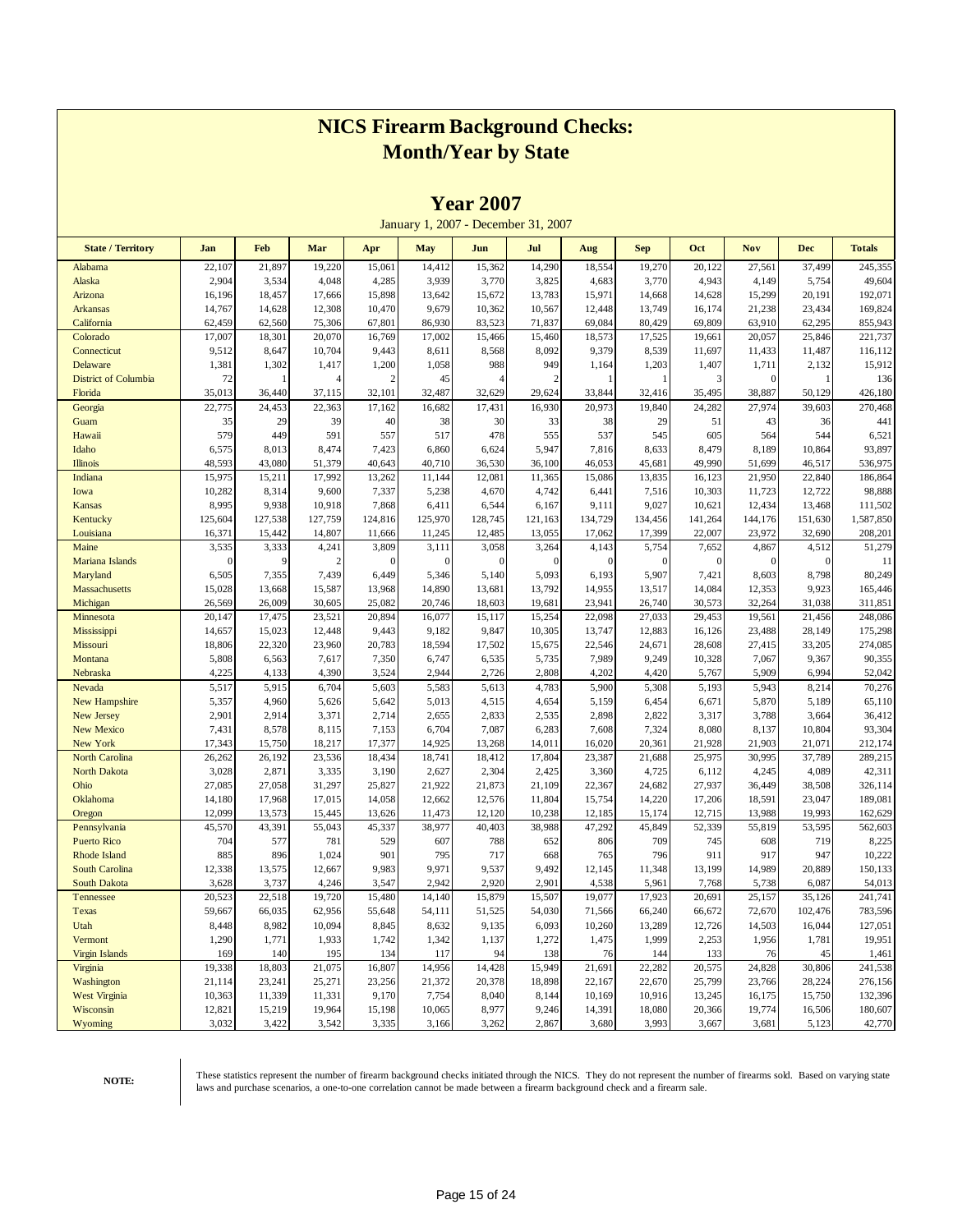|                                        |                  |                  |                  |                        |                 | <b>1 ear 2007</b> |                                     |                  |                         |                  |                       |                  |                    |
|----------------------------------------|------------------|------------------|------------------|------------------------|-----------------|-------------------|-------------------------------------|------------------|-------------------------|------------------|-----------------------|------------------|--------------------|
|                                        |                  |                  |                  |                        |                 |                   | January 1, 2007 - December 31, 2007 |                  |                         |                  |                       |                  |                    |
| <b>State / Territory</b>               | Jan              | Feb              | Mar              | Apr                    | <b>May</b>      | Jun               | Jul                                 | Aug              | <b>Sep</b>              | Oct              | <b>Nov</b>            | <b>Dec</b>       | <b>Totals</b>      |
| Alabama                                | 22,107           | 21,897           | 19,220           | 15,061                 | 14,412          | 15,362            | 14,290                              | 18,554           | 19,270                  | 20,122           | 27,561                | 37,499           | 245,355            |
| Alaska                                 | 2,904            | 3,534            | 4,048            | 4,285                  | 3,939           | 3,770             | 3,825                               | 4,683            | 3,770                   | 4,943            | 4,149                 | 5,754            | 49,604             |
| Arizona                                | 16,196           | 18,457           | 17,666           | 15,898                 | 13,642          | 15,672            | 13,783                              | 15,971           | 14,668                  | 14,628           | 15,299                | 20,191           | 192,071            |
| <b>Arkansas</b>                        | 14,767           | 14,628           | 12,308           | 10,470                 | 9,679           | 10,362            | 10,567                              | 12,448           | 13,749                  | 16,174           | 21,238                | 23,434           | 169,824            |
| California                             | 62,459           | 62,560           | 75,306           | 67,801                 | 86,930          | 83,523            | 71,837                              | 69,084           | 80,429                  | 69,809           | 63,910                | 62,295           | 855,943            |
| Colorado                               | 17,007           | 18,301           | 20,070           | 16,769                 | 17,002          | 15,466            | 15,460                              | 18,573           | 17,525                  | 19,661           | 20,057                | 25,846           | 221,737            |
| Connecticut                            | 9,512            | 8,647            | 10,704           | 9,443                  | 8,611           | 8,568             | 8,092                               | 9,379            | 8,539                   | 11,697           | 11,433                | 11,487           | 116,112            |
| Delaware                               | 1,381            | 1,302<br>1       | 1,417            | 1,200<br>$\mathcal{I}$ | 1,058           | 988<br>4          | 949<br>$\overline{c}$               | 1,164<br>1       | 1,203<br>$\overline{1}$ | 1,407<br>3       | 1,711<br>$\mathbf{0}$ | 2,132            | 15,912             |
| <b>District of Columbia</b><br>Florida | 72<br>35,013     | 36,440           | 37,115           | 32,101                 | 45<br>32,487    | 32,629            | 29,624                              | 33,844           | 32,416                  | 35,495           | 38,887                | 50,129           | 136<br>426,180     |
| Georgia                                | 22,775           | 24,453           | 22,363           | 17,162                 | 16,682          | 17,431            | 16,930                              | 20,973           | 19,840                  | 24,282           | 27,974                | 39,603           | 270,468            |
| Guam                                   | 35               | 29               | 39               | 40                     | 38              | 30                | 33                                  | 38               | 29                      | 51               | 43                    | 36               | 441                |
| Hawaii                                 | 579              | 449              | 591              | 557                    | 517             | 478               | 555                                 | 537              | 545                     | 605              | 564                   | 544              | 6,521              |
| Idaho                                  | 6,575            | 8,013            | 8,474            | 7,423                  | 6,860           | 6,624             | 5,947                               | 7,816            | 8,633                   | 8,479            | 8,189                 | 10,864           | 93,897             |
| <b>Illinois</b>                        | 48,593           | 43,080           | 51,379           | 40,643                 | 40,710          | 36,530            | 36,100                              | 46,053           | 45,681                  | 49,990           | 51,699                | 46,517           | 536,975            |
| Indiana                                | 15,975           | 15,211           | 17,992           | 13,262                 | 11,144          | 12,081            | 11,365                              | 15,086           | 13,835                  | 16,123           | 21,950                | 22,840           | 186,864            |
| Iowa                                   | 10,282           | 8,314            | 9,600            | 7,337                  | 5,238           | 4,670             | 4,742                               | 6,441            | 7,516                   | 10,303           | 11,723                | 12,722           | 98,888             |
| <b>Kansas</b>                          | 8,995            | 9,938            | 10,918           | 7,868                  | 6,411           | 6,544             | 6,167                               | 9,111            | 9,027                   | 10,621           | 12,434                | 13,468           | 111,502            |
| Kentucky                               | 125,604          | 127,538          | 127,759          | 124,816                | 125,970         | 128,745           | 121,163                             | 134,729          | 134,456                 | 141,264          | 144,176               | 151,630          | 1,587,850          |
| Louisiana                              | 16,371           | 15,442           | 14,807           | 11,666                 | 11,245          | 12,485            | 13,055                              | 17,062           | 17,399                  | 22,007           | 23,972                | 32,690           | 208,201            |
| Maine                                  | 3,535            | 3,333            | 4,241            | 3,809                  | 3,111           | 3,058             | 3,264                               | 4,143            | 5,754                   | 7,652            | 4,867                 | 4,512            | 51,279             |
| Mariana Islands                        | $\mathbf{0}$     | 9                | 2                | $\mathbf{0}$           | $\mathbf{0}$    | $\mathbf{0}$      | $\mathbf{0}$                        | $\mathbf{0}$     | $\boldsymbol{0}$        | $\boldsymbol{0}$ | $\bf{0}$              | $\mathbf{0}$     | 11                 |
| Maryland                               | 6,505            | 7,355            | 7,439            | 6,449                  | 5,346           | 5,140             | 5,093                               | 6,193            | 5,907                   | 7,421            | 8,603                 | 8,798            | 80,249             |
| Massachusetts                          | 15,028           | 13,668           | 15,587           | 13,968                 | 14,890          | 13,681            | 13,792                              | 14,955           | 13,517                  | 14,084           | 12,353                | 9,923            | 165,446            |
| Michigan                               | 26,569           | 26,009           | 30,605           | 25,082                 | 20,746          | 18,603            | 19,681                              | 23,941           | 26,740                  | 30,573           | 32,264                | 31,038           | 311,851            |
| Minnesota                              | 20,147           | 17,475           | 23,521           | 20,894                 | 16,077          | 15,117            | 15,254                              | 22,098           | 27,033                  | 29,453           | 19,561                | 21,456           | 248,086            |
| Mississippi<br>Missouri                | 14,657<br>18,806 | 15,023<br>22,320 | 12,448<br>23,960 | 9,443<br>20,783        | 9,182<br>18,594 | 9,847<br>17,502   | 10,305<br>15,675                    | 13,747<br>22,546 | 12,883<br>24,671        | 16,126<br>28,608 | 23,488<br>27,415      | 28,149<br>33,205 | 175,298<br>274,085 |
| Montana                                | 5,808            | 6,563            | 7,617            | 7,350                  | 6,747           | 6,535             | 5,735                               | 7,989            | 9,249                   | 10,328           | 7,067                 | 9,367            | 90,355             |
| Nebraska                               | 4,225            | 4,133            | 4,390            | 3,524                  | 2,944           | 2,726             | 2,808                               | 4,202            | 4,420                   | 5,767            | 5,909                 | 6,994            | 52,042             |
| Nevada                                 | 5,517            | 5,915            | 6,704            | 5,603                  | 5,583           | 5,613             | 4,783                               | 5,900            | 5,308                   | 5,193            | 5,943                 | 8,214            | 70,276             |
| <b>New Hampshire</b>                   | 5,357            | 4,960            | 5,626            | 5,642                  | 5,013           | 4,515             | 4,654                               | 5,159            | 6,454                   | 6,671            | 5,870                 | 5,189            | 65,110             |
| New Jersey                             | 2,901            | 2,914            | 3,371            | 2,714                  | 2,655           | 2,833             | 2,535                               | 2,898            | 2,822                   | 3,317            | 3,788                 | 3,664            | 36,412             |
| <b>New Mexico</b>                      | 7,431            | 8,578            | 8,115            | 7,153                  | 6,704           | 7,087             | 6,283                               | 7,608            | 7,324                   | 8,080            | 8,137                 | 10,804           | 93,304             |
| New York                               | 17,343           | 15,750           | 18,217           | 17,377                 | 14,925          | 13,268            | 14,011                              | 16,020           | 20,361                  | 21,928           | 21,903                | 21,071           | 212,174            |
| <b>North Carolina</b>                  | 26,262           | 26,192           | 23,536           | 18,434                 | 18,741          | 18,412            | 17,804                              | 23,387           | 21,688                  | 25,975           | 30,995                | 37,789           | 289,215            |
| North Dakota                           | 3,028            | 2,871            | 3,335            | 3,190                  | 2,627           | 2,304             | 2,425                               | 3,360            | 4,725                   | 6,112            | 4,245                 | 4,089            | 42,311             |
| Ohio                                   | 27,085           | 27,058           | 31,297           | 25,827                 | 21,922          | 21,873            | 21,109                              | 22,367           | 24,682                  | 27,937           | 36,449                | 38,508           | 326,114            |
| Oklahoma                               | 14,180           | 17,968           | 17,015           | 14,058                 | 12,662          | 12,576            | 11,804                              | 15,754           | 14,220                  | 17,206           | 18,591                | 23,047           | 189,081            |
| Oregon                                 | 12,099           | 13,573           | 15,445           | 13,626                 | 11,473          | 12,120            | 10,238                              | 12,185           | 15,174                  | 12,715           | 13,988                | 19,993           | 162,629            |
| Pennsylvania                           | 45,570           | 43,391           | 55,043           | 45,337                 | 38,977          | 40,403            | 38,988                              | 47,292           | 45,849                  | 52,339           | 55,819                | 53,595           | 562,603            |
| <b>Puerto Rico</b>                     | 704              | 577              | 781              | 529                    | 607             | 788               | 652                                 | 806              | 709                     | 745              | 608                   | 719              | 8,225              |
| Rhode Island<br>South Carolina         | 885<br>12,338    | 896<br>13,575    | 1,024<br>12,667  | 901<br>9,983           | 795<br>9,971    | 717<br>9,537      | 668<br>9,492                        | 765<br>12,145    | 796<br>11,348           | 911<br>13,199    | 917<br>14,989         | 947<br>20,889    | 10,222<br>150,133  |
| <b>South Dakota</b>                    | 3,628            | 3,737            | 4,246            | 3,547                  | 2,942           | 2,920             | 2,901                               | 4,538            | 5,961                   | 7,768            | 5,738                 | 6,087            | 54,013             |
| Tennessee                              | 20,523           | 22,518           | 19,720           | 15,480                 | 14,140          | 15,879            | 15,507                              | 19,077           | 17,923                  | 20,691           | 25,157                | 35,126           | 241,741            |
| Texas                                  | 59,667           | 66,035           | 62,956           | 55,648                 | 54,111          | 51,525            | 54,030                              | 71,566           | 66,240                  | 66,672           | 72,670                | 102,476          | 783,596            |
| Utah                                   | 8,448            | 8,982            | 10,094           | 8,845                  | 8,632           | 9,135             | 6,093                               | 10,260           | 13,289                  | 12,726           | 14,503                | 16,044           | 127,051            |
| Vermont                                | 1,290            | 1,771            | 1,933            | 1,742                  | 1,342           | 1,137             | 1,272                               | 1,475            | 1,999                   | 2,253            | 1,956                 | 1,781            | 19,951             |
| <b>Virgin Islands</b>                  | 169              | 140              | 195              | 134                    | 117             | 94                | 138                                 | 76               | 144                     | 133              | 76                    | 45               | 1,461              |
| Virginia                               | 19,338           | 18,803           | 21,075           | 16,807                 | 14,956          | 14,428            | 15,949                              | 21,691           | 22,282                  | 20,575           | 24,828                | 30,806           | 241,538            |
| Washington                             | 21,114           | 23,241           | 25,271           | 23,256                 | 21,372          | 20,378            | 18,898                              | 22,167           | 22,670                  | 25,799           | 23,766                | 28,224           | 276,156            |
| <b>West Virginia</b>                   | 10,363           | 11,339           | 11,331           | 9,170                  | 7,754           | 8,040             | 8,144                               | 10,169           | 10,916                  | 13,245           | 16,175                | 15,750           | 132,396            |
| Wisconsin                              | 12,821           | 15,219           | 19,964           | 15,198                 | 10,065          | 8,977             | 9,246                               | 14,391           | 18,080                  | 20,366           | 19,774                | 16,506           | 180,607            |
| Wyoming                                | 3,032            | 3,422            | 3,542            | 3,335                  | 3,166           | 3,262             | 2,867                               | 3,680            | 3,993                   | 3,667            | 3,681                 | 5,123            | 42,770             |

**Year 2007**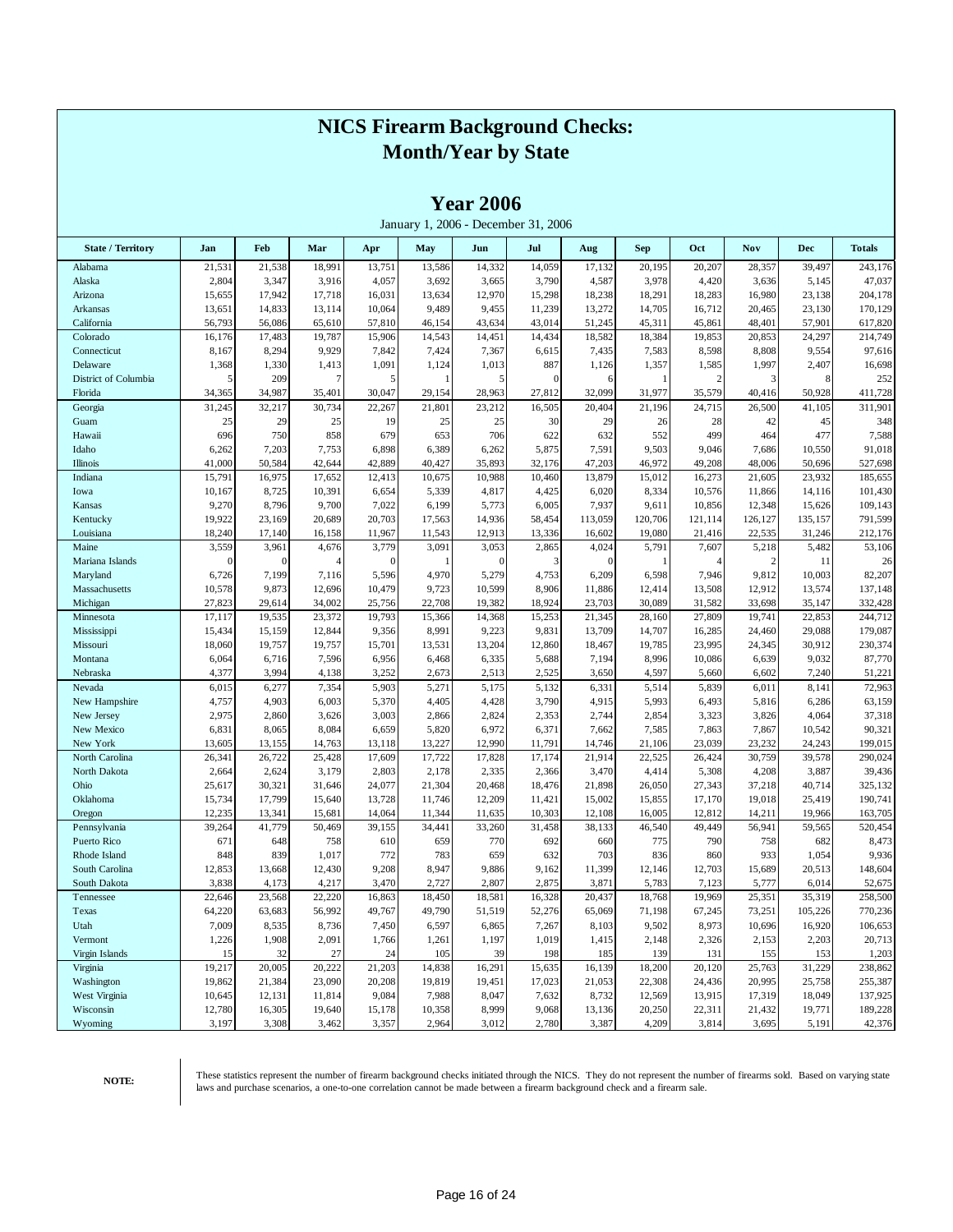|                          |          |              |        |              |        | <b>Year 2006</b> | January 1, 2006 - December 31, 2006 |              |            |                |                |            |               |
|--------------------------|----------|--------------|--------|--------------|--------|------------------|-------------------------------------|--------------|------------|----------------|----------------|------------|---------------|
| <b>State / Territory</b> | Jan      | Feb          | Mar    | Apr          | May    | Jun              | Jul                                 | Aug          | <b>Sep</b> | Oct            | Nov            | <b>Dec</b> | <b>Totals</b> |
| Alabama                  | 21,531   | 21,538       | 18,991 | 13,751       | 13,586 | 14,332           | 14,059                              | 17,132       | 20,195     | 20,207         | 28,357         | 39,497     | 243,176       |
| Alaska                   | 2,804    | 3,347        | 3,916  | 4,057        | 3,692  | 3,665            | 3,790                               | 4,587        | 3,978      | 4,420          | 3,636          | 5,145      | 47,037        |
| Arizona                  | 15,655   | 17,942       | 17,718 | 16,031       | 13,634 | 12,970           | 15,298                              | 18,238       | 18,291     | 18,283         | 16,980         | 23,138     | 204,178       |
| Arkansas                 | 13,651   | 14,833       | 13,114 | 10,064       | 9,489  | 9,455            | 11,239                              | 13,272       | 14,705     | 16,712         | 20,465         | 23,130     | 170,129       |
| California               | 56,793   | 56,086       | 65,610 | 57,810       | 46,154 | 43,634           | 43,014                              | 51,245       | 45,311     | 45,861         | 48,401         | 57,901     | 617,820       |
| Colorado                 | 16,176   | 17,483       | 19,787 | 15,906       | 14,543 | 14,451           | 14,434                              | 18,582       | 18,384     | 19,853         | 20,853         | 24,297     | 214,749       |
| Connecticut              | 8,167    | 8,294        | 9,929  | 7,842        | 7,424  | 7,367            | 6,615                               | 7,435        | 7,583      | 8,598          | 8,808          | 9,554      | 97,616        |
| Delaware                 | 1,368    | 1,330        | 1,413  | 1,091        | 1,124  | 1,013            | 887                                 | 1,126        | 1,357      | 1,585          | 1,997          | 2,407      | 16,698        |
| District of Columbia     | 5        | 209          | 7      | 5            |        | 5                | $\overline{0}$                      | 6            |            | $\overline{2}$ | 3              | 8          | 252           |
| Florida                  | 34,365   | 34,987       | 35,401 | 30,047       | 29,154 | 28,963           | 27,812                              | 32,099       | 31,977     | 35,579         | 40,416         | 50,928     | 411,728       |
| Georgia                  | 31,245   | 32,217       | 30,734 | 22,267       | 21,801 | 23,212           | 16,505                              | 20,404       | 21,196     | 24,715         | 26,500         | 41,105     | 311,901       |
| Guam                     | 25       | 29           | 25     | 19           | 25     | 25               | 30                                  | 29           | 26         | 28             | 42             | 45         | 348           |
| Hawaii                   | 696      | 750          | 858    | 679          | 653    | 706              | 622                                 | 632          | 552        | 499            | 464            | 477        | 7,588         |
| Idaho                    | 6,262    | 7,203        | 7,753  | 6,898        | 6,389  | 6,262            | 5,875                               | 7,591        | 9,503      | 9,046          | 7,686          | 10,550     | 91,018        |
| Illinois                 | 41,000   | 50,584       | 42,644 | 42,889       | 40,427 | 35,893           | 32,176                              | 47,203       | 46,972     | 49,208         | 48,006         | 50,696     | 527,698       |
| Indiana                  | 15,791   | 16,975       | 17,652 | 12,413       | 10,675 | 10,988           | 10,460                              | 13,879       | 15,012     | 16,273         | 21,605         | 23,932     | 185,655       |
| Iowa                     | 10,167   | 8,725        | 10,391 | 6,654        | 5,339  | 4,817            | 4,425                               | 6,020        | 8,334      | 10,576         | 11,866         | 14,116     | 101,430       |
| Kansas                   | 9,270    | 8,796        | 9,700  | 7,022        | 6,199  | 5,773            | 6,005                               | 7,937        | 9,611      | 10,856         | 12,348         | 15,626     | 109,143       |
| Kentucky                 | 19,922   | 23,169       | 20,689 | 20,703       | 17,563 | 14,936           | 58,454                              | 113,059      | 120,706    | 121,114        | 126,127        | 135,157    | 791,599       |
| Louisiana                | 18,240   | 17,140       | 16,158 | 11,967       | 11,543 | 12,913           | 13,336                              | 16,602       | 19,080     | 21,416         | 22,535         | 31,246     | 212,176       |
| Maine                    | 3,559    | 3,961        | 4,676  | 3,779        | 3,091  | 3,053            | 2,865                               | 4,024        | 5,791      | 7,607          | 5,218          | 5,482      | 53,106        |
| Mariana Islands          | $\theta$ | $\mathbf{0}$ |        | $\mathbf{0}$ |        | $\overline{0}$   | 3                                   | $\mathbf{0}$ |            | $\overline{4}$ | $\overline{2}$ | 11         | 26            |
| Maryland                 | 6,726    | 7,199        | 7,116  | 5,596        | 4,970  | 5,279            | 4,753                               | 6,209        | 6,598      | 7,946          | 9,812          | 10,003     | 82,207        |
| Massachusetts            | 10,578   | 9,873        | 12,696 | 10,479       | 9,723  | 10,599           | 8,906                               | 11,886       | 12,414     | 13,508         | 12,912         | 13,574     | 137,148       |
| Michigan                 | 27,823   | 29,614       | 34,002 | 25,756       | 22,708 | 19,382           | 18,924                              | 23,703       | 30,089     | 31,582         | 33,698         | 35,147     | 332,428       |
| Minnesota                | 17,117   | 19,535       | 23,372 | 19,793       | 15,366 | 14,368           | 15,253                              | 21,345       | 28,160     | 27,809         | 19,741         | 22,853     | 244,712       |
| Mississippi              | 15,434   | 15,159       | 12,844 | 9,356        | 8,991  | 9,223            | 9,831                               | 13,709       | 14,707     | 16,285         | 24,460         | 29,088     | 179,087       |
| Missouri                 | 18,060   | 19,757       | 19,757 | 15,701       | 13,531 | 13,204           | 12,860                              | 18,467       | 19,785     | 23,995         | 24,345         | 30,912     | 230,374       |
| Montana                  | 6,064    | 6,716        | 7,596  | 6,956        | 6,468  | 6,335            | 5,688                               | 7,194        | 8,996      | 10,086         | 6,639          | 9,032      | 87,770        |
| Nebraska                 | 4,377    | 3,994        | 4,138  | 3,252        | 2,673  | 2,513            | 2,525                               | 3,650        | 4,597      | 5,660          | 6,602          | 7,240      | 51,221        |
| Nevada                   | 6,015    | 6,277        | 7,354  | 5,903        | 5,271  | 5,175            | 5,132                               | 6,331        | 5,514      | 5,839          | 6,011          | 8,141      | 72,963        |
| New Hampshire            | 4,757    | 4,903        | 6,003  | 5,370        | 4,405  | 4,428            | 3,790                               | 4,915        | 5,993      | 6,493          | 5,816          | 6,286      | 63,159        |
| New Jersey               | 2,975    | 2,860        | 3,626  | 3,003        | 2,866  | 2,824            | 2,353                               | 2,744        | 2,854      | 3,323          | 3,826          | 4,064      | 37,318        |
| New Mexico               | 6,831    | 8,065        | 8,084  | 6,659        | 5,820  | 6,972            | 6,371                               | 7,662        | 7,585      | 7,863          | 7,867          | 10,542     | 90,321        |
| New York                 | 13,605   | 13,155       | 14,763 | 13,118       | 13,227 | 12,990           | 11,791                              | 14,746       | 21,106     | 23,039         | 23,232         | 24,243     | 199,015       |
| North Carolina           | 26,341   | 26,722       | 25,428 | 17,609       | 17,722 | 17,828           | 17,174                              | 21,914       | 22,525     | 26,424         | 30,759         | 39,578     | 290,024       |
| North Dakota             | 2,664    | 2,624        | 3,179  | 2,803        | 2,178  | 2,335            | 2,366                               | 3,470        | 4,414      | 5,308          | 4,208          | 3,887      | 39,436        |
| Ohio                     | 25,617   | 30,321       | 31,646 | 24,077       | 21,304 | 20,468           | 18,476                              | 21,898       | 26,050     | 27,343         | 37,218         | 40,714     | 325,132       |
| Oklahoma                 | 15,734   | 17,799       | 15,640 | 13,728       | 11,746 | 12,209           | 11,421                              | 15,002       | 15,855     | 17,170         | 19,018         | 25,419     | 190,741       |
| Oregon                   | 12,235   | 13,341       | 15,681 | 14,064       | 11,344 | 11,635           | 10,303                              | 12,108       | 16,005     | 12,812         | 14,211         | 19,966     | 163,705       |
| Pennsylvania             | 39,264   | 41,779       | 50,469 | 39,155       | 34,441 | 33,260           | 31,458                              | 38,133       | 46,540     | 49,449         | 56,941         | 59,565     | 520,454       |
| Puerto Rico              | 671      | 648          | 758    | 610          | 659    | 770              | 692                                 | 660          | 775        | 790            | 758            | 682        | 8,473         |
| Rhode Island             | 848      | 839          | 1,017  | 772          | 783    | 659              | 632                                 | 703          | 836        | 860            | 933            | 1,054      | 9,936         |
| South Carolina           | 12,853   | 13,668       | 12,430 | 9,208        | 8,947  | 9,886            | 9,162                               | 11,399       | 12,146     | 12,703         | 15,689         | 20,513     | 148,604       |
| South Dakota             | 3,838    | 4,173        | 4,217  | 3,470        | 2,727  | 2,807            | 2,875                               | 3,871        | 5,783      | 7,123          | 5,777          | 6,014      | 52,675        |
| Tennessee                | 22,646   | 23,568       | 22,220 | 16,863       | 18,450 | 18,581           | 16,328                              | 20,437       | 18,768     | 19,969         | 25,351         | 35,319     | 258,500       |
| Texas                    | 64,220   | 63,683       | 56,992 | 49,767       | 49,790 | 51,519           | 52,276                              | 65,069       | 71,198     | 67,245         | 73,251         | 105,226    | 770,236       |
| Utah                     | 7,009    | 8,535        | 8,736  | 7,450        | 6,597  | 6,865            | 7,267                               | 8,103        | 9,502      | 8,973          | 10,696         | 16,920     | 106,653       |
| Vermont                  | 1,226    | 1,908        | 2,091  | 1,766        | 1,261  | 1,197            | 1,019                               | 1,415        | 2,148      | 2,326          | 2,153          | 2,203      | 20,713        |
|                          |          |              |        |              |        |                  |                                     |              |            |                |                |            |               |
| Virgin Islands           | 15       | 32           | 27     | 24           | 105    | 39               | 198                                 | 185          | 139        | 131            | 155            | 153        | 1,203         |
| Virginia                 | 19,217   | 20,005       | 20,222 | 21,203       | 14,838 | 16,291           | 15,635                              | 16,139       | 18,200     | 20,120         | 25,763         | 31,229     | 238,862       |
| Washington               | 19,862   | 21,384       | 23,090 | 20,208       | 19,819 | 19,451           | 17,023                              | 21,053       | 22,308     | 24,436         | 20,995         | 25,758     | 255,387       |
| West Virginia            | 10,645   | 12,131       | 11,814 | 9,084        | 7,988  | 8,047            | 7,632                               | 8,732        | 12,569     | 13,915         | 17,319         | 18,049     | 137,925       |
| Wisconsin                | 12,780   | 16,305       | 19,640 | 15,178       | 10,358 | 8,999            | 9,068                               | 13,136       | 20,250     | 22,311         | 21,432         | 19,771     | 189,228       |
| Wyoming                  | 3,197    | 3,308        | 3,462  | 3,357        | 2,964  | 3,012            | 2,780                               | 3,387        | 4,209      | 3,814          | 3,695          | 5,191      | 42,376        |

**Year 2006**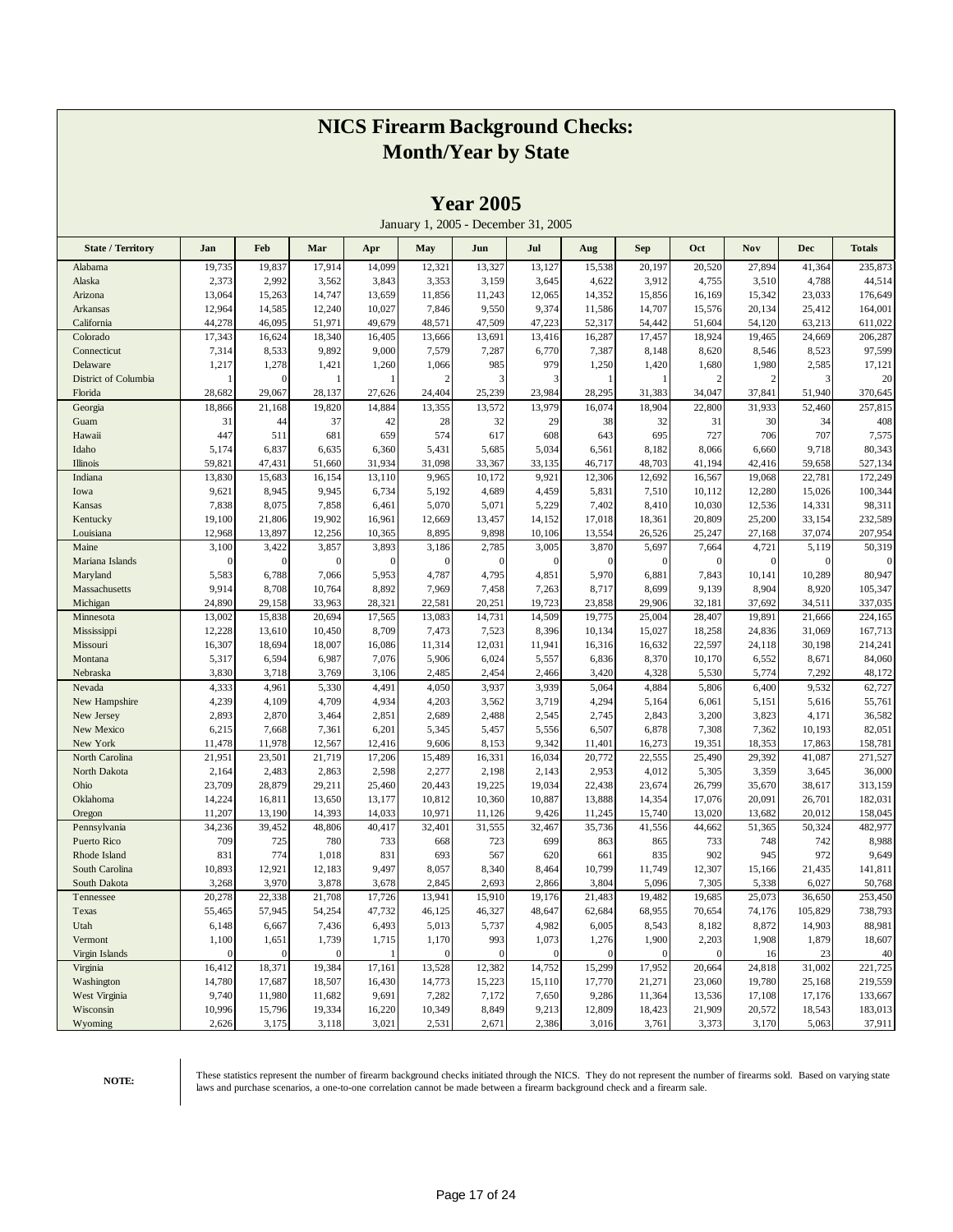|                          |                 |                 |                 |                 |                | $1$ cal $2003$ |                                     |                 |                 |                  |                 |                  |                   |
|--------------------------|-----------------|-----------------|-----------------|-----------------|----------------|----------------|-------------------------------------|-----------------|-----------------|------------------|-----------------|------------------|-------------------|
|                          |                 |                 |                 |                 |                |                | January 1, 2005 - December 31, 2005 |                 |                 |                  |                 |                  |                   |
| <b>State / Territory</b> | Jan             | Feb             | Mar             | Apr             | May            | Jun            | Jul                                 | Aug             | <b>Sep</b>      | Oct              | Nov             | <b>Dec</b>       | <b>Totals</b>     |
| Alabama                  | 19,735          | 19,837          | 17,914          | 14,099          | 12,321         | 13,327         | 13,127                              | 15,538          | 20,197          | 20,520           | 27,894          | 41,364           | 235,873           |
| Alaska                   | 2,373           | 2,992           | 3,562           | 3,843           | 3,353          | 3,159          | 3,645                               | 4,622           | 3,912           | 4,755            | 3,510           | 4,788            | 44,514            |
| Arizona                  | 13,064          | 15,263          | 14,747          | 13,659          | 11,856         | 11,243         | 12,065                              | 14,352          | 15,856          | 16,169           | 15,342          | 23,033           | 176,649           |
| Arkansas                 | 12,964          | 14,585          | 12,240          | 10,027          | 7,846          | 9,550          | 9,374                               | 11,586          | 14,707          | 15,576           | 20,134          | 25,412           | 164,001           |
| California               | 44,278          | 46,095          | 51,971          | 49,679          | 48,571         | 47,509         | 47,223                              | 52,317          | 54,442          | 51,604           | 54,120          | 63,213           | 611,022           |
| Colorado                 | 17,343          | 16,624          | 18,340          | 16,405          | 13,666         | 13,691         | 13,416                              | 16,287          | 17,457          | 18,924           | 19,465          | 24,669           | 206,287           |
| Connecticut              | 7,314           | 8,533           | 9,892           | 9,000           | 7,579          | 7,287          | 6,770                               | 7,387           | 8,148           | 8,620            | 8,546           | 8,523            | 97,599            |
| Delaware                 | 1,217           | 1,278           | 1,421           | 1,260           | 1,066          | 985            | 979                                 | 1,250           | 1,420           | 1,680            | 1,980           | 2,585            | 17,121            |
| District of Columbia     |                 | $\mathbf{0}$    |                 |                 | $\overline{2}$ | 3              | 3                                   | 1               |                 | 2                | $\overline{2}$  | 3                | 20                |
| Florida                  | 28,682          | 29,067          | 28,137          | 27,626          | 24,404         | 25,239         | 23,984                              | 28,295          | 31,383          | 34,047           | 37,841          | 51,940           | 370,645           |
| Georgia                  | 18,866          | 21,168          | 19,820          | 14,884          | 13,355         | 13,572         | 13,979                              | 16,074          | 18,904          | 22,800           | 31,933          | 52,460           | 257,815           |
| Guam                     | 31              | 44              | 37              | 42              | 28             | 32             | 29                                  | 38              | 32              | 31               | 30              | 34               | 408               |
| Hawaii                   | 447             | 511             | 681             | 659             | 574<br>5,431   | 617<br>5,685   | 608                                 | 643             | 695<br>8,182    | 727              | 706             | 707              | 7,575             |
| Idaho<br>Illinois        | 5,174<br>59,821 | 6,837<br>47,431 | 6,635<br>51,660 | 6,360<br>31,934 | 31,098         | 33,367         | 5,034<br>33,135                     | 6,561<br>46,717 | 48,703          | 8,066<br>41,194  | 6,660<br>42,416 | 9,718<br>59,658  | 80,343<br>527,134 |
| Indiana                  | 13,830          | 15,683          | 16,154          | 13,110          | 9,965          | 10,172         | 9,921                               | 12,306          | 12,692          | 16,567           | 19,068          | 22,781           | 172,249           |
| Iowa                     | 9,621           | 8,945           | 9,945           | 6,734           | 5,192          | 4,689          | 4,459                               | 5,831           | 7,510           | 10,112           | 12,280          | 15,026           | 100,344           |
| Kansas                   | 7,838           | 8,075           | 7,858           | 6,461           | 5,070          | 5,071          | 5,229                               | 7,402           | 8,410           | 10,030           | 12,536          | 14,331           | 98,311            |
| Kentucky                 | 19,100          | 21,806          | 19,902          | 16,961          | 12,669         | 13,457         | 14,152                              | 17,018          | 18,361          | 20,809           | 25,200          | 33,154           | 232,589           |
| Louisiana                | 12,968          | 13,897          | 12,256          | 10,365          | 8,895          | 9,898          | 10,106                              | 13,554          | 26,526          | 25,247           | 27,168          | 37,074           | 207,954           |
| Maine                    | 3,100           | 3,422           | 3,857           | 3,893           | 3,186          | 2,785          | 3,005                               | 3,870           | 5,697           | 7,664            | 4,721           | 5,119            | 50,319            |
| Mariana Islands          | 0               | $\mathbf{0}$    | ſ               | $\overline{0}$  | $\Omega$       | $\mathbf{0}$   | $\boldsymbol{0}$                    | $\mathbf{0}$    | $\mathbf{0}$    | $\boldsymbol{0}$ | $\mathbf 0$     | $\mathbf{0}$     |                   |
| Maryland                 | 5,583           | 6,788           | 7,066           | 5,953           | 4,787          | 4,795          | 4,851                               | 5,970           | 6,881           | 7,843            | 10,141          | 10,289           | 80,947            |
| Massachusetts            | 9,914           | 8,708           | 10,764          | 8,892           | 7,969          | 7,458          | 7,263                               | 8,717           | 8,699           | 9,139            | 8,904           | 8,920            | 105,347           |
| Michigan                 | 24,890          | 29,158          | 33,963          | 28,321          | 22,581         | 20,251         | 19,723                              | 23,858          | 29,906          | 32,181           | 37,692          | 34,511           | 337,035           |
| Minnesota                | 13,002          | 15,838          | 20,694          | 17,565          | 13,083         | 14,731         | 14,509                              | 19,775          | 25,004          | 28,407           | 19,891          | 21,666           | 224,165           |
| Mississippi              | 12,228          | 13,610          | 10,450          | 8,709           | 7,473          | 7,523          | 8,396                               | 10,134          | 15,027          | 18,258           | 24,836          | 31,069           | 167,713           |
| Missouri                 | 16,307          | 18,694          | 18,007          | 16,086          | 11,314         | 12,031         | 11,941                              | 16,316          | 16,632          | 22,597           | 24,118          | 30,198           | 214,241           |
| Montana                  | 5,317           | 6,594           | 6,987           | 7,076           | 5,906          | 6,024          | 5,557                               | 6,836           | 8,370           | 10,170           | 6,552           | 8,671            | 84,060            |
| Nebraska                 | 3,830           | 3,718           | 3,769           | 3,106           | 2,485          | 2,454          | 2,466                               | 3,420           | 4,328           | 5,530            | 5,774           | 7,292            | 48,172            |
| Nevada                   | 4,333           | 4,961           | 5,330           | 4,491           | 4,050          | 3,937          | 3,939                               | 5,064           | 4,884           | 5,806            | 6,400           | 9,532            | 62,727            |
| New Hampshire            | 4,239           | 4,109           | 4,709           | 4,934           | 4,203          | 3,562          | 3,719                               | 4,294           | 5,164           | 6,061            | 5,151           | 5,616            | 55,761            |
| New Jersey<br>New Mexico | 2,893           | 2,870           | 3,464           | 2,851<br>6,201  | 2,689          | 2,488          | 2,545                               | 2,745           | 2,843           | 3,200            | 3,823           | 4,171            | 36,582<br>82,051  |
| New York                 | 6,215<br>11,478 | 7,668<br>11,978 | 7,361<br>12,567 | 12,416          | 5,345<br>9,606 | 5,457<br>8,153 | 5,556<br>9,342                      | 6,507<br>11,401 | 6,878<br>16,273 | 7,308<br>19,351  | 7,362<br>18,353 | 10,193<br>17,863 | 158,781           |
| North Carolina           | 21,951          | 23,501          | 21,719          | 17,206          | 15,489         | 16,331         | 16,034                              | 20,772          | 22,555          | 25,490           | 29,392          | 41,087           | 271,527           |
| North Dakota             | 2,164           | 2,483           | 2,863           | 2,598           | 2,277          | 2,198          | 2,143                               | 2,953           | 4,012           | 5,305            | 3,359           | 3,645            | 36,000            |
| Ohio                     | 23,709          | 28,879          | 29,211          | 25,460          | 20,443         | 19,225         | 19,034                              | 22,438          | 23,674          | 26,799           | 35,670          | 38,617           | 313,159           |
| Oklahoma                 | 14,224          | 16,811          | 13,650          | 13,177          | 10,812         | 10,360         | 10,887                              | 13,888          | 14,354          | 17,076           | 20,091          | 26,701           | 182,031           |
| Oregon                   | 11,207          | 13,190          | 14,393          | 14,033          | 10,971         | 11,126         | 9,426                               | 11,245          | 15,740          | 13,020           | 13,682          | 20,012           | 158,045           |
| Pennsylvania             | 34,236          | 39,452          | 48,806          | 40,417          | 32,401         | 31,555         | 32,467                              | 35,736          | 41,556          | 44,662           | 51,365          | 50,324           | 482,977           |
| Puerto Rico              | 709             | 725             | 780             | 733             | 668            | 723            | 699                                 | 863             | 865             | 733              | 748             | 742              | 8,988             |
| Rhode Island             | 831             | 774             | 1,018           | 831             | 693            | 567            | 620                                 | 661             | 835             | 902              | 945             | 972              | 9,649             |
| South Carolina           | 10,893          | 12,921          | 12,183          | 9,497           | 8,057          | 8,340          | 8,464                               | 10,799          | 11,749          | 12,307           | 15,166          | 21,435           | 141,811           |
| South Dakota             | 3,268           | 3,970           | 3,878           | 3,678           | 2,845          | 2,693          | 2,866                               | 3,804           | 5,096           | 7,305            | 5,338           | 6,027            | 50,768            |
| Tennessee                | 20,278          | 22,338          | 21,708          | 17,726          | 13,941         | 15,910         | 19,176                              | 21,483          | 19,482          | 19,685           | 25,073          | 36,650           | 253,450           |
| Texas                    | 55,465          | 57,945          | 54,254          | 47,732          | 46,125         | 46,327         | 48,647                              | 62,684          | 68,955          | 70,654           | 74,176          | 105,829          | 738,793           |
| Utah                     | 6,148           | 6,667           | 7,436           | 6,493           | 5,013          | 5,737          | 4,982                               | 6,005           | 8,543           | 8,182            | 8,872           | 14,903           | 88,981            |
| Vermont                  | 1,100           | 1,651           | 1,739           | 1,715           | 1,170          | 993            | 1,073                               | 1,276           | 1,900           | 2,203            | 1,908           | 1,879            | 18,607            |
| Virgin Islands           | $\overline{0}$  | $\mathbf{0}$    | $\mathbf{0}$    | -1              | $\mathbf{0}$   | $\overline{0}$ | $\mathbf{0}$                        | $\mathbf{0}$    | $\overline{0}$  | $\overline{0}$   | 16              | 23               | 40                |
| Virginia                 | 16,412          | 18,371          | 19,384          | 17,161          | 13,528         | 12,382         | 14,752                              | 15,299          | 17,952          | 20,664           | 24,818          | 31,002           | 221,725           |
| Washington               | 14,780          | 17,687          | 18,507          | 16,430          | 14,773         | 15,223         | 15,110                              | 17,770          | 21,271          | 23,060           | 19,780          | 25,168           | 219,559           |
| West Virginia            | 9,740           | 11,980          | 11,682          | 9,691           | 7,282          | 7,172          | 7,650                               | 9,286           | 11,364          | 13,536           | 17,108          | 17,176           | 133,667           |
| Wisconsin                | 10,996          | 15,796          | 19,334          | 16,220          | 10,349         | 8,849          | 9,213                               | 12,809          | 18,423          | 21,909           | 20,572          | 18,543           | 183,013           |
| Wyoming                  | 2,626           | 3,175           | 3,118           | 3,021           | 2,531          | 2,671          | 2,386                               | 3,016           | 3,761           | 3,373            | 3,170           | 5,063            | 37,911            |

**Year 2005**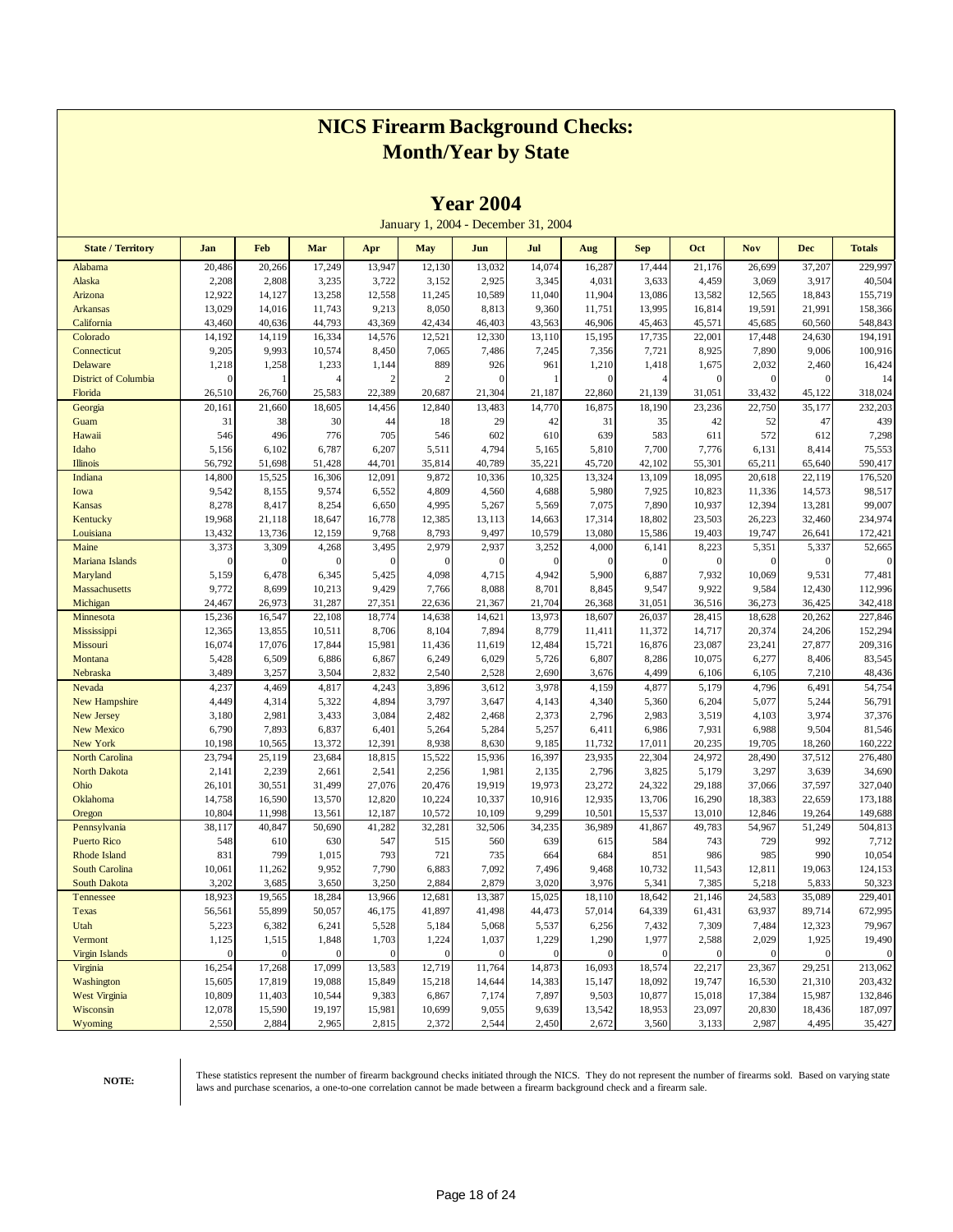|                                |                  |                  |                  |                  |                  | <b>Teal 2004</b> |                                     |                  |                  |                  |                  |                  |                    |
|--------------------------------|------------------|------------------|------------------|------------------|------------------|------------------|-------------------------------------|------------------|------------------|------------------|------------------|------------------|--------------------|
|                                |                  |                  |                  |                  |                  |                  | January 1, 2004 - December 31, 2004 |                  |                  |                  |                  |                  |                    |
| <b>State / Territory</b>       | Jan              | Feb              | Mar              | Apr              | May              | Jun              | Jul                                 | Aug              | <b>Sep</b>       | Oct              | <b>Nov</b>       | <b>Dec</b>       | <b>Totals</b>      |
| Alabama                        | 20,486           | 20,266           | 17,249           | 13,947           | 12,130           | 13,032           | 14,074                              | 16,287           | 17,444           | 21,176           | 26,699           | 37,207           | 229,997            |
| Alaska                         | 2,208            | 2,808            | 3,235            | 3,722            | 3,152            | 2,925            | 3,345                               | 4,031            | 3,633            | 4,459            | 3,069            | 3,917            | 40,504             |
| Arizona                        | 12,922           | 14,127           | 13,258           | 12,558           | 11,245           | 10,589           | 11,040                              | 11,904           | 13,086           | 13,582           | 12,565           | 18,843           | 155,719            |
| <b>Arkansas</b>                | 13,029           | 14,016           | 11,743           | 9,213            | 8,050            | 8,813            | 9,360                               | 11,751           | 13,995           | 16,814           | 19,591           | 21,991           | 158,366            |
| California<br>Colorado         | 43,460<br>14,192 | 40,636<br>14,119 | 44,793<br>16,334 | 43,369<br>14,576 | 42,434<br>12,521 | 46,403<br>12,330 | 43,563<br>13,110                    | 46,906<br>15,195 | 45,463<br>17,735 | 45,571<br>22,001 | 45,685<br>17,448 | 60,560<br>24,630 | 548,843<br>194,191 |
| Connecticut                    | 9,205            | 9,993            | 10,574           | 8,450            | 7,065            | 7,486            | 7,245                               | 7,356            | 7,721            | 8,925            | 7,890            | 9,006            | 100,916            |
| Delaware                       | 1,218            | 1,258            | 1,233            | 1,144            | 889              | 926              | 961                                 | 1,210            | 1,418            | 1,675            | 2,032            | 2,460            | 16,424             |
| <b>District of Columbia</b>    | $\theta$         |                  |                  | 2                | $\overline{2}$   | $\Omega$         |                                     | $\Omega$         | $\overline{A}$   | $\overline{0}$   | $\boldsymbol{0}$ | $\Omega$         | 14                 |
| Florida                        | 26,510           | 26,760           | 25,583           | 22,389           | 20,687           | 21,304           | 21,187                              | 22,860           | 21,139           | 31,051           | 33,432           | 45,122           | 318,024            |
| Georgia                        | 20,161           | 21,660           | 18,605           | 14,456           | 12,840           | 13,483           | 14,770                              | 16,875           | 18,190           | 23,236           | 22,750           | 35,177           | 232,203            |
| Guam                           | 31               | 38               | 30               | 44               | 18               | 29               | 42                                  | 31               | 35               | 42               | 52               | 47               | 439                |
| Hawaii                         | 546              | 496              | 776              | 705              | 546              | 602              | 610                                 | 639              | 583              | 611              | 572              | 612              | 7,298              |
| Idaho                          | 5,156            | 6,102            | 6,787            | 6,207            | 5,511            | 4,794            | 5,165                               | 5,810            | 7,700            | 7,776            | 6,131            | 8,414            | 75,553             |
| <b>Illinois</b>                | 56,792           | 51,698           | 51,428           | 44,701           | 35,814           | 40,789           | 35,221                              | 45,720           | 42,102           | 55,301           | 65,211           | 65,640           | 590,417            |
| Indiana                        | 14,800           | 15,525           | 16,306           | 12,091           | 9,872            | 10,336           | 10,325                              | 13,324           | 13,109           | 18,095           | 20,618           | 22,119           | 176,520            |
| Iowa                           | 9,542            | 8,155            | 9,574            | 6,552            | 4,809            | 4,560            | 4,688                               | 5,980            | 7,925            | 10,823           | 11,336           | 14,573           | 98,517             |
| Kansas                         | 8,278            | 8,417            | 8,254            | 6,650            | 4,995            | 5,267            | 5,569                               | 7,075            | 7,890            | 10,937           | 12,394           | 13,281           | 99,007             |
| Kentucky                       | 19,968           | 21,118           | 18,647           | 16,778           | 12,385           | 13,113           | 14,663                              | 17,314           | 18,802           | 23,503           | 26,223           | 32,460           | 234,974            |
| Louisiana                      | 13,432           | 13,736           | 12,159           | 9,768            | 8,793            | 9,497            | 10,579                              | 13,080           | 15,586           | 19,403           | 19,747           | 26,641           | 172,421            |
| Maine                          | 3,373            | 3,309            | 4,268            | 3,495            | 2,979            | 2,937            | 3,252                               | 4,000            | 6,141            | 8,223            | 5,351            | 5,337            | 52,665             |
| Mariana Islands                | 0                | $\mathbf{0}$     | $\epsilon$       | $\sqrt{ }$       | $\Omega$         | $\bf{0}$         | $\mathbf{0}$                        | $\Omega$         | $\mathbf{0}$     | $\overline{0}$   | $\mathbf{0}$     | $\mathbf{0}$     | $\Omega$           |
| Maryland                       | 5,159            | 6,478            | 6,345            | 5,425            | 4,098            | 4,715            | 4,942                               | 5,900            | 6,887            | 7,932            | 10,069           | 9,531            | 77,481             |
| Massachusetts                  | 9,772            | 8,699            | 10,213           | 9,429            | 7,766            | 8,088            | 8,701                               | 8,845            | 9,547            | 9,922            | 9,584            | 12,430           | 112,996            |
| Michigan                       | 24,467           | 26,973           | 31,287           | 27,351           | 22,636           | 21,367           | 21,704                              | 26,368           | 31,051           | 36,516           | 36,273           | 36,425           | 342,418            |
| Minnesota                      | 15,236           | 16,547           | 22,108           | 18,774           | 14,638           | 14,621           | 13,973                              | 18,607           | 26,037           | 28,415           | 18,628           | 20,262           | 227,846            |
| Mississippi                    | 12,365           | 13,855           | 10,511           | 8,706            | 8,104            | 7,894            | 8,779                               | 11,411           | 11,372           | 14,717           | 20,374           | 24,206           | 152,294            |
| Missouri                       | 16,074           | 17,076           | 17,844           | 15,981           | 11,436           | 11,619           | 12,484                              | 15,721           | 16,876           | 23,087           | 23,241           | 27,877           | 209,316            |
| Montana                        | 5,428            | 6,509            | 6,886            | 6,867            | 6,249            | 6,029            | 5,726                               | 6,807            | 8,286            | 10,075           | 6,277            | 8,406            | 83,545             |
| Nebraska                       | 3,489            | 3,257            | 3,504            | 2,832            | 2,540            | 2,528            | 2,690<br>3,978                      | 3,676            | 4,499            | 6,106            | 6,105<br>4,796   | 7,210            | 48,436             |
| Nevada<br><b>New Hampshire</b> | 4,237<br>4,449   | 4,469<br>4,314   | 4,817<br>5,322   | 4,243<br>4,894   | 3,896<br>3,797   | 3,612<br>3,647   | 4,143                               | 4,159<br>4,340   | 4,877<br>5,360   | 5,179<br>6,204   | 5,077            | 6,491<br>5,244   | 54,754<br>56,791   |
| <b>New Jersey</b>              | 3,180            | 2,981            | 3,433            | 3,084            | 2,482            | 2,468            | 2,373                               | 2,796            | 2,983            | 3,519            | 4,103            | 3,974            | 37,376             |
| <b>New Mexico</b>              | 6,790            | 7,893            | 6,837            | 6,401            | 5,264            | 5,284            | 5,257                               | 6,411            | 6,986            | 7,931            | 6,988            | 9,504            | 81,546             |
| New York                       | 10,198           | 10,565           | 13,372           | 12,391           | 8,938            | 8,630            | 9,185                               | 11,732           | 17,011           | 20,235           | 19,705           | 18,260           | 160,222            |
| <b>North Carolina</b>          | 23,794           | 25,119           | 23,684           | 18,815           | 15,522           | 15,936           | 16,397                              | 23,935           | 22,304           | 24,972           | 28,490           | 37,512           | 276,480            |
| <b>North Dakota</b>            | 2,141            | 2,239            | 2,661            | 2,541            | 2,256            | 1,981            | 2,135                               | 2,796            | 3,825            | 5,179            | 3,297            | 3,639            | 34,690             |
| Ohio                           | 26,101           | 30,551           | 31,499           | 27,076           | 20,476           | 19,919           | 19,973                              | 23,272           | 24,322           | 29,188           | 37,066           | 37,597           | 327,040            |
| Oklahoma                       | 14,758           | 16,590           | 13,570           | 12,820           | 10,224           | 10,337           | 10,916                              | 12,935           | 13,706           | 16,290           | 18,383           | 22,659           | 173,188            |
| Oregon                         | 10,804           | 11,998           | 13,561           | 12,187           | 10,572           | 10,109           | 9,299                               | 10,501           | 15,537           | 13,010           | 12,846           | 19,264           | 149,688            |
| Pennsylvania                   | 38,117           | 40,847           | 50,690           | 41,282           | 32,281           | 32,506           | 34,235                              | 36,989           | 41,867           | 49,783           | 54,967           | 51,249           | 504,813            |
| <b>Puerto Rico</b>             | 548              | 610              | 630              | 547              | 515              | 560              | 639                                 | 615              | 584              | 743              | 729              | 992              | 7,712              |
| <b>Rhode Island</b>            | 831              | 799              | 1,015            | 793              | 721              | 735              | 664                                 | 684              | 851              | 986              | 985              | 990              | 10,054             |
| <b>South Carolina</b>          | 10,061           | 11,262           | 9,952            | 7,790            | 6,883            | 7,092            | 7,496                               | 9,468            | 10,732           | 11,543           | 12,811           | 19,063           | 124,153            |
| <b>South Dakota</b>            | 3,202            | 3,685            | 3,650            | 3,250            | 2,884            | 2,879            | 3,020                               | 3,976            | 5,341            | 7,385            | 5,218            | 5,833            | 50,323             |
| Tennessee                      | 18,923           | 19,565           | 18,284           | 13,966           | 12,681           | 13,387           | 15,025                              | 18,110           | 18,642           | 21,146           | 24,583           | 35,089           | 229,401            |
| Texas                          | 56,561           | 55,899           | 50,057           | 46,175           | 41,897           | 41,498           | 44,473                              | 57,014           | 64,339           | 61,431           | 63,937           | 89,714           | 672,995            |
| Utah                           | 5,223            | 6,382            | 6,241            | 5,528            | 5,184            | 5,068            | 5,537                               | 6,256            | 7,432            | 7,309            | 7,484            | 12,323           | 79,967             |
| Vermont                        | 1,125            | 1,515            | 1,848            | 1,703            | 1,224            | 1,037            | 1,229                               | 1,290            | 1,977            | 2,588            | 2,029            | 1,925            | 19,490             |
| <b>Virgin Islands</b>          | $\theta$         | $\Omega$         | $\Omega$         | $\sqrt{ }$       | $\Omega$         | $\mathbf{0}$     | $\mathbf{0}$                        | $\Omega$         | $\Omega$         |                  | $\mathbf{0}$     | $\Omega$         | $\boldsymbol{0}$   |
| Virginia                       | 16,254           | 17,268           | 17,099           | 13,583           | 12,719           | 11,764           | 14,873                              | 16,093           | 18,574           | 22,217           | 23,367           | 29,251           | 213,062            |
| Washington                     | 15,605           | 17,819           | 19,088           | 15,849           | 15,218           | 14,644           | 14,383                              | 15,147           | 18,092           | 19,747           | 16,530           | 21,310           | 203,432            |
| <b>West Virginia</b>           | 10,809           | 11,403           | 10,544           | 9,383            | 6,867            | 7,174            | 7,897                               | 9,503            | 10,877           | 15,018           | 17,384           | 15,987           | 132,846            |
| Wisconsin                      | 12,078           | 15,590           | 19,197           | 15,981           | 10,699           | 9,055            | 9,639                               | 13,542           | 18,953           | 23,097           | 20,830           | 18,436           | 187,097            |
| Wyoming                        | 2,550            | 2,884            | 2,965            | 2,815            | 2,372            | 2,544            | 2,450                               | 2,672            | 3,560            | 3,133            | 2,987            | 4,495            | 35,427             |

**Year 2004**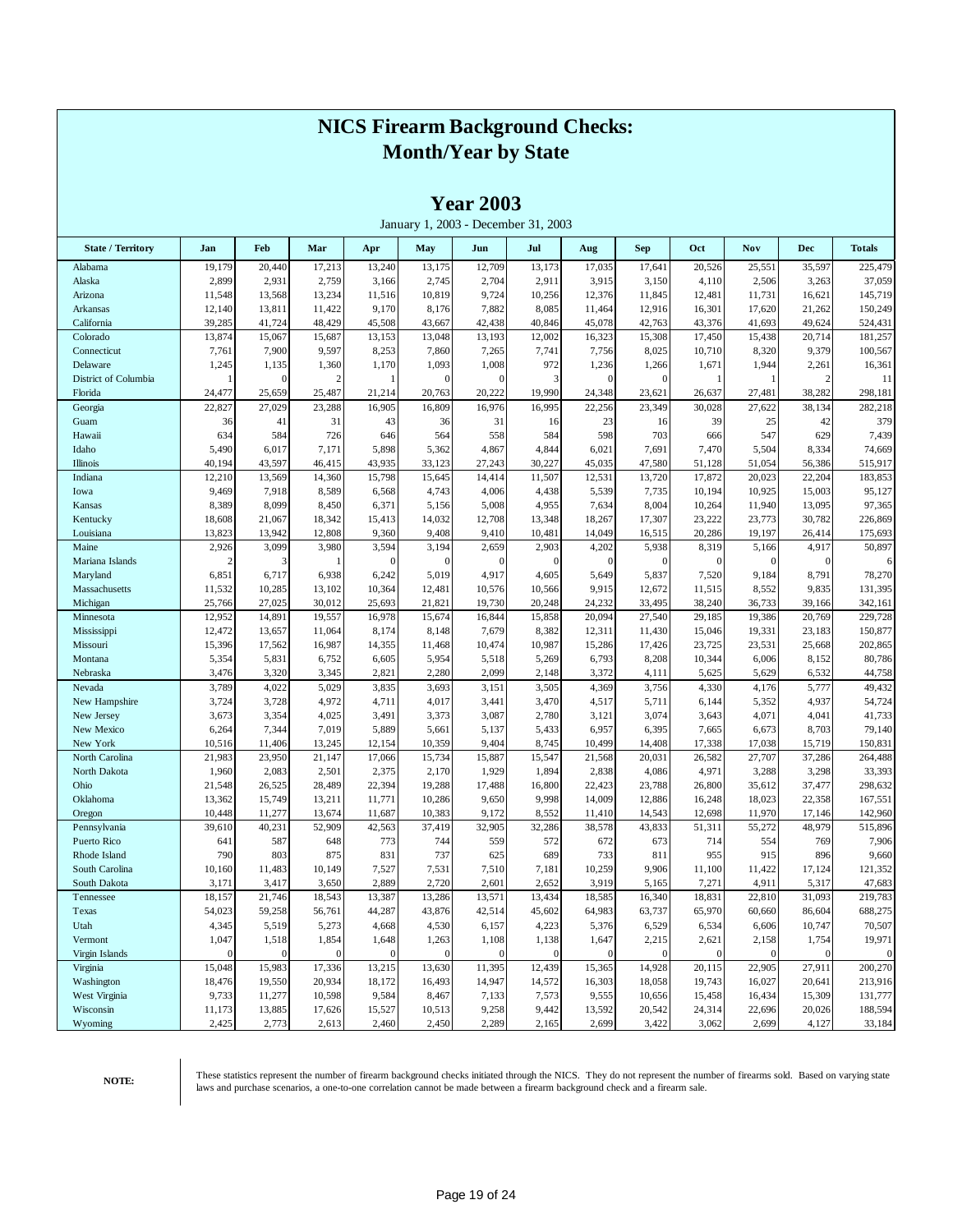|                          |                 |                 |                 |          |            | <b>Year 2003</b>        | January 1, 2003 - December 31, 2003 |                       |                 |                 |                 |                  |                   |
|--------------------------|-----------------|-----------------|-----------------|----------|------------|-------------------------|-------------------------------------|-----------------------|-----------------|-----------------|-----------------|------------------|-------------------|
| <b>State / Territory</b> | Jan             | Feb             | Mar             | Apr      | May        | Jun                     | Jul                                 | Aug                   | <b>Sep</b>      | Oct             | <b>Nov</b>      | <b>Dec</b>       | <b>Totals</b>     |
| Alabama                  | 19,179          | 20,440          | 17,213          | 13,240   | 13,175     | 12,709                  | 13,173                              | 17,035                | 17,641          | 20,526          | 25,551          | 35,597           | 225,479           |
| Alaska                   | 2,899           | 2,931           | 2,759           | 3,166    | 2,745      | 2,704                   | 2,911                               | 3,915                 | 3,150           | 4,110           | 2,506           | 3,263            | 37,059            |
| Arizona                  | 11,548          | 13,568          | 13,234          | 11,516   | 10,819     | 9,724                   | 10,256                              | 12,376                | 11,845          | 12,481          | 11,731          | 16,621           | 145,719           |
| Arkansas                 | 12,140          | 13,811          | 11,422          | 9,170    | 8,176      | 7,882                   | 8,085                               | 11,464                | 12,916          | 16,301          | 17,620          | 21,262           | 150,249           |
| California               | 39,285          | 41,724          | 48,429          | 45,508   | 43,667     | 42,438                  | 40,846                              | 45,078                | 42,763          | 43,376          | 41,693          | 49,624           | 524,431           |
| Colorado                 | 13,874          | 15,067          | 15,687          | 13,153   | 13,048     | 13,193                  | 12,002                              | 16,323                | 15,308          | 17,450          | 15,438          | 20,714           | 181,257           |
| Connecticut              | 7,761           | 7,900           | 9,597           | 8,253    | 7,860      | 7,265                   | 7,741                               | 7,756                 | 8,025           | 10,710          | 8,320           | 9,379            | 100,567           |
| Delaware                 | 1,245           | 1,135           | 1,360           | 1,170    | 1,093      | 1,008                   | 972                                 | 1,236                 | 1,266           | 1,671           | 1,944           | 2,261            | 16,361            |
| District of Columbia     | 1               | $\overline{0}$  |                 |          | $\epsilon$ | $\theta$                | 3                                   | $\mathbf{0}$          | $\mathbf{0}$    |                 |                 | $\overline{c}$   | 11                |
| Florida                  | 24,477          | 25,659          | 25,487          | 21,214   | 20,763     | 20,222                  | 19,990                              | 24,348                | 23,621          | 26,637          | 27,481          | 38,282           | 298,181           |
| Georgia                  | 22,827          | 27,029          | 23,288          | 16,905   | 16,809     | 16,976                  | 16,995                              | 22,256                | 23,349          | 30,028          | 27,622          | 38,134           | 282,218           |
| Guam                     | 36              | 41              | 31              | 43       | 36         | 31                      | 16                                  | 23                    | 16              | 39              | 25              | 42               | 379               |
| Hawaii                   | 634             | 584             | 726             | 646      | 564        | 558                     | 584                                 | 598                   | 703             | 666             | 547             | 629              | 7,439             |
| Idaho                    | 5,490           | 6,017           | 7,171           | 5,898    | 5,362      | 4,867                   | 4,844                               | 6,021                 | 7,691           | 7,470           | 5,504           | 8,334            | 74,669            |
| Illinois                 | 40,194          | 43,597          | 46,415          | 43,935   | 33,123     | 27,243                  | 30,227                              | 45,035                | 47,580          | 51,128          | 51,054          | 56,386           | 515,917           |
| Indiana                  | 12,210          | 13,569          | 14,360          | 15,798   | 15,645     | 14,414                  | 11,507                              | 12,531                | 13,720          | 17,872          | 20,023          | 22,204           | 183,853           |
| Iowa                     | 9,469           | 7,918           | 8,589           | 6,568    | 4,743      | 4,006                   | 4,438                               | 5,539                 | 7,735           | 10,194          | 10,925          | 15,003           | 95,127            |
| Kansas                   | 8,389           | 8,099           | 8,450           | 6,371    | 5,156      | 5,008                   | 4,955                               | 7,634                 | 8,004           | 10,264          | 11,940          | 13,095           | 97,365            |
| Kentucky                 | 18,608          | 21,067          | 18,342          | 15,413   | 14,032     | 12,708                  | 13,348                              | 18,267                | 17,307          | 23,222          | 23,773          | 30,782           | 226,869           |
| Louisiana                | 13,823          | 13,942          | 12,808          | 9,360    | 9,408      | 9,410                   | 10,481                              | 14,049                | 16,515          | 20,286          | 19,197          | 26,414           | 175,693           |
| Maine                    | 2,926           | 3,099           | 3,980           | 3,594    | 3,194      | 2,659                   | 2,903                               | 4,202                 | 5,938           | 8,319           | 5,166           | 4,917            | 50,897            |
| Mariana Islands          | $\overline{c}$  | 3               |                 | $\Omega$ | $\epsilon$ | $\theta$                | $\overline{0}$                      | $\mathbf{0}$          | $\mathbf{0}$    | $\theta$        | $\theta$        | $\mathbf{0}$     | 6                 |
| Maryland                 | 6,851           | 6,717           | 6,938           | 6,242    | 5,019      | 4,917                   | 4,605                               | 5,649                 | 5,837           | 7,520           | 9,184           | 8,791            | 78,270            |
| Massachusetts            | 11,532          | 10,285          | 13,102          | 10,364   | 12,481     | 10,576                  | 10,566                              | 9,915                 | 12,672          | 11,515          | 8,552           | 9,835            | 131,395           |
| Michigan                 | 25,766          | 27,025          | 30,012          | 25,693   | 21,821     | 19,730                  | 20,248                              | 24,232                | 33,495          | 38,240          | 36,733          | 39,166           | 342,161           |
| Minnesota                | 12,952          | 14,891          | 19,557          | 16,978   | 15,674     | 16,844                  | 15,858                              | 20,094                | 27,540          | 29,185          | 19,386          | 20,769           | 229,728           |
| Mississippi              | 12,472          | 13,657          | 11,064          | 8,174    | 8,148      | 7,679                   | 8,382                               | 12,311                | 11,430          | 15,046          | 19,331          | 23,183           | 150,877           |
| Missouri                 | 15,396          | 17,562          | 16,987          | 14,355   | 11,468     | 10,474                  | 10,987                              | 15,286                | 17,426          | 23,725          | 23,531          | 25,668           | 202,865           |
| Montana                  | 5,354           | 5,831           | 6,752           | 6,605    | 5,954      | 5,518                   | 5,269                               | 6,793                 | 8,208           | 10,344          | 6,006           | 8,152            | 80,786            |
| Nebraska                 | 3,476           | 3,320           | 3,345           | 2,821    | 2,280      | 2,099                   | 2,148                               | 3,372                 | 4,11            | 5,625           | 5,629           | 6,532            | 44,758            |
| Nevada                   | 3,789           | 4,022           | 5,029           | 3,835    | 3,693      | 3,151                   | 3,505                               | 4,369                 | 3,756           | 4,330           | 4,176           | 5,777            | 49,432            |
| New Hampshire            | 3,724           | 3,728           | 4,972           | 4,711    | 4,017      | 3,441                   | 3,470                               | 4,517                 | 5,711           | 6,144           | 5,352           | 4,937            | 54,724            |
| New Jersey               | 3,673           | 3,354           | 4,025           | 3,491    | 3,373      | 3,087                   | 2,780                               | 3,121                 | 3,074           | 3,643           | 4,071           | 4,041            | 41,733            |
| New Mexico               | 6,264           | 7,344           | 7,019           | 5,889    | 5,661      | 5,137                   | 5,433                               | 6,957                 | 6,395           | 7,665           | 6,673           | 8,703            | 79,140            |
| New York                 | 10,516          | 11,406          | 13,245          | 12,154   | 10,359     | 9,404                   | 8,745                               | 10,499                | 14,408          | 17,338          | 17,038          | 15,719           | 150,831           |
| North Carolina           | 21,983          | 23,950          | 21,147          | 17,066   | 15,734     | 15,887                  | 15,547                              | 21,568                | 20,031          | 26,582          | 27,707          | 37,286           | 264,488           |
| North Dakota             | 1,960           | 2,083           | 2,501           | 2,375    | 2,170      | 1,929                   | 1,894                               | 2,838                 | 4,086           | 4,971           | 3,288           | 3,298            | 33,393            |
| Ohio                     | 21,548          | 26,525          | 28,489          | 22,394   | 19,288     | 17,488                  | 16,800                              | 22,423                | 23,788          | 26,800          | 35,612          | 37,477           | 298,632           |
| Oklahoma                 | 13,362          | 15,749          | 13,211          | 11,771   | 10,286     | 9,650                   | 9,998                               | 14,009                | 12,886          | 16,248          | 18,023          | 22,358           | 167,551           |
| Oregon                   | 10,448          | 11,277          | 13,674          | 11,687   | 10,383     | 9,172                   | 8,552                               | 11,410                | 14,543          | 12,698          | 11,970          | 17,146           | 142,960           |
| Pennsylvania             | 39,610          | 40,231          | 52,909          | 42,563   | 37,419     | 32,905                  | 32,286                              | 38,578                | 43,833          | 51,311          | 55,272          | 48,979           | 515,896           |
| Puerto Rico              | 641             | 587             | 648             | 773      | 744        | 559                     | 572                                 | 672                   | 673             | 714             | 554             | 769              | 7,906             |
| Rhode Island             | 790             | 803             | 875             | 831      | 737        | 625                     | 689                                 | 733                   | 811             | 955             | 915             | 896              | 9,660             |
| South Carolina           | 10,160          | 11,483          | 10,149          | 7,527    | 7,531      | 7,510                   | 7,181                               | 10,259                | 9,906           | 11,100          | 11,422          | 17,124           | 121,352           |
| South Dakota             | 3,171           | 3,417           | 3,650           | 2,889    | 2,720      | 2,601                   | 2,652                               | 3,919                 | 5,165           | 7,271           | 4,911           | 5,317            | 47,683            |
| Tennessee                | 18,157          | 21,746          | 18,543          | 13,387   | 13,286     | 13,571                  | 13,434                              | 18,585                | 16,340          | 18,831          | 22,810          | 31,093           | 219,783           |
| Texas                    |                 |                 |                 | 44,287   | 43,876     |                         | 45,602                              |                       |                 |                 |                 |                  |                   |
| Utah                     | 54,023<br>4,345 | 59,258<br>5,519 | 56,761<br>5,273 | 4,668    | 4,530      | 42,514<br>6,157         | 4,223                               | 64,983<br>5,376       | 63,737<br>6,529 | 65,970<br>6,534 | 60,660<br>6,606 | 86,604<br>10,747 | 688,275<br>70,507 |
| Vermont                  | 1,047           | 1,518           | 1,854           | 1,648    | 1,263      |                         | 1,138                               |                       | 2,215           | 2,621           | 2,158           |                  | 19,971            |
|                          | $\mathbf{0}$    | $\overline{0}$  | $\Omega$        | $\Omega$ | $\Omega$   | 1,108<br>$\overline{0}$ | $\mathbf{0}$                        | 1,647<br>$\mathbf{0}$ | $\mathbf{0}$    | $\theta$        | $\theta$        | 1,754            |                   |
| Virgin Islands           |                 |                 |                 |          |            |                         |                                     |                       |                 |                 |                 | $\mathbf{0}$     | $\boldsymbol{0}$  |
| Virginia                 | 15,048          | 15,983          | 17,336          | 13,215   | 13,630     | 11,395                  | 12,439                              | 15,365                | 14,928          | 20,115          | 22,905          | 27,911           | 200,270           |
| Washington               | 18,476          | 19,550          | 20,934          | 18,172   | 16,493     | 14,947                  | 14,572                              | 16,303                | 18,058          | 19,743          | 16,027          | 20,641           | 213,916           |
| West Virginia            | 9,733           | 11,277          | 10,598          | 9,584    | 8,467      | 7,133                   | 7,573                               | 9,555                 | 10,656          | 15,458          | 16,434          | 15,309           | 131,777           |
| Wisconsin                | 11,173          | 13,885          | 17,626          | 15,527   | 10,513     | 9,258                   | 9,442                               | 13,592                | 20,542          | 24,314          | 22,696          | 20,026           | 188,594           |
| Wyoming                  | 2,425           | 2,773           | 2,613           | 2,460    | 2,450      | 2,289                   | 2,165                               | 2,699                 | 3,422           | 3,062           | 2,699           | 4,127            | 33,184            |

 $\mathbf{A}$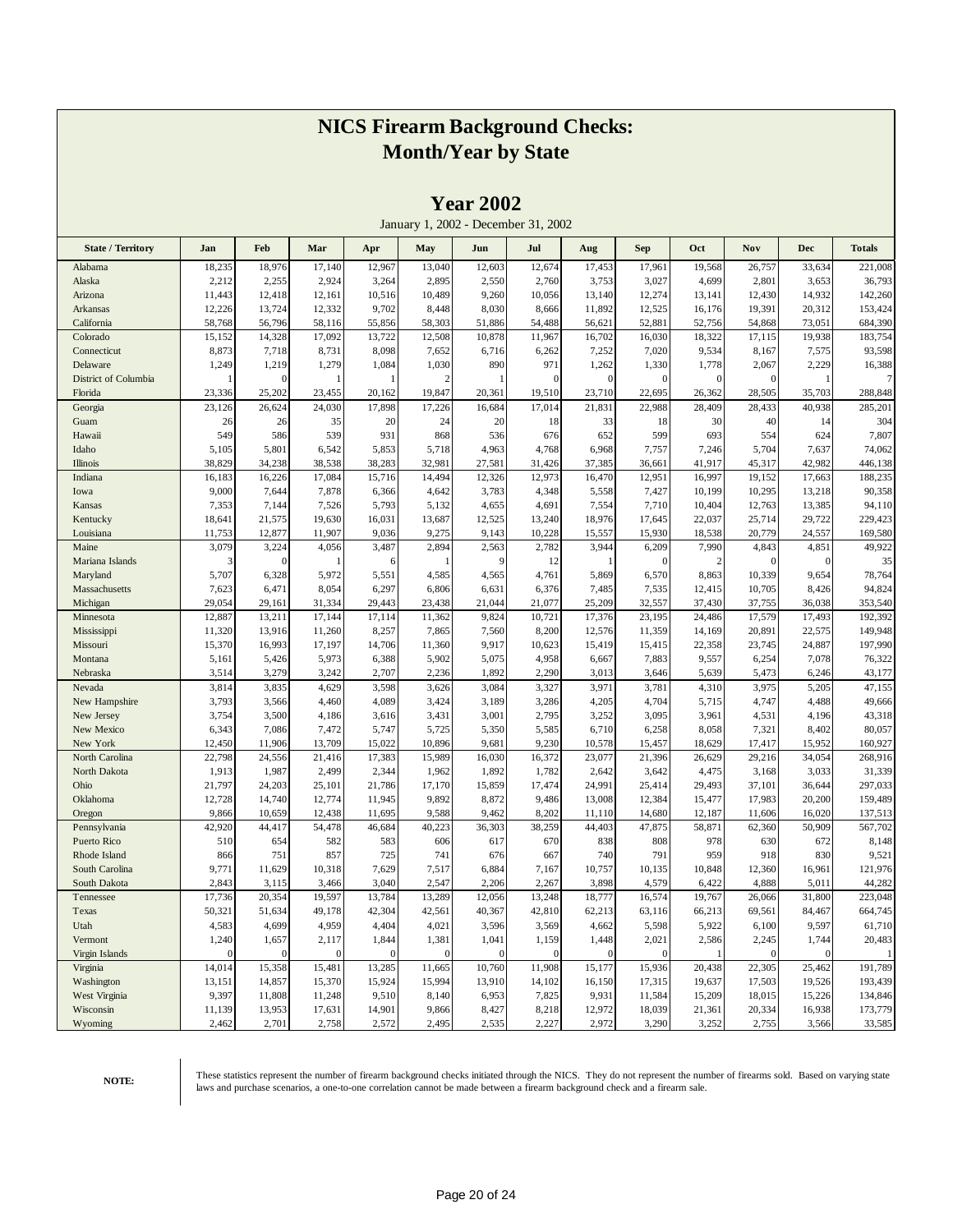|                          |                |                  |                |                |                | $1$ cal $2002$ |                                     |                |                |                |                |                |                  |
|--------------------------|----------------|------------------|----------------|----------------|----------------|----------------|-------------------------------------|----------------|----------------|----------------|----------------|----------------|------------------|
|                          |                |                  |                |                |                |                | January 1, 2002 - December 31, 2002 |                |                |                |                |                |                  |
| <b>State / Territory</b> | Jan            | Feb              | Mar            | Apr            | May            | Jun            | Jul                                 | Aug            | <b>Sep</b>     | Oct            | Nov            | <b>Dec</b>     | <b>Totals</b>    |
| Alabama                  | 18,235         | 18,976           | 17,140         | 12,967         | 13,040         | 12,603         | 12,674                              | 17,453         | 17,961         | 19,568         | 26,757         | 33,634         | 221,008          |
| Alaska                   | 2,212          | 2,255            | 2,924          | 3,264          | 2,895          | 2,550          | 2,760                               | 3,753          | 3,027          | 4,699          | 2,801          | 3,653          | 36,793           |
| Arizona                  | 11,443         | 12,418           | 12,161         | 10,516         | 10,489         | 9,260          | 10,056                              | 13,140         | 12,274         | 13,141         | 12,430         | 14,932         | 142,260          |
| Arkansas                 | 12,226         | 13,724           | 12,332         | 9,702          | 8,448          | 8,030          | 8,666                               | 11,892         | 12,525         | 16,176         | 19,391         | 20,312         | 153,424          |
| California               | 58,768         | 56,796           | 58,116         | 55,856         | 58,303         | 51,886         | 54,488                              | 56,621         | 52,881         | 52,756         | 54,868         | 73,051         | 684,390          |
| Colorado                 | 15,152         | 14,328           | 17,092         | 13,722         | 12,508         | 10,878         | 11,967                              | 16,702         | 16,030         | 18,322         | 17,115         | 19,938         | 183,754          |
| Connecticut              | 8,873          | 7,718            | 8,731          | 8,098          | 7,652          | 6,716          | 6,262                               | 7,252          | 7,020          | 9,534          | 8,167          | 7,575          | 93,598           |
| Delaware                 | 1,249          | 1,219            | 1,279          | 1,084          | 1,030          | 890            | 971                                 | 1,262          | 1,330          | 1,778          | 2,067          | 2,229          | 16,388           |
| District of Columbia     |                | $\mathbf{0}$     |                |                | $\overline{2}$ |                | $\mathbf{0}$                        | $\mathbf{0}$   | $\mathbf{0}$   | $\theta$       | $\Omega$       | 1              | 7                |
| Florida                  | 23,336         | 25,202           | 23,455         | 20,162         | 19,847         | 20,361         | 19,510                              | 23,710         | 22,695         | 26,362         | 28,505         | 35,703         | 288,848          |
| Georgia                  | 23,126         | 26,624           | 24,030         | 17,898         | 17,226         | 16,684         | 17,014                              | 21,831         | 22,988         | 28,409         | 28,433         | 40,938         | 285,201          |
| Guam                     | 26             | 26               | 35             | 20             | 24             | 20             | 18                                  | 33             | 18             | 30             | 40             | 14             | 304              |
| Hawaii                   | 549            | 586              | 539            | 931            | 868            | 536            | 676                                 | 652            | 599            | 693            | 554            | 624            | 7,807            |
| Idaho                    | 5,105          | 5,801            | 6,542          | 5,853          | 5,718          | 4,963          | 4,768                               | 6,968          | 7,757          | 7,246          | 5,704          | 7,637          | 74,062           |
| Illinois                 | 38,829         | 34,238           | 38,538         | 38,283         | 32,981         | 27,581         | 31,426                              | 37,385         | 36,661         | 41,917         | 45,317         | 42,982         | 446,138          |
| Indiana                  | 16,183         | 16,226           | 17,084         | 15,716         | 14,494         | 12,326         | 12,973                              | 16,470         | 12,951         | 16,997         | 19,152         | 17,663         | 188,235          |
| Iowa                     | 9,000          | 7,644            | 7,878          | 6,366          | 4,642          | 3,783          | 4,348                               | 5,558          | 7,427          | 10,199         | 10,295         | 13,218         | 90,358           |
| Kansas                   | 7,353          | 7,144            | 7,526          | 5,793          | 5,132          | 4,655          | 4,691                               | 7,554          | 7,710          | 10,404         | 12,763         | 13,385         | 94,110           |
| Kentucky                 | 18,641         | 21,575           | 19,630         | 16,031         | 13,687         | 12,525         | 13,240                              | 18,976         | 17,645         | 22,037         | 25,714         | 29,722         | 229,423          |
| Louisiana                | 11,753         | 12,877           | 11,907         | 9,036          | 9,275          | 9,143          | 10,228                              | 15,557         | 15,930         | 18,538         | 20,779         | 24,557         | 169,580          |
| Maine                    | 3,079          | 3,224            | 4,056          | 3,487          | 2,894          | 2,563          | 2,782                               | 3,944          | 6,209          | 7,990          | 4,843          | 4,851          | 49,922           |
| Mariana Islands          | 3              | $\boldsymbol{0}$ |                | 6              |                | 9              | 12                                  | 1              | $\mathbf{0}$   | $\overline{2}$ | $\Omega$       | $\mathbf{0}$   | 35               |
| Maryland                 | 5,707          | 6,328            | 5,972          | 5,551          | 4,585          | 4,565          | 4,761                               | 5,869          | 6,570          | 8,863          | 10,339         | 9,654          | 78,764           |
| Massachusetts            | 7,623          | 6,471            | 8,054          | 6,297          | 6,806          | 6,631          | 6,376                               | 7,485          | 7,535          | 12,415         | 10,705         | 8,426          | 94,824           |
| Michigan                 | 29,054         | 29,161           | 31,334         | 29,443         | 23,438         | 21,044         | 21,077                              | 25,209         | 32,557         | 37,430         | 37,755         | 36,038         | 353,540          |
| Minnesota                | 12,887         | 13,211           | 17,144         | 17,114         | 11,362         | 9,824          | 10,721                              | 17,376         | 23,195         | 24,486         | 17,579         | 17,493         | 192,392          |
| Mississippi              | 11,320         | 13,916           | 11,260         | 8,257          | 7,865          | 7,560          | 8,200                               | 12,576         | 11,359         | 14,169         | 20,891         | 22,575         | 149,948          |
| Missouri                 | 15,370         | 16,993           | 17,197         | 14,706         | 11,360         | 9,917          | 10,623                              | 15,419         | 15,415         | 22,358         | 23,745         | 24,887         | 197,990          |
| Montana                  | 5,161          | 5,426<br>3,279   | 5,973<br>3,242 | 6,388          | 5,902<br>2,236 | 5,075<br>1,892 | 4,958<br>2,290                      | 6,667          | 7,883<br>3,646 | 9,557<br>5,639 | 6,254<br>5,473 | 7,078          | 76,322           |
| Nebraska<br>Nevada       | 3,514<br>3,814 | 3,835            | 4,629          | 2,707<br>3,598 | 3,626          | 3,084          | 3,327                               | 3,013<br>3,971 | 3,781          | 4,310          | 3,975          | 6,246<br>5,205 | 43,177<br>47,155 |
| New Hampshire            | 3,793          | 3,566            | 4,460          | 4,089          | 3,424          | 3,189          | 3,286                               | 4,205          | 4,704          | 5,715          | 4,747          | 4,488          | 49,666           |
| New Jersey               | 3,754          | 3,500            | 4,186          | 3,616          | 3,431          | 3,001          | 2,795                               | 3,252          | 3,095          | 3,961          | 4,531          | 4,196          | 43,318           |
| New Mexico               | 6,343          | 7,086            | 7,472          | 5,747          | 5,725          | 5,350          | 5,585                               | 6,710          | 6,258          | 8,058          | 7,321          | 8,402          | 80,057           |
| New York                 | 12,450         | 11,906           | 13,709         | 15,022         | 10,896         | 9,681          | 9,230                               | 10,578         | 15,457         | 18,629         | 17,417         | 15,952         | 160,927          |
| North Carolina           | 22,798         | 24,556           | 21,416         | 17,383         | 15,989         | 16,030         | 16,372                              | 23,077         | 21,396         | 26,629         | 29,216         | 34,054         | 268,916          |
| North Dakota             | 1,913          | 1,987            | 2,499          | 2,344          | 1,962          | 1,892          | 1,782                               | 2,642          | 3,642          | 4,475          | 3,168          | 3,033          | 31,339           |
| Ohio                     | 21,797         | 24,203           | 25,101         | 21,786         | 17,170         | 15,859         | 17,474                              | 24,991         | 25,414         | 29,493         | 37,101         | 36,644         | 297,033          |
| Oklahoma                 | 12,728         | 14,740           | 12,774         | 11,945         | 9,892          | 8,872          | 9,486                               | 13,008         | 12,384         | 15,477         | 17,983         | 20,200         | 159,489          |
| Oregon                   | 9,866          | 10,659           | 12,438         | 11,695         | 9,588          | 9,462          | 8,202                               | 11,110         | 14,680         | 12,187         | 11,606         | 16,020         | 137,513          |
| Pennsylvania             | 42,920         | 44,417           | 54,478         | 46,684         | 40,223         | 36,303         | 38,259                              | 44,403         | 47,875         | 58,871         | 62,360         | 50,909         | 567,702          |
| Puerto Rico              | 510            | 654              | 582            | 583            | 606            | 617            | 670                                 | 838            | 808            | 978            | 630            | 672            | 8,148            |
| Rhode Island             | 866            | 751              | 857            | 725            | 741            | 676            | 667                                 | 740            | 791            | 959            | 918            | 830            | 9,521            |
| South Carolina           | 9,771          | 11,629           | 10,318         | 7,629          | 7,517          | 6,884          | 7,167                               | 10,757         | 10,135         | 10,848         | 12,360         | 16,961         | 121,976          |
| South Dakota             | 2,843          | 3,115            | 3,466          | 3,040          | 2,547          | 2,206          | 2,267                               | 3,898          | 4,579          | 6,422          | 4,888          | 5,011          | 44,282           |
| Tennessee                | 17,736         | 20,354           | 19,597         | 13,784         | 13,289         | 12,056         | 13,248                              | 18,777         | 16,574         | 19,767         | 26,066         | 31,800         | 223,048          |
| Texas                    | 50,321         | 51,634           | 49,178         | 42,304         | 42,561         | 40,367         | 42,810                              | 62,213         | 63,116         | 66,213         | 69,561         | 84,467         | 664,745          |
| Utah                     | 4,583          | 4,699            | 4,959          | 4,404          | 4,021          | 3,596          | 3,569                               | 4,662          | 5,598          | 5,922          | 6,100          | 9,597          | 61,710           |
| Vermont                  | 1,240          | 1,657            | 2,117          | 1,844          | 1,381          | 1,041          | 1,159                               | 1,448          | 2,021          | 2,586          | 2,245          | 1,744          | 20,483           |
| Virgin Islands           | $\mathbf{0}$   | $\mathbf{0}$     | $\mathbf{0}$   | $\mathbf{0}$   | $\mathbf{0}$   | $\mathbf{0}$   | $\mathbf{0}$                        | $\mathbf{0}$   | $\mathbf{0}$   |                | $\mathbf{0}$   | $\mathbf{0}$   |                  |
| Virginia                 | 14,014         | 15,358           | 15,481         | 13,285         | 11,665         | 10,760         | 11,908                              | 15,177         | 15,936         | 20,438         | 22,305         | 25,462         | 191,789          |
| Washington               | 13,151         | 14,857           | 15,370         | 15,924         | 15,994         | 13,910         | 14,102                              | 16,150         | 17,315         | 19,637         | 17,503         | 19,526         | 193,439          |
| West Virginia            | 9,397          | 11,808           | 11,248         | 9,510          | 8,140          | 6,953          | 7,825                               | 9,931          | 11,584         | 15,209         | 18,015         | 15,226         | 134,846          |
| Wisconsin                | 11,139         | 13,953           | 17,631         | 14,901         | 9,866          | 8,427          | 8,218                               | 12,972         | 18,039         | 21,361         | 20,334         | 16,938         | 173,779          |
| Wyoming                  | 2,462          | 2,701            | 2,758          | 2,572          | 2,495          | 2,535          | 2,227                               | 2,972          | 3,290          | 3,252          | 2,755          | 3,566          | 33,585           |

**Year 2002**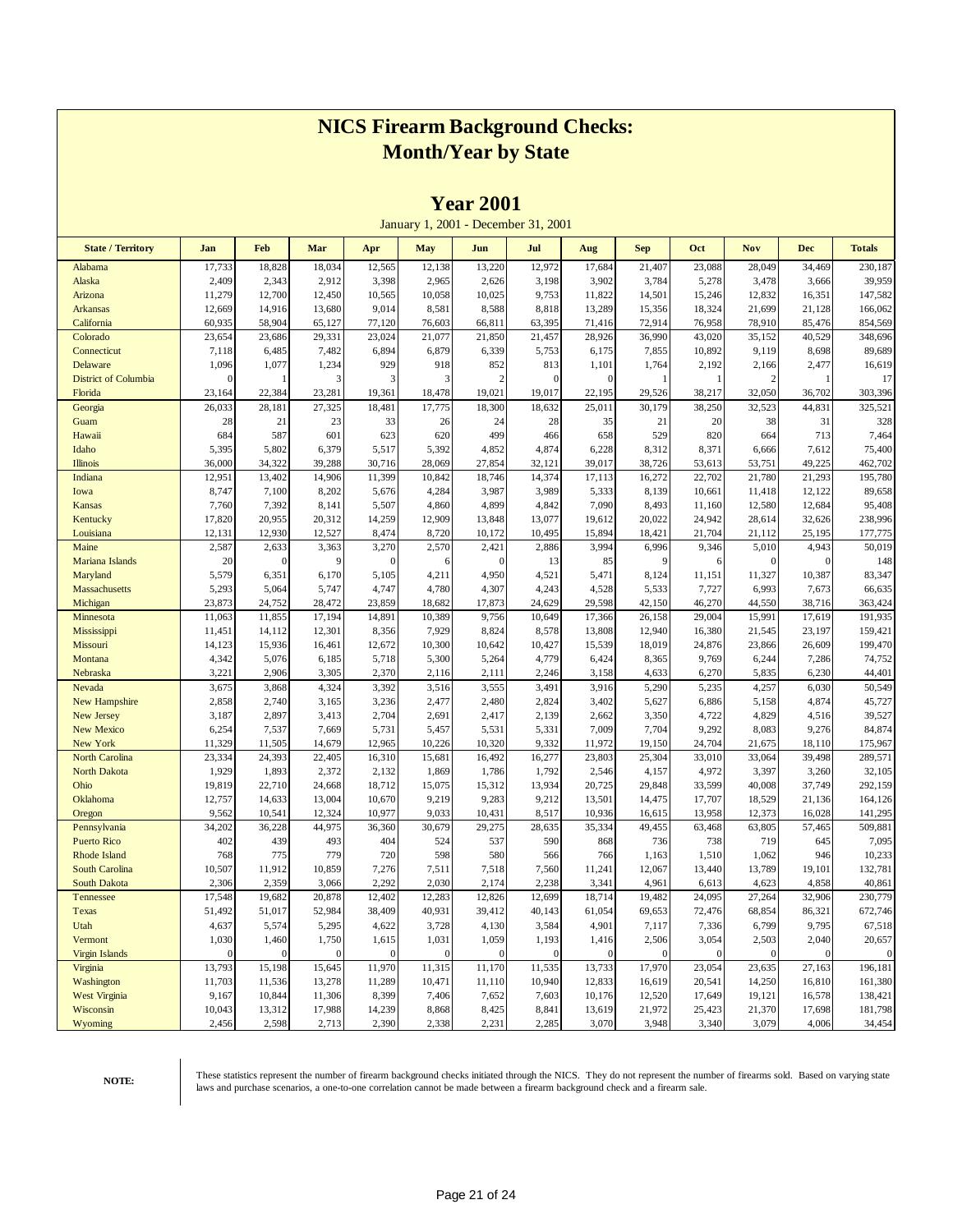|                             |                  |              |                   |              |                   | 1 tai 700 i  |                                     |                       |                         |                   |              |                         |                  |
|-----------------------------|------------------|--------------|-------------------|--------------|-------------------|--------------|-------------------------------------|-----------------------|-------------------------|-------------------|--------------|-------------------------|------------------|
|                             |                  |              |                   |              |                   |              | January 1, 2001 - December 31, 2001 |                       |                         |                   |              |                         |                  |
| <b>State / Territory</b>    | Jan              | Feb          | Mar               | Apr          | May               | Jun          | Jul                                 | Aug                   | <b>Sep</b>              | Oct               | <b>Nov</b>   | <b>Dec</b>              | <b>Totals</b>    |
| Alabama                     | 17,733           | 18,828       | 18,034            | 12,565       | 12,138            | 13,220       | 12,972                              | 17,684                | 21,407                  | 23,088            | 28,049       | 34,469                  | 230,187          |
| Alaska                      | 2,409            | 2,343        | 2,912             | 3,398        | 2,965             | 2,626        | 3,198                               | 3,902                 | 3,784                   | 5,278             | 3,478        | 3,666                   | 39,959           |
| Arizona                     | 11,279           | 12,700       | 12,450            | 10,565       | 10,058            | 10,025       | 9,753                               | 11,822                | 14,501                  | 15,246            | 12,832       | 16,351                  | 147,582          |
| <b>Arkansas</b>             | 12,669           | 14,916       | 13,680            | 9,014        | 8,581             | 8,588        | 8,818                               | 13,289                | 15,356                  | 18,324            | 21,699       | 21,128                  | 166,062          |
| California                  | 60,935           | 58,904       | 65,127            | 77,120       | 76,603            | 66,811       | 63,395                              | 71,416                | 72,914                  | 76,958            | 78,910       | 85,476                  | 854,569          |
| Colorado                    | 23,654           | 23,686       | 29,331            | 23,024       | 21,077            | 21,850       | 21,457                              | 28,926                | 36,990                  | 43,020            | 35,152       | 40,529                  | 348,696          |
| Connecticut                 | 7,118            | 6,485        | 7,482             | 6,894        | 6,879             | 6,339        | 5,753                               | 6,175                 | 7,855                   | 10,892            | 9,119        | 8,698                   | 89,689           |
| Delaware                    | 1,096            | 1,077        | 1,234             | 929          | 918               | 852          | 813                                 | 1,101                 | 1,764                   | 2,192             | 2,166        | 2,477                   | 16,619           |
| <b>District of Columbia</b> | 0                |              |                   | 3            | 3                 | 2            | $\theta$                            | $\Omega$              |                         | -1                | 2            |                         | 17               |
| Florida                     | 23,164           | 22,384       | 23,281            | 19,361       | 18,478            | 19,021       | 19,017                              | 22,195                | 29,526                  | 38,217            | 32,050       | 36,702                  | 303,396          |
| Georgia                     | 26,033           | 28,181       | 27,325            | 18,481       | 17,775            | 18,300       | 18,632                              | 25,011                | 30,179                  | 38,250            | 32,523       | 44,831                  | 325,521          |
| Guam                        | 28               | 21           | 23                | 33           | 26                | 24           | 28                                  | 35                    | 21                      | 20                | 38           | 31                      | 328              |
| Hawaii                      | 684              | 587          | 601               | 623          | 620               | 499          | 466                                 | 658                   | 529                     | 820               | 664          | 713                     | 7,464            |
| Idaho                       | 5,395            | 5,802        | 6,379             | 5,517        | 5,392             | 4,852        | 4,874                               | 6,228                 | 8,312                   | 8,371             | 6,666        | 7,612                   | 75,400           |
| <b>Illinois</b>             | 36,000           | 34,322       | 39,288            | 30,716       | 28,069            | 27,854       | 32,121                              | 39,017                | 38,726                  | 53,613            | 53,751       | 49,225                  | 462,702          |
| Indiana                     | 12,951           | 13,402       | 14,906            | 11,399       | 10,842            | 18,746       | 14,374                              | 17,113                | 16,272                  | 22,702            | 21,780       | 21,293                  | 195,780          |
| Iowa                        | 8,747            | 7,100        | 8,202             | 5,676        | 4,284             | 3,987        | 3,989                               | 5,333                 | 8,139                   | 10,661            | 11,418       | 12,122                  | 89,658           |
| Kansas                      | 7,760            | 7,392        | 8,141             | 5,507        | 4,860             | 4,899        | 4,842                               | 7,090                 | 8,493                   | 11,160            | 12,580       | 12,684                  | 95,408           |
| Kentucky                    | 17,820           | 20,955       | 20,312            | 14,259       | 12,909            | 13,848       | 13,077                              | 19,612                | 20,022                  | 24,942            | 28,614       | 32,626                  | 238,996          |
| Louisiana                   | 12,131           | 12,930       | 12,527            | 8,474        | 8,720             | 10,172       | 10,495                              | 15,894                | 18,421                  | 21,704            | 21,112       | 25,195                  | 177,775          |
| Maine                       | 2,587            | 2,633        | 3,363             | 3,270        | 2,570             | 2,421        | 2,886                               | 3,994                 | 6,996                   | 9,346             | 5,010        | 4,943                   | 50,019           |
| Mariana Islands             | 20               | $\mathbf{0}$ | q                 | $\sqrt{ }$   | 6                 | $\mathbf{0}$ | 13                                  | 85                    | 9                       | 6                 | $\mathbf{0}$ | $\Omega$                | 148              |
| Maryland                    | 5,579            | 6,351        | 6,170             | 5,105        | 4,211             | 4,950        | 4,521                               | 5,471                 | 8,124                   | 11,151            | 11,327       | 10,387                  | 83,347           |
| Massachusetts               | 5,293            | 5,064        | 5,747             | 4,747        | 4,780             | 4,307        | 4,243                               | 4,528                 | 5,533                   | 7,727             | 6,993        | 7,673                   | 66,635           |
| Michigan                    | 23,873           | 24,752       | 28,472            | 23,859       | 18,682            | 17,873       | 24,629                              | 29,598                | 42,150                  | 46,270            | 44,550       | 38,716                  | 363,424          |
| Minnesota                   | 11,063           | 11,855       | 17,194            | 14,891       | 10,389            | 9,756        | 10,649                              | 17,366                | 26,158                  | 29,004            | 15,991       | 17,619                  | 191,935          |
| Mississippi                 | 11,451           | 14,112       | 12,301            | 8,356        | 7,929             | 8,824        | 8,578                               | 13,808                | 12,940                  | 16,380            | 21,545       | 23,197                  | 159,421          |
| Missouri                    | 14,123           | 15,936       | 16,461            | 12,672       | 10,300            | 10,642       | 10,427                              | 15,539                | 18,019                  | 24,876            | 23,866       | 26,609                  | 199,470          |
| Montana                     | 4,342            | 5,076        | 6,185             | 5,718        | 5,300             | 5,264        | 4,779                               | 6,424                 | 8,365                   | 9,769             | 6,244        | 7,286                   | 74,752           |
| Nebraska                    | 3,221            | 2,906        | 3,305             | 2,370        | 2,116             | 2,111        | 2,246                               | 3,158                 | 4,633                   | 6,270             | 5,835        | 6,230                   | 44,401           |
| Nevada                      | 3,675            | 3,868        | 4,324             | 3,392        | 3,516             | 3,555        | 3,491                               | 3,916                 | 5,290                   | 5,235             | 4,257        | 6,030                   | 50,549           |
| <b>New Hampshire</b>        | 2,858            | 2,740        | 3,165             | 3,236        | 2,477             | 2,480        | 2,824                               | 3,402                 | 5,627                   | 6,886             | 5,158        | 4,874                   | 45,727           |
| <b>New Jersey</b>           | 3,187            | 2,897        | 3,413             | 2,704        | 2,691             | 2,417        | 2,139                               | 2,662                 | 3,350                   | 4,722             | 4,829        | 4,516                   | 39,527           |
| <b>New Mexico</b>           | 6,254            | 7,537        | 7,669             | 5,731        | 5,457             | 5,531        | 5,331                               | 7,009                 | 7,704                   | 9,292             | 8,083        | 9,276                   | 84,874           |
| New York                    | 11,329           | 11,505       | 14,679            | 12,965       | 10,226            | 10,320       | 9,332                               | 11,972                | 19,150                  | 24,704            | 21,675       | 18,110                  | 175,967          |
| <b>North Carolina</b>       | 23,334           | 24,393       | 22,405            | 16,310       | 15,681            | 16,492       | 16,277                              | 23,803                | 25,304                  | 33,010            | 33,064       | 39,498                  | 289,571          |
| <b>North Dakota</b>         | 1,929            | 1,893        | 2,372             | 2,132        | 1,869             | 1,786        | 1,792                               | 2,546                 | 4,157                   | 4,972             | 3,397        | 3,260                   | 32,105           |
| Ohio                        | 19,819           | 22,710       | 24,668            | 18,712       | 15,075            | 15,312       | 13,934                              | 20,725                | 29,848                  | 33,599            | 40,008       | 37,749                  | 292,159          |
| Oklahoma                    | 12,757           | 14,633       | 13,004            | 10,670       | 9,219             | 9,283        | 9,212                               | 13,501                | 14,475                  | 17,707            | 18,529       | 21,136                  | 164,126          |
| Oregon                      | 9,562            | 10,541       | 12,324            | 10,977       | 9,033             | 10,431       | 8,517                               | 10,936                | 16,615                  | 13,958            | 12,373       | 16,028                  | 141,295          |
| Pennsylvania                | 34,202           | 36,228       | 44,975            | 36,360       | 30,679            | 29,275       | 28,635                              | 35,334                | 49,455                  | 63,468            | 63,805       | 57,465                  | 509,881          |
| <b>Puerto Rico</b>          | 402              | 439          | 493               | 404          | 524               | 537          | 590                                 | 868                   | 736                     | 738               | 719          | 645                     | 7,095            |
| <b>Rhode Island</b>         | 768              | 775          | 779               | 720          | 598               | 580          | 566                                 | 766                   | 1,163                   | 1,510             | 1,062        | 946                     | 10,233           |
| South Carolina              | 10,507           | 11,912       | 10,859            | 7,276        | 7,511             | 7,518        | 7,560                               | 11,241                | 12,067                  | 13,440            | 13,789       | 19,101                  | 132,781          |
| South Dakota                | 2,306            | 2,359        | 3,066             | 2,292        | 2,030             | 2,174        | 2,238                               | 3,341                 | 4,961                   | 6,613             | 4,623        | 4,858                   | 40,861           |
| Tennessee                   | 17,548           | 19,682       | 20,878            | 12,402       | 12,283            | 12,826       | 12,699                              | 18,714                | 19,482                  | 24,095            | 27,264       | 32,906                  | 230,779          |
| Texas                       | 51,492           | 51,017       | 52,984            | 38,409       | 40,931            | 39,412       | 40,143                              | 61,054                | 69,653                  | 72,476            | 68,854       | 86,321                  | 672,746          |
| Utah                        | 4,637            | 5,574        | 5,295             | 4,622        | 3,728             | 4,130        | 3,584                               | 4,901                 | 7,117                   | 7,336             | 6,799        | 9,795                   | 67,518           |
| Vermont                     | 1,030            | 1,460        | 1,750<br>$\Omega$ | 1,615        | 1,031<br>$\Omega$ | 1,059        | 1,193<br>$\mathbf{0}$               | 1,416<br>$\mathbf{0}$ | 2,506<br>$\overline{0}$ | 3,054<br>$\Omega$ | 2,503        | 2,040<br>$\overline{0}$ | 20,657           |
| Virgin Islands              | $\boldsymbol{0}$ | $\mathbf{0}$ |                   | $\mathbf{0}$ |                   | $\mathbf{0}$ |                                     |                       |                         |                   | $\mathbf{0}$ |                         | $\boldsymbol{0}$ |
| Virginia                    | 13,793           | 15,198       | 15,645            | 11,970       | 11,315            | 11,170       | 11,535                              | 13,733                | 17,970                  | 23,054            | 23,635       | 27,163                  | 196,181          |
| Washington                  | 11,703           | 11,536       | 13,278            | 11,289       | 10,471            | 11,110       | 10,940                              | 12,833                | 16,619                  | 20,541            | 14,250       | 16,810                  | 161,380          |
| <b>West Virginia</b>        | 9,167            | 10,844       | 11,306            | 8,399        | 7,406             | 7,652        | 7,603                               | 10,176                | 12,520                  | 17,649            | 19,121       | 16,578                  | 138,421          |
| Wisconsin                   | 10,043           | 13,312       | 17,988            | 14,239       | 8,868             | 8,425        | 8,841                               | 13,619                | 21,972                  | 25,423            | 21,370       | 17,698                  | 181,798          |
| Wyoming                     | 2,456            | 2,598        | 2,713             | 2,390        | 2,338             | 2,231        | 2,285                               | 3,070                 | 3,948                   | 3,340             | 3,079        | 4,006                   | 34,454           |

**Year 2001**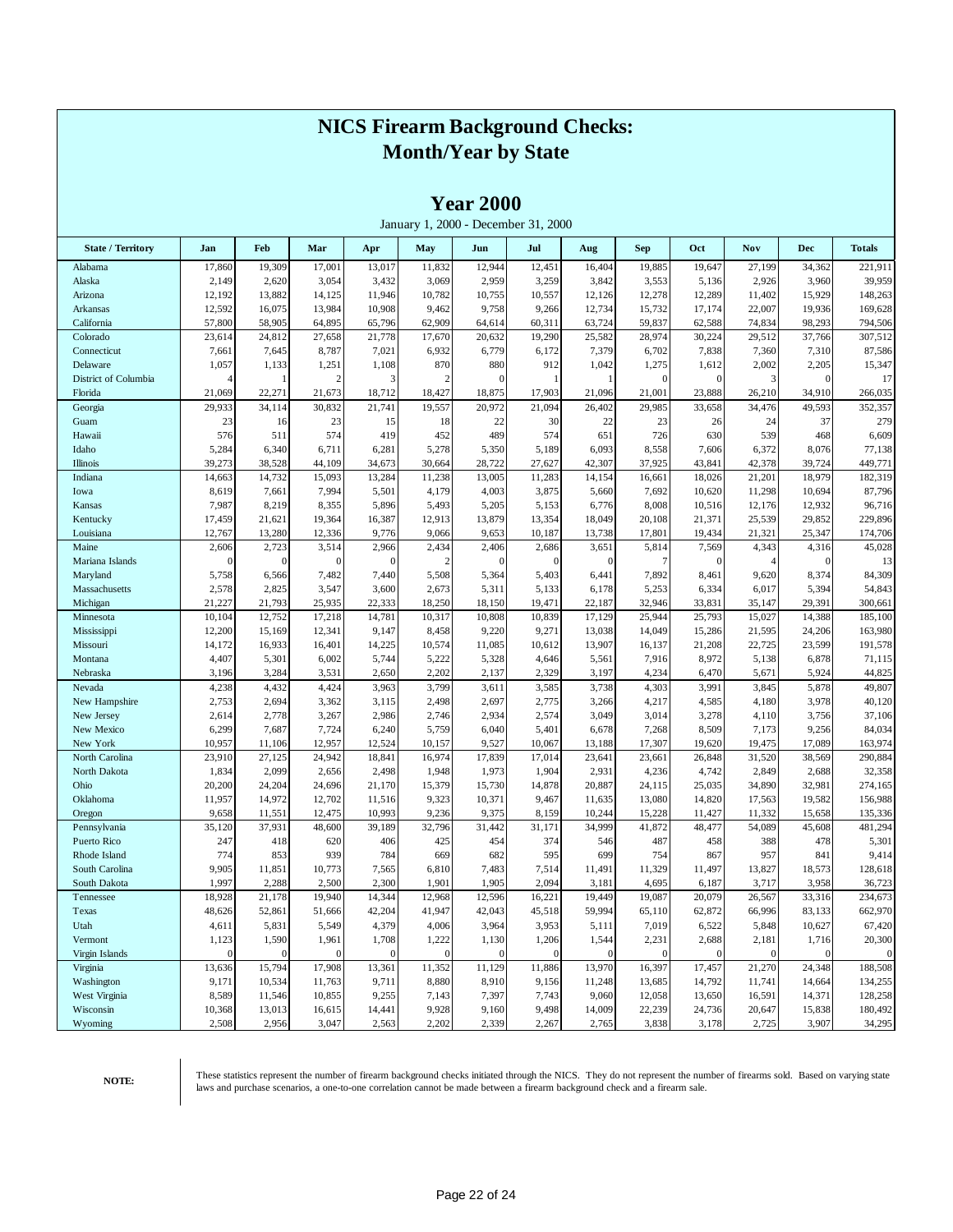|                           |                           |                       |                   |                       |                       | <b>Year 2000</b>  | January 1, 2000 - December 31, 2000 |                       |                       |                  |                   |                       |                   |
|---------------------------|---------------------------|-----------------------|-------------------|-----------------------|-----------------------|-------------------|-------------------------------------|-----------------------|-----------------------|------------------|-------------------|-----------------------|-------------------|
| <b>State / Territory</b>  | Jan                       | Feb                   | Mar               | Apr                   | May                   | Jun               | Jul                                 | Aug                   | <b>Sep</b>            | Oct              | <b>Nov</b>        | <b>Dec</b>            | <b>Totals</b>     |
| Alabama                   | 17,860                    | 19,309                | 17,001            | 13,017                | 11,832                | 12,944            | 12,451                              | 16,404                | 19,885                | 19,647           | 27,199            | 34,362                | 221,911           |
| Alaska                    | 2,149                     | 2,620                 | 3,054             | 3,432                 | 3,069                 | 2,959             | 3,259                               | 3,842                 | 3,553                 | 5,136            | 2,926             | 3,960                 | 39,959            |
| Arizona                   | 12,192                    | 13,882                | 14,125            | 11,946                | 10,782                | 10,755            | 10,557                              | 12,126                | 12,278                | 12,289           | 11,402            | 15,929                | 148,263           |
| Arkansas                  | 12,592                    | 16,075                | 13,984            | 10,908                | 9,462                 | 9,758             | 9,266                               | 12,734                | 15,732                | 17,174           | 22,007            | 19,936                | 169,628           |
| California                | 57,800                    | 58,905                | 64,895            | 65,796                | 62,909                | 64,614            | 60,311                              | 63,724                | 59,837                | 62,588           | 74,834            | 98,293                | 794,506           |
| Colorado                  | 23,614                    | 24,812                | 27,658            | 21,778                | 17,670                | 20,632            | 19,290                              | 25,582                | 28,974                | 30,224           | 29,512            | 37,766                | 307,512           |
| Connecticut               | 7,661                     | 7,645                 | 8,787             | 7,021                 | 6,932                 | 6,779             | 6,172                               | 7,379                 | 6,702                 | 7,838            | 7,360             | 7,310                 | 87,586            |
| Delaware                  | 1,057                     | 1,133                 | 1,251             | 1,108                 | 870                   | 880               | 912                                 | 1,042                 | 1,275                 | 1,612            | 2,002             | 2,205                 | 15,347            |
| District of Columbia      | $\overline{4}$            | 1                     |                   | 3                     | 2                     | $\theta$          | 1                                   | -1                    | $\mathbf{0}$          | $\theta$         | 3                 | $\mathbf{0}$          | 17                |
| Florida                   | 21,069                    | 22,271                | 21,673            | 18,712                | 18,427                | 18,875            | 17,903                              | 21,096                | 21,001                | 23,888           | 26,210            | 34,910                | 266,035           |
| Georgia                   | 29,933                    | 34,114                | 30,832            | 21,741                | 19,557                | 20,972            | 21,094                              | 26,402                | 29,985                | 33,658           | 34,476            | 49,593                | 352,357           |
| Guam                      | 23                        | 16                    | 23                | 15                    | 18                    | 22                | 30                                  | 22                    | 23                    | 26               | 24                | 37                    | 279               |
| Hawaii                    | 576                       | 511                   | 574               | 419                   | 452                   | 489               | 574                                 | 651                   | 726                   | 630              | 539               | 468                   | 6,609             |
| Idaho                     | 5,284                     | 6,340                 | 6,711             | 6,281                 | 5,278                 | 5,350             | 5,189                               | 6,093                 | 8,558                 | 7,606            | 6,372             | 8,076                 | 77,138            |
| Illinois                  | 39,273                    | 38,528                | 44,109            | 34,673                | 30,664                | 28,722            | 27,627                              | 42,307                | 37,925                | 43,841           | 42,378            | 39,724                | 449,771           |
| Indiana                   | 14,663                    | 14,732                | 15,093            | 13,284                | 11,238                | 13,005            | 11,283                              | 14,154                | 16,661                | 18,026           | 21,201            | 18,979                | 182,319           |
| Iowa                      | 8,619                     | 7,661                 | 7,994             | 5,501                 | 4,179                 | 4,003             | 3,875                               | 5,660                 | 7,692                 | 10,620           | 11,298            | 10,694                | 87,796            |
| Kansas                    | 7,987                     | 8,219                 | 8,355             | 5,896                 | 5,493                 | 5,205             | 5,153                               | 6,776                 | 8,008                 | 10,516           | 12,176            | 12,932                | 96,716            |
| Kentucky                  | 17,459                    | 21,621                | 19,364            | 16,387                | 12,913                | 13,879            | 13,354                              | 18,049                | 20,108                | 21,371           | 25,539            | 29,852                | 229,896           |
| Louisiana                 | 12,767                    | 13,280                | 12,336            | 9,776                 | 9,066                 | 9,653             | 10,187                              | 13,738                | 17,801                | 19,434           | 21,321            | 25,347                | 174,706           |
| Maine                     | 2,606                     | 2,723                 | 3,514             | 2,966                 | 2,434                 | 2,406             | 2,686                               | 3,651                 | 5,814                 | 7,569            | 4,343             | 4,316                 | 45,028            |
| Mariana Islands           | $\boldsymbol{0}$          | $\mathbf{0}$          | $\Omega$          | $\mathbf{0}$          | $\overline{c}$        | $\theta$          | $\mathbf{0}$                        | $\mathbf{0}$          | 7                     | $\theta$         | $\overline{4}$    | $\mathbf{0}$          | 13                |
| Maryland                  | 5,758                     | 6,566                 | 7,482             | 7,440                 | 5,508                 | 5,364             | 5,403                               | 6,441                 | 7,892                 | 8,461            | 9,620             | 8,374                 | 84,309            |
| Massachusetts             | 2,578                     | 2,825                 | 3,547             | 3,600                 | 2,673                 | 5,311             | 5,133                               | 6,178                 | 5,253                 | 6,334            | 6,017             | 5,394                 | 54,843            |
| Michigan                  | 21,227                    | 21,793                | 25,935            | 22,333                | 18,250                | 18,150            | 19,471                              | 22,187                | 32,946                | 33,831           | 35,147            | 29,391                | 300,661           |
| Minnesota                 | 10,104                    | 12,752                | 17,218            | 14,781                | 10,317                | 10,808            | 10,839                              | 17,129                | 25,944                | 25,793           | 15,027            | 14,388                | 185,100           |
| Mississippi               | 12,200                    | 15,169                | 12,341            | 9,147                 | 8,458                 | 9,220             | 9,271                               | 13,038                | 14,049                | 15,286           | 21,595            | 24,206                | 163,980           |
| Missouri                  | 14,172                    | 16,933                | 16,401            | 14,225                | 10,574                | 11,085            | 10,612                              | 13,907                | 16,137                | 21,208           | 22,725            | 23,599                | 191,578           |
| Montana                   | 4,407                     | 5,301                 | 6,002             | 5,744                 | 5,222                 | 5,328             | 4,646                               | 5,561                 | 7,916                 | 8,972            | 5,138             | 6,878                 | 71,115            |
| Nebraska                  | 3,196                     | 3,284                 | 3,531             | 2,650                 | 2,202                 | 2,137             | 2,329                               | 3,197                 | 4,234                 | 6,470            | 5,671             | 5,924                 | 44,825            |
| Nevada                    | 4,238                     | 4,432                 | 4,424             | 3,963                 | 3,799                 | 3,611             | 3,585                               | 3,738                 | 4,303                 | 3,991            | 3,845             | 5,878                 | 49,807            |
| New Hampshire             | 2,753                     | 2,694                 | 3,362             | 3,115                 | 2,498                 | 2,697             | 2,775                               | 3,266                 | 4,217                 | 4,585            | 4,180             | 3,978                 | 40,120            |
| New Jersey                | 2,614                     | 2,778                 | 3,267             | 2,986                 | 2,746                 | 2,934             | 2,574                               | 3,049                 | 3,014                 | 3,278            | 4,110             | 3,756                 | 37,106            |
| New Mexico                | 6,299                     | 7,687                 | 7,724             | 6,240                 | 5,759                 | 6,040             | 5,401                               | 6,678                 | 7,268                 | 8,509            | 7,173             | 9,256                 | 84,034            |
| New York                  | 10,957                    | 11,106                | 12,957            | 12,524                | 10,157                | 9,527             | 10,067                              | 13,188                | 17,307                | 19,620           | 19,475            | 17,089                | 163,974           |
| North Carolina            | 23,910                    | 27,125                | 24,942            | 18,841                | 16,974                | 17,839            | 17,014                              | 23,641                | 23,661                | 26,848           | 31,520            | 38,569                | 290,884           |
| North Dakota              | 1,834                     | 2,099                 | 2,656             | 2,498                 | 1,948                 | 1,973             | 1,904                               | 2,931                 | 4,236                 | 4,742            | 2,849             | 2,688                 | 32,358            |
| Ohio                      | 20,200                    | 24,204                | 24,696            | 21,170                | 15,379                | 15,730            | 14,878                              | 20,887                | 24,115                | 25,035           | 34,890            | 32,981                | 274,165           |
| Oklahoma                  | 11,957                    | 14,972                | 12,702            | 11,516                | 9,323                 | 10,371            | 9,467                               | 11,635                | 13,080                | 14,820           | 17,563            | 19,582                | 156,988           |
| Oregon                    | 9,658                     | 11,551                | 12,475            | 10,993                | 9,236                 | 9,375             | 8,159                               | 10,244                | 15,228                | 11,427           | 11,332            | 15,658                | 135,336           |
| Pennsylvania              | 35,120                    | 37,931                | 48,600            | 39,189                | 32,796                | 31,442            | 31,171                              | 34,999                | 41,872                | 48,477           | 54,089            | 45,608                | 481,294           |
| Puerto Rico               | 247                       | 418                   | 620               | 406                   | 425                   | 454               | 374                                 | 546                   | 487                   | 458              | 388               | 478                   | 5,301             |
| Rhode Island              | 774                       | 853                   | 939               | 784                   | 669                   | 682               | 595                                 | 699                   | 754                   | 867              | 957               | 841                   | 9,414             |
| South Carolina            | 9,905                     | 11,851                | 10,773            | 7,565                 | 6,810                 | 7,483             | 7,514                               | 11,491                | 11,329                | 11,497           | 13,827            | 18,573                | 128,618           |
| South Dakota              | 1,997                     | 2,288                 | 2,500             | 2,300                 | 1,901                 | 1,905             | 2,094                               | 3,181                 | 4,695                 | 6,187            | 3,717             | 3,958                 | 36,723            |
| Tennessee                 | 18,928                    | 21,178                | 19,940            | 14,344                | 12,968                | 12,596            | 16,221                              | 19,449                | 19,087                | 20,079           | 26,567            | 33,316                | 234,673           |
|                           |                           |                       |                   |                       |                       |                   |                                     |                       |                       |                  | 66,996            |                       |                   |
| Texas<br>Utah             | 48,626<br>4,611           | 52,861<br>5,831       | 51,666<br>5,549   | 42,204<br>4,379       | 41,947                | 42,043<br>3,964   | 45,518<br>3,953                     | 59,994<br>5,111       | 65,110<br>7,019       | 62,872<br>6,522  | 5,848             | 83,133<br>10,627      | 662,970<br>67,420 |
|                           |                           |                       |                   |                       | 4,006                 |                   |                                     |                       |                       |                  |                   |                       | 20,300            |
| Vermont<br>Virgin Islands | 1,123<br>$\boldsymbol{0}$ | 1,590<br>$\mathbf{0}$ | 1,961<br>$\Omega$ | 1,708<br>$\mathbf{0}$ | 1,222<br>$\mathbf{0}$ | 1,130<br>$\theta$ | 1,206<br>$\mathbf{0}$               | 1,544<br>$\mathbf{0}$ | 2,231<br>$\mathbf{0}$ | 2,688            | 2,181<br>$\theta$ | 1,716<br>$\mathbf{0}$ |                   |
|                           |                           |                       |                   |                       |                       |                   |                                     |                       |                       | $\boldsymbol{0}$ |                   |                       | $\mathbf{0}$      |
| Virginia                  | 13,636                    | 15,794                | 17,908            | 13,361                | 11,352                | 11,129            | 11,886                              | 13,970                | 16,397                | 17,457           | 21,270            | 24,348                | 188,508           |
| Washington                | 9,171                     | 10,534                | 11,763            | 9,711                 | 8,880                 | 8,910             | 9,156                               | 11,248                | 13,685                | 14,792           | 11,741            | 14,664                | 134,255           |
| West Virginia             | 8,589                     | 11,546                | 10,855            | 9,255                 | 7,143                 | 7,397             | 7,743                               | 9,060                 | 12,058                | 13,650           | 16,591            | 14,371                | 128,258           |
| Wisconsin                 | 10,368                    | 13,013                | 16,615            | 14,441                | 9,928                 | 9,160             | 9,498                               | 14,009                | 22,239                | 24,736           | 20,647            | 15,838                | 180,492           |
| Wyoming                   | 2,508                     | 2,956                 | 3,047             | 2,563                 | 2,202                 | 2,339             | 2,267                               | 2,765                 | 3,838                 | 3,178            | 2,725             | 3,907                 | 34,295            |

**Year 2000**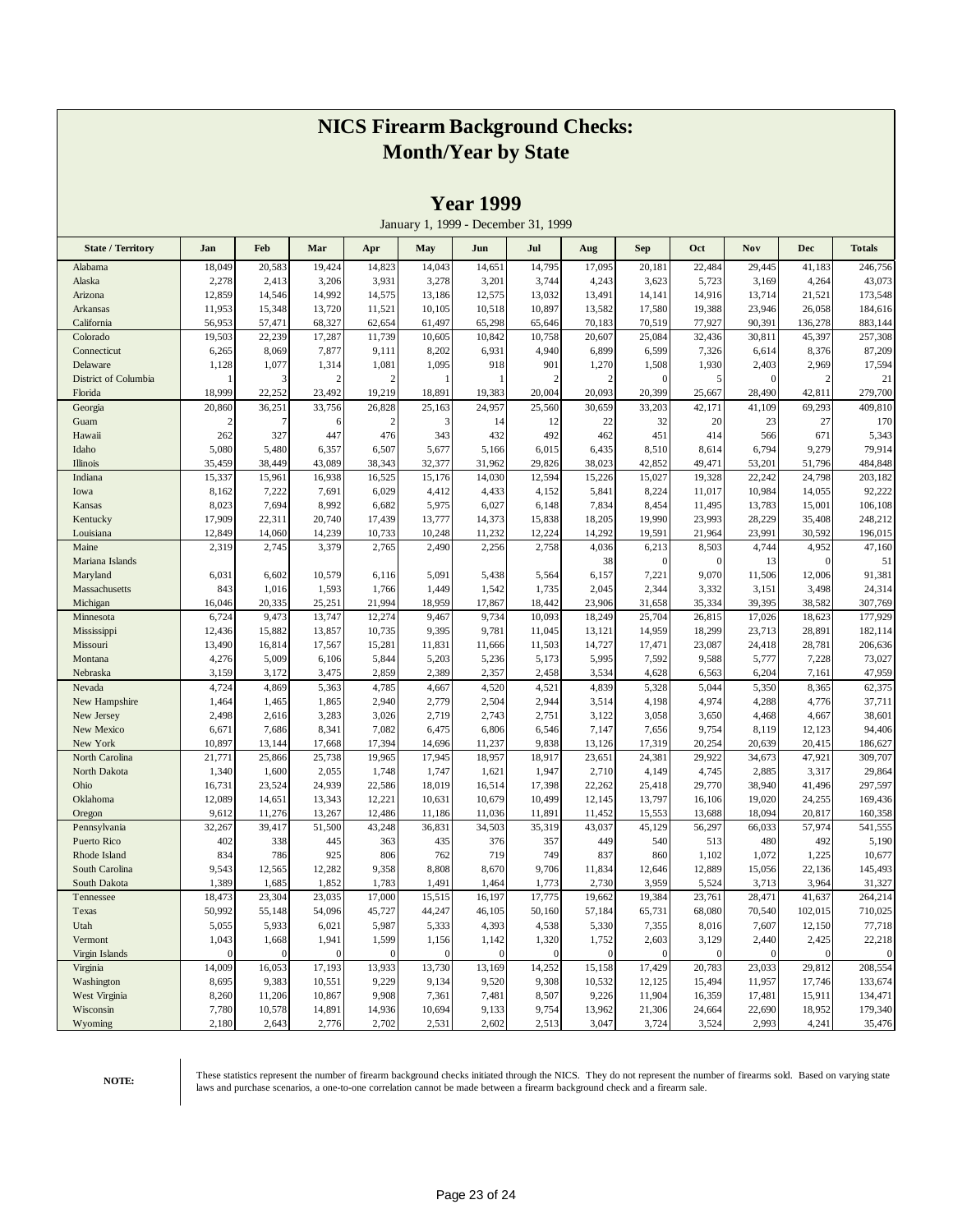|                          |                 |                |                 |                |                                     | 1 Cal 1777      |                |                         |                 |                  |                 |                  |                  |
|--------------------------|-----------------|----------------|-----------------|----------------|-------------------------------------|-----------------|----------------|-------------------------|-----------------|------------------|-----------------|------------------|------------------|
|                          |                 |                |                 |                | January 1, 1999 - December 31, 1999 |                 |                |                         |                 |                  |                 |                  |                  |
| <b>State / Territory</b> | Jan             | Feb            | Mar             | Apr            | May                                 | Jun             | Jul            | Aug                     | <b>Sep</b>      | Oct              | Nov             | <b>Dec</b>       | <b>Totals</b>    |
| Alabama                  | 18,049          | 20,583         | 19,424          | 14,823         | 14,043                              | 14,651          | 14,795         | 17,095                  | 20,181          | 22,484           | 29,445          | 41,183           | 246,756          |
| Alaska                   | 2,278           | 2,413          | 3,206           | 3,931          | 3,278                               | 3,201           | 3,744          | 4,243                   | 3,623           | 5,723            | 3,169           | 4,264            | 43,073           |
| Arizona                  | 12,859          | 14,546         | 14,992          | 14,575         | 13,186                              | 12,575          | 13,032         | 13,491                  | 14,141          | 14,916           | 13,714          | 21,521           | 173,548          |
| Arkansas                 | 11,953          | 15,348         | 13,720          | 11,521         | 10,105                              | 10,518          | 10,897         | 13,582                  | 17,580          | 19,388           | 23,946          | 26,058           | 184,616          |
| California               | 56,953          | 57,471         | 68,327          | 62,654         | 61,497                              | 65,298          | 65,646         | 70,183                  | 70,519          | 77,927           | 90,391          | 136,278          | 883,144          |
| Colorado                 | 19,503          | 22,239         | 17,287          | 11,739         | 10,605                              | 10,842          | 10,758         | 20,607                  | 25,084          | 32,436           | 30,811          | 45,397           | 257,308          |
| Connecticut<br>Delaware  | 6,265<br>1,128  | 8,069<br>1,077 | 7,877<br>1,314  | 9,111<br>1,081 | 8,202<br>1,095                      | 6,931<br>918    | 4,940<br>901   | 6,899                   | 6,599<br>1,508  | 7,326<br>1,930   | 6,614<br>2,403  | 8,376<br>2,969   | 87,209<br>17,594 |
| District of Columbia     |                 | 3              |                 | $\overline{2}$ |                                     | 1               | $\overline{c}$ | 1,270<br>$\overline{2}$ | $\mathbf{0}$    | 5                | $\theta$        | $\overline{c}$   | 21               |
| Florida                  | 18,999          | 22,252         | 23,492          | 19,219         | 18,891                              | 19,383          | 20,004         | 20,093                  | 20,399          | 25,667           | 28,490          | 42,811           | 279,700          |
| Georgia                  | 20,860          | 36,251         | 33,756          | 26,828         | 25,163                              | 24,957          | 25,560         | 30,659                  | 33,203          | 42,171           | 41,109          | 69,293           | 409,810          |
| Guam                     | 2               | 7              |                 | $\overline{2}$ | 3                                   | 14              | 12             | 22                      | 32              | 20               | 23              | 27               | 170              |
| Hawaii                   | 262             | 327            | 447             | 476            | 343                                 | 432             | 492            | 462                     | 451             | 414              | 566             | 671              | 5,343            |
| Idaho                    | 5,080           | 5,480          | 6,357           | 6,507          | 5,677                               | 5,166           | 6,015          | 6,435                   | 8,510           | 8,614            | 6,794           | 9,279            | 79,914           |
| Illinois                 | 35,459          | 38,449         | 43,089          | 38,343         | 32,377                              | 31,962          | 29,826         | 38,023                  | 42,852          | 49,471           | 53,201          | 51,796           | 484,848          |
| Indiana                  | 15,337          | 15,961         | 16,938          | 16,525         | 15,176                              | 14,030          | 12,594         | 15,226                  | 15,027          | 19,328           | 22,242          | 24,798           | 203,182          |
| Iowa                     | 8,162           | 7,222          | 7,691           | 6,029          | 4,412                               | 4,433           | 4,152          | 5,841                   | 8,224           | 11,017           | 10,984          | 14,055           | 92,222           |
| Kansas                   | 8,023           | 7,694          | 8,992           | 6,682          | 5,975                               | 6,027           | 6,148          | 7,834                   | 8,454           | 11,495           | 13,783          | 15,001           | 106,108          |
| Kentucky                 | 17,909          | 22,311         | 20,740          | 17,439         | 13,777                              | 14,373          | 15,838         | 18,205                  | 19,990          | 23,993           | 28,229          | 35,408           | 248,212          |
| Louisiana                | 12,849          | 14,060         | 14,239          | 10,733         | 10,248                              | 11,232          | 12,224         | 14,292                  | 19,591          | 21,964           | 23,991          | 30,592           | 196,015          |
| Maine                    | 2,319           | 2,745          | 3,379           | 2,765          | 2,490                               | 2,256           | 2,758          | 4,036                   | 6,213           | 8,503            | 4,744           | 4,952            | 47,160           |
| Mariana Islands          |                 |                |                 |                |                                     |                 |                | 38                      | $\mathbf{0}$    | $\boldsymbol{0}$ | 13              | $\mathbf{0}$     | 51               |
| Maryland                 | 6,031           | 6,602          | 10,579          | 6,116          | 5,091                               | 5,438           | 5,564          | 6,157                   | 7,221           | 9,070            | 11,506          | 12,006           | 91,381           |
| Massachusetts            | 843             | 1,016          | 1,593           | 1,766          | 1,449                               | 1,542           | 1,735          | 2,045                   | 2,344           | 3,332            | 3,151           | 3,498            | 24,314           |
| Michigan                 | 16,046          | 20,335         | 25,251          | 21,994         | 18,959                              | 17,867          | 18,442         | 23,906                  | 31,658          | 35,334           | 39,395          | 38,582           | 307,769          |
| Minnesota                | 6,724           | 9,473          | 13,747          | 12,274         | 9,467                               | 9,734           | 10,093         | 18,249                  | 25,704          | 26,815           | 17,026          | 18,623           | 177,929          |
| Mississippi              | 12,436          | 15,882         | 13,857          | 10,735         | 9,395                               | 9,781           | 11,045         | 13,121                  | 14,959          | 18,299           | 23,713          | 28,891           | 182,114          |
| Missouri                 | 13,490          | 16,814         | 17,567          | 15,281         | 11,831                              | 11,666          | 11,503         | 14,727                  | 17,471          | 23,087           | 24,418          | 28,781           | 206,636          |
| Montana                  | 4,276           | 5,009          | 6,106           | 5,844          | 5,203                               | 5,236           | 5,173          | 5,995                   | 7,592           | 9,588            | 5,777           | 7,228            | 73,027           |
| Nebraska                 | 3,159           | 3,172          | 3,475           | 2,859          | 2,389                               | 2,357           | 2,458          | 3,534                   | 4,628           | 6,563            | 6,204           | 7,161            | 47,959           |
| Nevada                   | 4,724           | 4,869          | 5,363           | 4,785          | 4,667                               | 4,520           | 4,521          | 4,839                   | 5,328           | 5,044            | 5,350           | 8,365            | 62,375           |
| New Hampshire            | 1,464           | 1,465          | 1,865           | 2,940          | 2,779                               | 2,504           | 2,944          | 3,514                   | 4,198           | 4,974            | 4,288           | 4,776            | 37,711           |
| New Jersey               | 2,498           | 2,616<br>7,686 | 3,283           | 3,026<br>7,082 | 2,719<br>6,475                      | 2,743           | 2,751          | 3,122                   | 3,058           | 3,650            | 4,468           | 4,667            | 38,601<br>94,406 |
| New Mexico<br>New York   | 6,671<br>10,897 | 13,144         | 8,341<br>17,668 | 17,394         | 14,696                              | 6,806<br>11,237 | 6,546<br>9,838 | 7,147<br>13,126         | 7,656<br>17,319 | 9,754<br>20,254  | 8,119<br>20,639 | 12,123<br>20,415 | 186,627          |
| North Carolina           | 21,771          | 25,866         | 25,738          | 19,965         | 17,945                              | 18,957          | 18,917         | 23,651                  | 24,381          | 29,922           | 34,673          | 47,921           | 309,707          |
| North Dakota             | 1,340           | 1,600          | 2,055           | 1,748          | 1,747                               | 1,621           | 1,947          | 2,710                   | 4,149           | 4,745            | 2,885           | 3,317            | 29,864           |
| Ohio                     | 16,731          | 23,524         | 24,939          | 22,586         | 18,019                              | 16,514          | 17,398         | 22,262                  | 25,418          | 29,770           | 38,940          | 41,496           | 297,597          |
| Oklahoma                 | 12,089          | 14,651         | 13,343          | 12,221         | 10,631                              | 10,679          | 10,499         | 12,145                  | 13,797          | 16,106           | 19,020          | 24,255           | 169,436          |
| Oregon                   | 9,612           | 11,276         | 13,267          | 12,486         | 11,186                              | 11,036          | 11,891         | 11,452                  | 15,553          | 13,688           | 18,094          | 20,817           | 160,358          |
| Pennsylvania             | 32,267          | 39,417         | 51,500          | 43,248         | 36,831                              | 34,503          | 35,319         | 43,037                  | 45,129          | 56,297           | 66,033          | 57,974           | 541,555          |
| Puerto Rico              | 402             | 338            | 445             | 363            | 435                                 | 376             | 357            | 449                     | 540             | 513              | 480             | 492              | 5,190            |
| Rhode Island             | 834             | 786            | 925             | 806            | 762                                 | 719             | 749            | 837                     | 860             | 1,102            | 1,072           | 1,225            | 10,677           |
| South Carolina           | 9,543           | 12,565         | 12,282          | 9,358          | 8,808                               | 8,670           | 9,706          | 11,834                  | 12,646          | 12,889           | 15,056          | 22,136           | 145,493          |
| South Dakota             | 1,389           | 1,685          | 1,852           | 1,783          | 1,491                               | 1,464           | 1,773          | 2,730                   | 3,959           | 5,524            | 3,713           | 3,964            | 31,327           |
| Tennessee                | 18,473          | 23,304         | 23,035          | 17,000         | 15,515                              | 16,197          | 17,775         | 19,662                  | 19,384          | 23,761           | 28,471          | 41,637           | 264,214          |
| Texas                    | 50,992          | 55,148         | 54,096          | 45,727         | 44,247                              | 46,105          | 50,160         | 57,184                  | 65,731          | 68,080           | 70,540          | 102,015          | 710,025          |
| Utah                     | 5,055           | 5,933          | 6,021           | 5,987          | 5,333                               | 4,393           | 4,538          | 5,330                   | 7,355           | 8,016            | 7,607           | 12,150           | 77,718           |
| Vermont                  | 1,043           | 1,668          | 1,941           | 1,599          | 1,156                               | 1,142           | 1,320          | 1,752                   | 2,603           | 3,129            | 2,440           | 2,425            | 22,218           |
| Virgin Islands           | $\Omega$        | $\overline{0}$ | $\Omega$        | $\theta$       | $\mathbf{0}$                        | $\mathbf{0}$    | $\overline{0}$ | $\mathbf{0}$            | $\mathbf{0}$    | $\mathbf{0}$     | $\theta$        | $\mathbf{0}$     | $\mathbf{0}$     |
| Virginia                 | 14,009          | 16,053         | 17,193          | 13,933         | 13,730                              | 13,169          | 14,252         | 15,158                  | 17,429          | 20,783           | 23,033          | 29,812           | 208,554          |
| Washington               | 8,695           | 9,383          | 10,551          | 9,229          | 9,134                               | 9,520           | 9,308          | 10,532                  | 12,125          | 15,494           | 11,957          | 17,746           | 133,674          |
| West Virginia            | 8,260           | 11,206         | 10,867          | 9,908          | 7,361                               | 7,481           | 8,507          | 9,226                   | 11,904          | 16,359           | 17,481          | 15,911           | 134,471          |
| Wisconsin                | 7,780           | 10,578         | 14,891          | 14,936         | 10,694                              | 9,133           | 9,754          | 13,962                  | 21,306          | 24,664           | 22,690          | 18,952           | 179,340          |
| Wyoming                  | 2,180           | 2,643          | 2,776           | 2,702          | 2,531                               | 2,602           | 2,513          | 3,047                   | 3,724           | 3,524            | 2,993           | 4,241            | 35,476           |

**Year 1999**